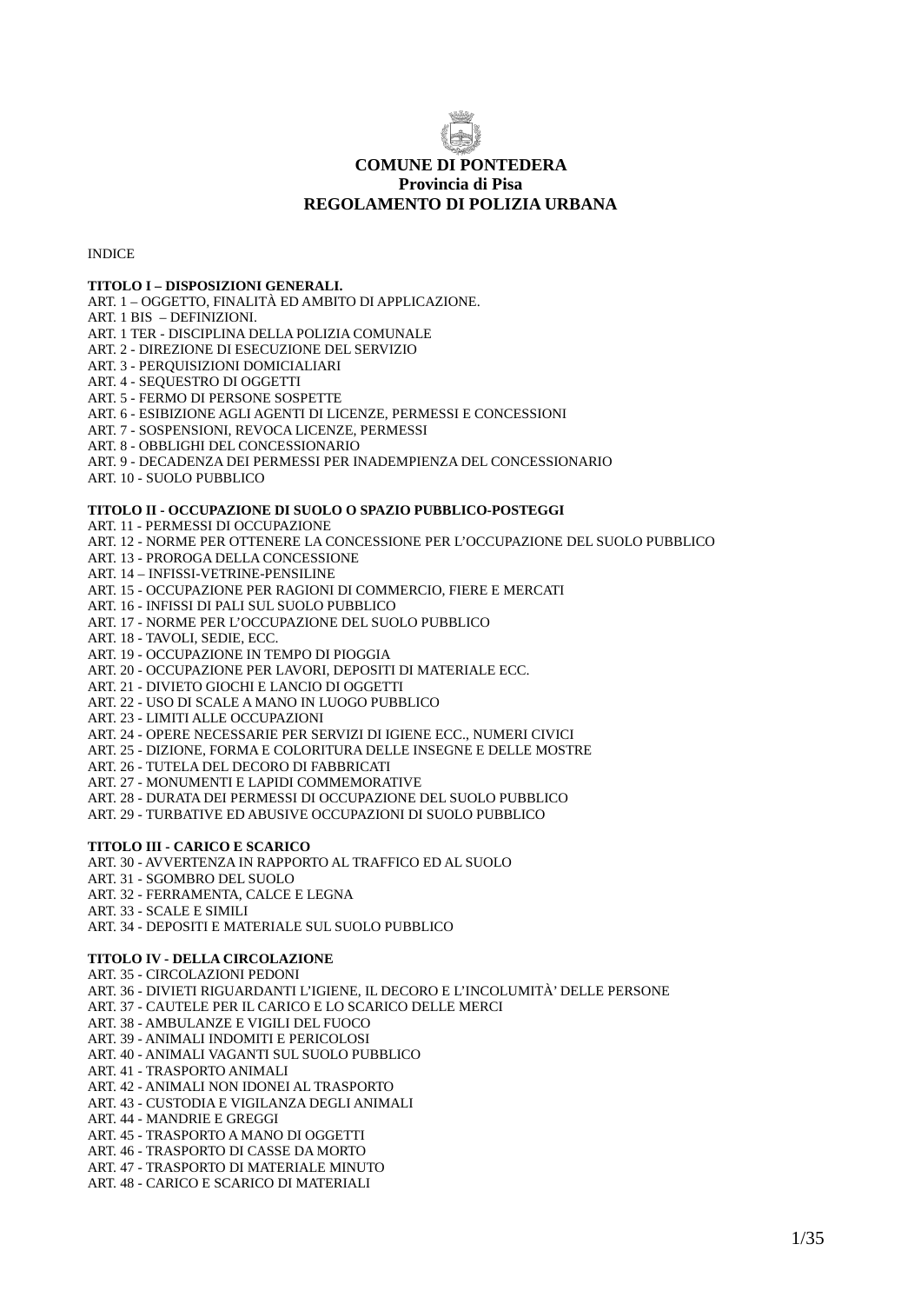

### **COMUNE DI PONTEDERA Provincia di Pisa REGOLAMENTO DI POLIZIA URBANA**

INDICE

#### **TITOLO I – DISPOSIZIONI GENERALI.**

- ART. 1 OGGETTO, FINALITÀ ED AMBITO DI APPLICAZIONE.
- ART. 1 BIS DEFINIZIONI.

ART. 1 TER - DISCIPLINA DELLA POLIZIA COMUNALE

- ART. 2 DIREZIONE DI ESECUZIONE DEL SERVIZIO
- ART. 3 PERQUISIZIONI DOMICIALIARI
- ART. 4 SEQUESTRO DI OGGETTI

ART. 5 - FERMO DI PERSONE SOSPETTE

- ART. 6 ESIBIZIONE AGLI AGENTI DI LICENZE, PERMESSI E CONCESSIONI
- ART. 7 SOSPENSIONI, REVOCA LICENZE, PERMESSI
- ART. 8 OBBLIGHI DEL CONCESSIONARIO

ART. 9 - DECADENZA DEI PERMESSI PER INADEMPIENZA DEL CONCESSIONARIO

ART. 10 - SUOLO PUBBLICO

#### **TITOLO II - OCCUPAZIONE DI SUOLO O SPAZIO PUBBLICO-POSTEGGI**

ART. 11 - PERMESSI DI OCCUPAZIONE

- ART. 12 NORME PER OTTENERE LA CONCESSIONE PER L'OCCUPAZIONE DEL SUOLO PUBBLICO
- ART. 13 PROROGA DELLA CONCESSIONE
- ART. 14 INFISSI-VETRINE-PENSILINE
- ART. 15 OCCUPAZIONE PER RAGIONI DI COMMERCIO, FIERE E MERCATI
- ART. 16 INFISSI DI PALI SUL SUOLO PUBBLICO
- ART. 17 NORME PER L'OCCUPAZIONE DEL SUOLO PUBBLICO
- ART. 18 TAVOLI, SEDIE, ECC.
- ART. 19 OCCUPAZIONE IN TEMPO DI PIOGGIA
- ART. 20 OCCUPAZIONE PER LAVORI, DEPOSITI DI MATERIALE ECC.

ART. 21 - DIVIETO GIOCHI E LANCIO DI OGGETTI

- ART. 22 USO DI SCALE A MANO IN LUOGO PUBBLICO
- ART. 23 LIMITI ALLE OCCUPAZIONI
- ART. 24 OPERE NECESSARIE PER SERVIZI DI IGIENE ECC., NUMERI CIVICI
- ART. 25 DIZIONE, FORMA E COLORITURA DELLE INSEGNE E DELLE MOSTRE
- ART. 26 TUTELA DEL DECORO DI FABBRICATI
- ART. 27 MONUMENTI E LAPIDI COMMEMORATIVE
- ART. 28 DURATA DEI PERMESSI DI OCCUPAZIONE DEL SUOLO PUBBLICO
- ART. 29 TURBATIVE ED ABUSIVE OCCUPAZIONI DI SUOLO PUBBLICO

#### **TITOLO III - CARICO E SCARICO**

ART. 30 - AVVERTENZA IN RAPPORTO AL TRAFFICO ED AL SUOLO

- ART. 31 SGOMBRO DEL SUOLO
- ART. 32 FERRAMENTA, CALCE E LEGNA
- ART. 33 SCALE E SIMILI
- ART. 34 DEPOSITI E MATERIALE SUL SUOLO PUBBLICO

#### **TITOLO IV - DELLA CIRCOLAZIONE**

- ART. 35 CIRCOLAZIONI PEDONI
- ART. 36 DIVIETI RIGUARDANTI L'IGIENE, IL DECORO E L'INCOLUMITÀ' DELLE PERSONE
- ART. 37 CAUTELE PER IL CARICO E LO SCARICO DELLE MERCI
- ART. 38 AMBULANZE E VIGILI DEL FUOCO
- ART. 39 ANIMALI INDOMITI E PERICOLOSI
- ART. 40 ANIMALI VAGANTI SUL SUOLO PUBBLICO
- ART. 41 TRASPORTO ANIMALI
- ART. 42 ANIMALI NON IDONEI AL TRASPORTO
- ART. 43 CUSTODIA E VIGILANZA DEGLI ANIMALI
- ART. 44 MANDRIE E GREGGI
- ART. 45 TRASPORTO A MANO DI OGGETTI
- ART. 46 TRASPORTO DI CASSE DA MORTO
- ART. 47 TRASPORTO DI MATERIALE MINUTO
- ART. 48 CARICO E SCARICO DI MATERIALI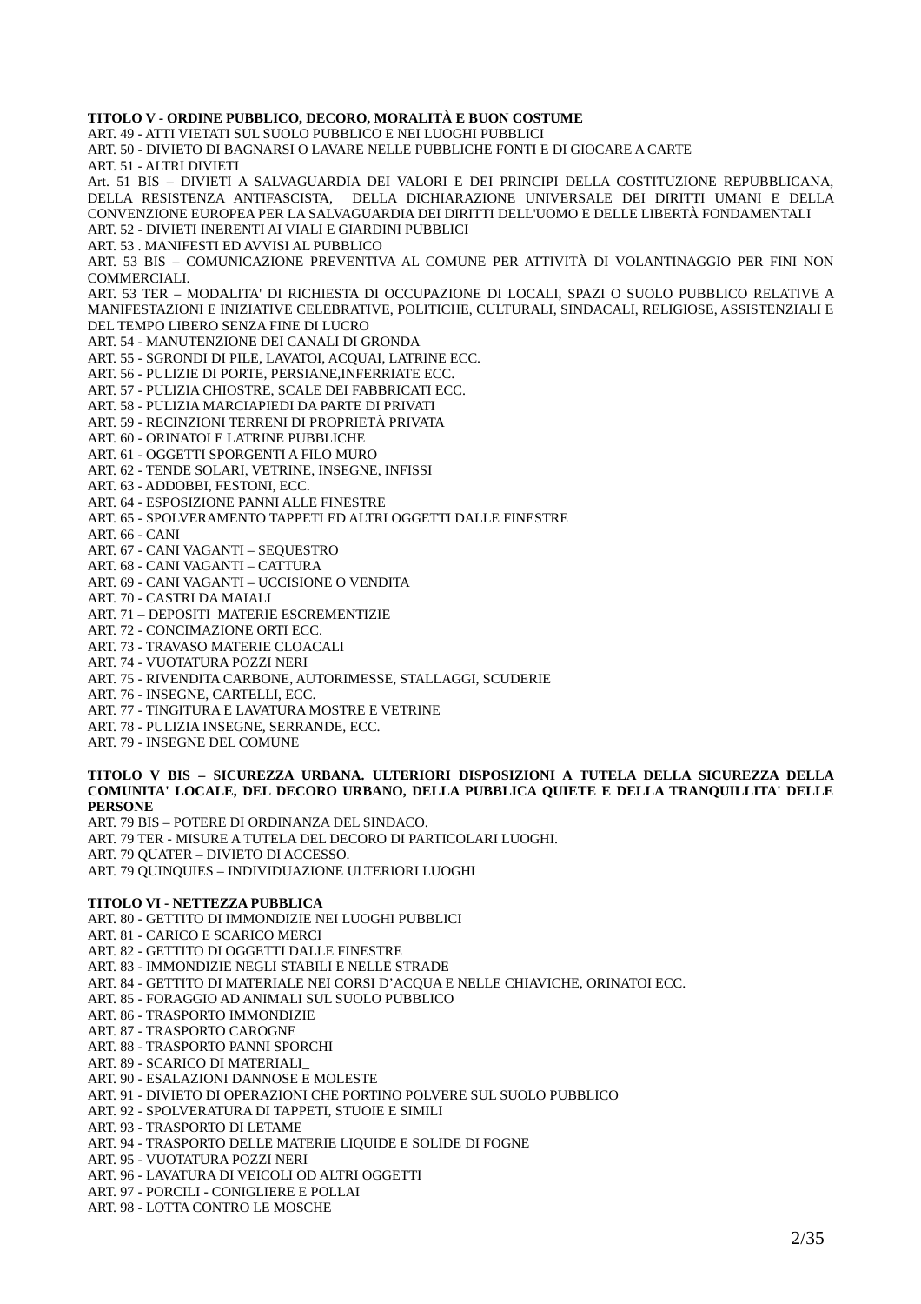#### **TITOLO V - ORDINE PUBBLICO, DECORO, MORALITÀ E BUON COSTUME**

ART. 49 - ATTI VIETATI SUL SUOLO PUBBLICO E NEI LUOGHI PUBBLICI

ART. 50 - DIVIETO DI BAGNARSI O LAVARE NELLE PUBBLICHE FONTI E DI GIOCARE A CARTE ART. 51 - ALTRI DIVIETI

Art. 51 BIS – DIVIETI A SALVAGUARDIA DEI VALORI E DEI PRINCIPI DELLA COSTITUZIONE REPUBBLICANA, DELLA RESISTENZA ANTIFASCISTA, DELLA DICHIARAZIONE UNIVERSALE DEI DIRITTI UMANI E DELLA CONVENZIONE EUROPEA PER LA SALVAGUARDIA DEI DIRITTI DELL'UOMO E DELLE LIBERTÀ FONDAMENTALI ART. 52 - DIVIETI INERENTI AI VIALI E GIARDINI PUBBLICI

ART. 53 . MANIFESTI ED AVVISI AL PUBBLICO

ART. 53 BIS – COMUNICAZIONE PREVENTIVA AL COMUNE PER ATTIVITÀ DI VOLANTINAGGIO PER FINI NON COMMERCIALI.

ART. 53 TER – MODALITA' DI RICHIESTA DI OCCUPAZIONE DI LOCALI, SPAZI O SUOLO PUBBLICO RELATIVE A MANIFESTAZIONI E INIZIATIVE CELEBRATIVE, POLITICHE, CULTURALI, SINDACALI, RELIGIOSE, ASSISTENZIALI E DEL TEMPO LIBERO SENZA FINE DI LUCRO

ART. 54 - MANUTENZIONE DEI CANALI DI GRONDA

ART. 55 - SGRONDI DI PILE, LAVATOI, ACQUAI, LATRINE ECC.

ART. 56 - PULIZIE DI PORTE, PERSIANE,INFERRIATE ECC.

ART. 57 - PULIZIA CHIOSTRE, SCALE DEI FABBRICATI ECC.

ART. 58 - PULIZIA MARCIAPIEDI DA PARTE DI PRIVATI

ART. 59 - RECINZIONI TERRENI DI PROPRIETÀ PRIVATA

ART. 60 - ORINATOI E LATRINE PUBBLICHE

ART. 61 - OGGETTI SPORGENTI A FILO MURO

ART. 62 - TENDE SOLARI, VETRINE, INSEGNE, INFISSI

ART. 63 - ADDOBBI, FESTONI, ECC.

ART. 64 - ESPOSIZIONE PANNI ALLE FINESTRE

ART. 65 - SPOLVERAMENTO TAPPETI ED ALTRI OGGETTI DALLE FINESTRE

ART. 66 - CANI

ART. 67 - CANI VAGANTI – SEQUESTRO

ART. 68 - CANI VAGANTI – CATTURA

- ART. 69 CANI VAGANTI UCCISIONE O VENDITA
- ART. 70 CASTRI DA MAIALI
- ART. 71 DEPOSITI MATERIE ESCREMENTIZIE
- ART. 72 CONCIMAZIONE ORTI ECC.

ART. 73 - TRAVASO MATERIE CLOACALI

ART. 74 - VUOTATURA POZZI NERI ART. 75 - RIVENDITA CARBONE, AUTORIMESSE, STALLAGGI, SCUDERIE

ART. 76 - INSEGNE, CARTELLI, ECC.

ART. 77 - TINGITURA E LAVATURA MOSTRE E VETRINE

ART. 78 - PULIZIA INSEGNE, SERRANDE, ECC.

ART. 79 - INSEGNE DEL COMUNE

#### **TITOLO V BIS – SICUREZZA URBANA. ULTERIORI DISPOSIZIONI A TUTELA DELLA SICUREZZA DELLA COMUNITA' LOCALE, DEL DECORO URBANO, DELLA PUBBLICA QUIETE E DELLA TRANQUILLITA' DELLE PERSONE**

ART. 79 BIS – POTERE DI ORDINANZA DEL SINDACO.

ART. 79 TER - MISURE A TUTELA DEL DECORO DI PARTICOLARI LUOGHI.

ART. 79 QUATER – DIVIETO DI ACCESSO.

ART. 79 QUINQUIES – INDIVIDUAZIONE ULTERIORI LUOGHI

#### **TITOLO VI - NETTEZZA PUBBLICA**

ART. 80 - GETTITO DI IMMONDIZIE NEI LUOGHI PUBBLICI

ART. 81 - CARICO E SCARICO MERCI

ART. 82 - GETTITO DI OGGETTI DALLE FINESTRE

ART. 83 - IMMONDIZIE NEGLI STABILI E NELLE STRADE

ART. 84 - GETTITO DI MATERIALE NEI CORSI D'ACQUA E NELLE CHIAVICHE, ORINATOI ECC.

ART. 85 - FORAGGIO AD ANIMALI SUL SUOLO PUBBLICO

ART. 86 - TRASPORTO IMMONDIZIE

ART. 87 - TRASPORTO CAROGNE

ART. 88 - TRASPORTO PANNI SPORCHI

ART. 89 - SCARICO DI MATERIALI\_

ART. 90 - ESALAZIONI DANNOSE E MOLESTE

ART. 91 - DIVIETO DI OPERAZIONI CHE PORTINO POLVERE SUL SUOLO PUBBLICO

ART. 92 - SPOLVERATURA DI TAPPETI, STUOIE E SIMILI

ART. 93 - TRASPORTO DI LETAME

ART. 94 - TRASPORTO DELLE MATERIE LIQUIDE E SOLIDE DI FOGNE

ART. 95 - VUOTATURA POZZI NERI

ART. 96 - LAVATURA DI VEICOLI OD ALTRI OGGETTI

ART. 97 - PORCILI - CONIGLIERE E POLLAI

ART. 98 - LOTTA CONTRO LE MOSCHE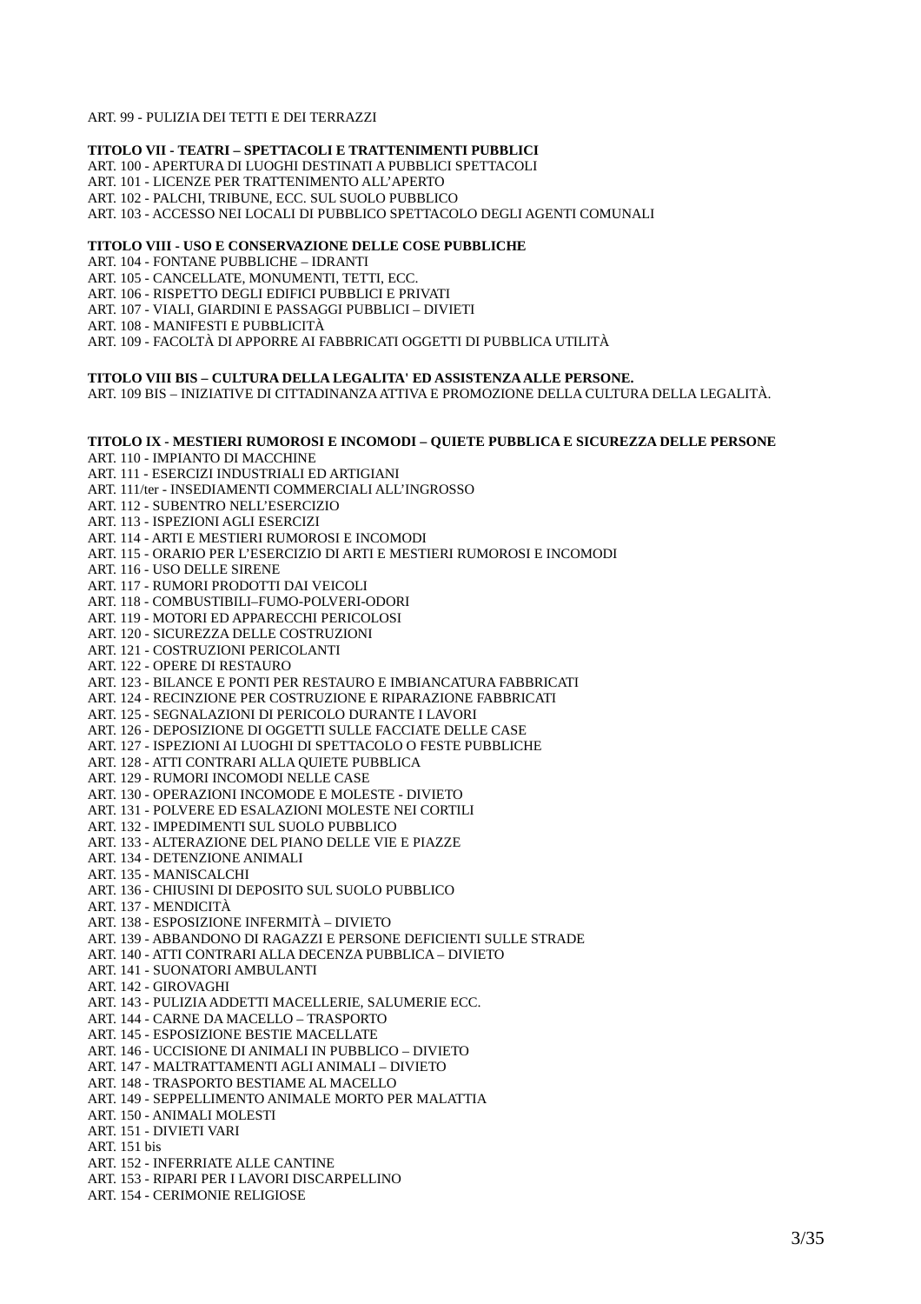ART. 99 - PULIZIA DEI TETTI E DEI TERRAZZI

#### **TITOLO VII - TEATRI – SPETTACOLI E TRATTENIMENTI PUBBLICI**

ART. 100 - APERTURA DI LUOGHI DESTINATI A PUBBLICI SPETTACOLI

ART. 101 - LICENZE PER TRATTENIMENTO ALL'APERTO

ART. 102 - PALCHI, TRIBUNE, ECC. SUL SUOLO PUBBLICO

ART. 103 - ACCESSO NEI LOCALI DI PUBBLICO SPETTACOLO DEGLI AGENTI COMUNALI

#### **TITOLO VIII - USO E CONSERVAZIONE DELLE COSE PUBBLICHE**

ART. 104 - FONTANE PUBBLICHE – IDRANTI

ART. 105 - CANCELLATE, MONUMENTI, TETTI, ECC.

ART. 106 - RISPETTO DEGLI EDIFICI PUBBLICI E PRIVATI

- ART. 107 VIALI, GIARDINI E PASSAGGI PUBBLICI DIVIETI
- ART. 108 MANIFESTI E PUBBLICITÀ

ART. 109 - FACOLTÀ DI APPORRE AI FABBRICATI OGGETTI DI PUBBLICA UTILITÀ

#### **TITOLO VIII BIS – CULTURA DELLA LEGALITA' ED ASSISTENZA ALLE PERSONE.**

ART. 109 BIS – INIZIATIVE DI CITTADINANZA ATTIVA E PROMOZIONE DELLA CULTURA DELLA LEGALITÀ.

#### **TITOLO IX - MESTIERI RUMOROSI E INCOMODI – QUIETE PUBBLICA E SICUREZZA DELLE PERSONE** ART. 110 - IMPIANTO DI MACCHINE

ART. 111 - ESERCIZI INDUSTRIALI ED ARTIGIANI ART. 111/ter - INSEDIAMENTI COMMERCIALI ALL'INGROSSO ART. 112 - SUBENTRO NELL'ESERCIZIO ART. 113 - ISPEZIONI AGLI ESERCIZI ART. 114 - ARTI E MESTIERI RUMOROSI E INCOMODI ART. 115 - ORARIO PER L'ESERCIZIO DI ARTI E MESTIERI RUMOROSI E INCOMODI ART. 116 - USO DELLE SIRENE ART. 117 - RUMORI PRODOTTI DAI VEICOLI ART. 118 - COMBUSTIBILI–FUMO-POLVERI-ODORI ART. 119 - MOTORI ED APPARECCHI PERICOLOSI ART. 120 - SICUREZZA DELLE COSTRUZIONI ART. 121 - COSTRUZIONI PERICOLANTI ART. 122 - OPERE DI RESTAURO ART. 123 - BILANCE E PONTI PER RESTAURO E IMBIANCATURA FABBRICATI ART. 124 - RECINZIONE PER COSTRUZIONE E RIPARAZIONE FABBRICATI ART. 125 - SEGNALAZIONI DI PERICOLO DURANTE I LAVORI ART. 126 - DEPOSIZIONE DI OGGETTI SULLE FACCIATE DELLE CASE ART. 127 - ISPEZIONI AI LUOGHI DI SPETTACOLO O FESTE PUBBLICHE ART. 128 - ATTI CONTRARI ALLA QUIETE PUBBLICA ART. 129 - RUMORI INCOMODI NELLE CASE ART. 130 - OPERAZIONI INCOMODE E MOLESTE - DIVIETO ART. 131 - POLVERE ED ESALAZIONI MOLESTE NEI CORTILI ART. 132 - IMPEDIMENTI SUL SUOLO PUBBLICO ART. 133 - ALTERAZIONE DEL PIANO DELLE VIE E PIAZZE ART. 134 - DETENZIONE ANIMALI ART. 135 - MANISCALCHI ART. 136 - CHIUSINI DI DEPOSITO SUL SUOLO PUBBLICO ART. 137 - MENDICITÀ ART. 138 - ESPOSIZIONE INFERMITÀ – DIVIETO ART. 139 - ABBANDONO DI RAGAZZI E PERSONE DEFICIENTI SULLE STRADE ART. 140 - ATTI CONTRARI ALLA DECENZA PUBBLICA – DIVIETO ART. 141 - SUONATORI AMBULANTI ART. 142 - GIROVAGHI ART. 143 - PULIZIA ADDETTI MACELLERIE, SALUMERIE ECC. ART. 144 - CARNE DA MACELLO – TRASPORTO ART. 145 - ESPOSIZIONE BESTIE MACELLATE ART. 146 - UCCISIONE DI ANIMALI IN PUBBLICO – DIVIETO ART. 147 - MALTRATTAMENTI AGLI ANIMALI – DIVIETO ART. 148 - TRASPORTO BESTIAME AL MACELLO ART. 149 - SEPPELLIMENTO ANIMALE MORTO PER MALATTIA ART. 150 - ANIMALI MOLESTI ART. 151 - DIVIETI VARI ART. 151 bis ART. 152 - INFERRIATE ALLE CANTINE ART. 153 - RIPARI PER I LAVORI DISCARPELLINO ART. 154 - CERIMONIE RELIGIOSE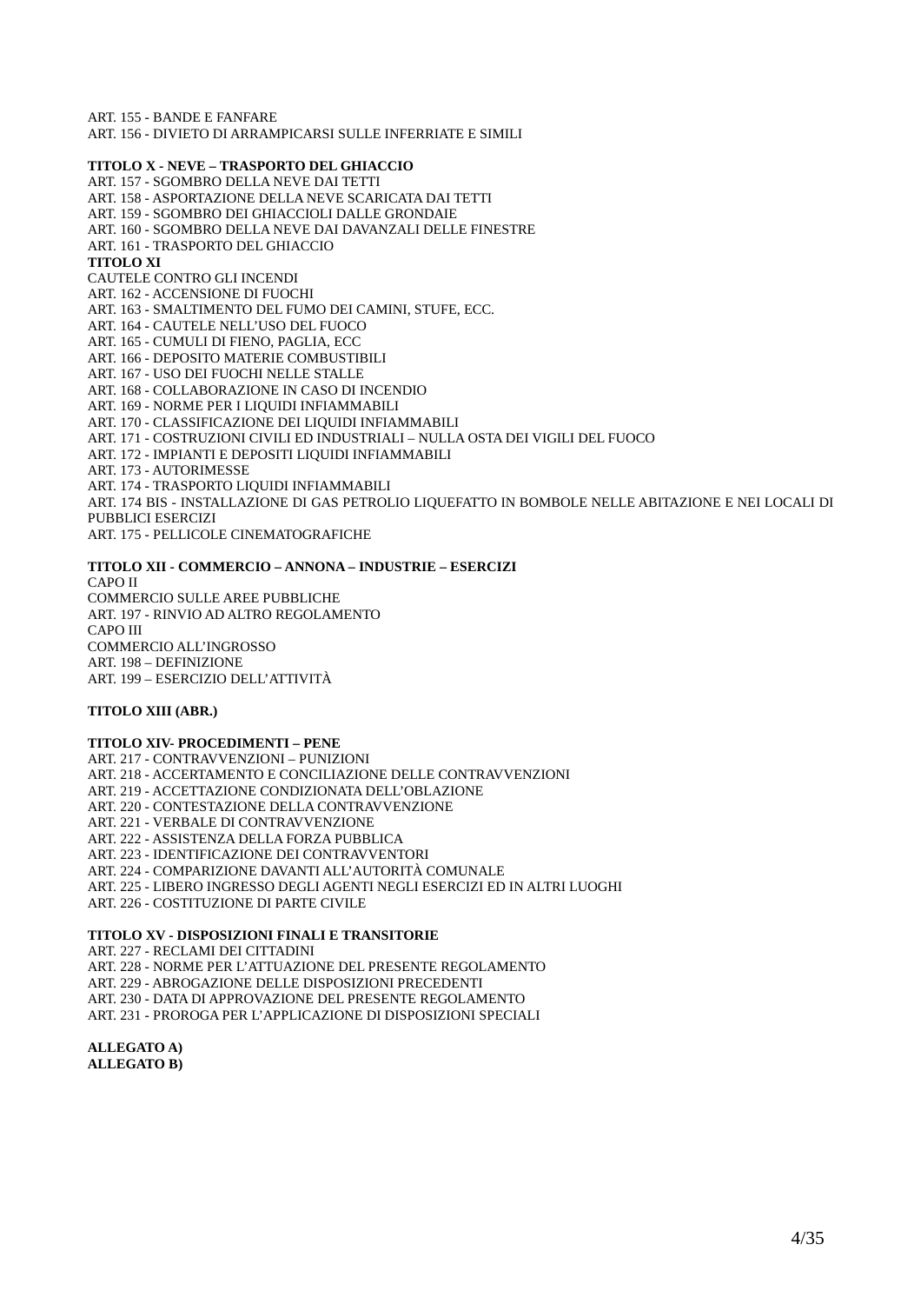ART. 155 - BANDE E FANFARE ART. 156 - DIVIETO DI ARRAMPICARSI SULLE INFERRIATE E SIMILI

#### **TITOLO X - NEVE – TRASPORTO DEL GHIACCIO**

ART. 157 - SGOMBRO DELLA NEVE DAI TETTI ART. 158 - ASPORTAZIONE DELLA NEVE SCARICATA DAI TETTI ART. 159 - SGOMBRO DEI GHIACCIOLI DALLE GRONDAIE ART. 160 - SGOMBRO DELLA NEVE DAI DAVANZALI DELLE FINESTRE ART. 161 - TRASPORTO DEL GHIACCIO **TITOLO XI**  CAUTELE CONTRO GLI INCENDI ART. 162 - ACCENSIONE DI FUOCHI ART. 163 - SMALTIMENTO DEL FUMO DEI CAMINI, STUFE, ECC. ART. 164 - CAUTELE NELL'USO DEL FUOCO ART. 165 - CUMULI DI FIENO, PAGLIA, ECC ART. 166 - DEPOSITO MATERIE COMBUSTIBILI ART. 167 - USO DEI FUOCHI NELLE STALLE ART. 168 - COLLABORAZIONE IN CASO DI INCENDIO ART. 169 - NORME PER I LIQUIDI INFIAMMABILI ART. 170 - CLASSIFICAZIONE DEI LIQUIDI INFIAMMABILI ART. 171 - COSTRUZIONI CIVILI ED INDUSTRIALI – NULLA OSTA DEI VIGILI DEL FUOCO ART. 172 - IMPIANTI E DEPOSITI LIQUIDI INFIAMMABILI ART. 173 - AUTORIMESSE ART. 174 - TRASPORTO LIQUIDI INFIAMMABILI ART. 174 BIS - INSTALLAZIONE DI GAS PETROLIO LIQUEFATTO IN BOMBOLE NELLE ABITAZIONE E NEI LOCALI DI PUBBLICI ESERCIZI ART. 175 - PELLICOLE CINEMATOGRAFICHE

**TITOLO XII - COMMERCIO – ANNONA – INDUSTRIE – ESERCIZI** CAPO II COMMERCIO SULLE AREE PUBBLICHE ART. 197 - RINVIO AD ALTRO REGOLAMENTO CAPO III COMMERCIO ALL'INGROSSO ART. 198 – DEFINIZIONE ART. 199 – ESERCIZIO DELL'ATTIVITÀ

#### **TITOLO XIII (ABR.)**

#### **TITOLO XIV- PROCEDIMENTI – PENE**

ART. 217 - CONTRAVVENZIONI – PUNIZIONI ART. 218 - ACCERTAMENTO E CONCILIAZIONE DELLE CONTRAVVENZIONI ART. 219 - ACCETTAZIONE CONDIZIONATA DELL'OBLAZIONE ART. 220 - CONTESTAZIONE DELLA CONTRAVVENZIONE ART. 221 - VERBALE DI CONTRAVVENZIONE ART. 222 - ASSISTENZA DELLA FORZA PUBBLICA ART. 223 - IDENTIFICAZIONE DEI CONTRAVVENTORI ART. 224 - COMPARIZIONE DAVANTI ALL'AUTORITÀ COMUNALE ART. 225 - LIBERO INGRESSO DEGLI AGENTI NEGLI ESERCIZI ED IN ALTRI LUOGHI ART. 226 - COSTITUZIONE DI PARTE CIVILE

#### **TITOLO XV - DISPOSIZIONI FINALI E TRANSITORIE**

ART. 227 - RECLAMI DEI CITTADINI ART. 228 - NORME PER L'ATTUAZIONE DEL PRESENTE REGOLAMENTO ART. 229 - ABROGAZIONE DELLE DISPOSIZIONI PRECEDENTI ART. 230 - DATA DI APPROVAZIONE DEL PRESENTE REGOLAMENTO ART. 231 - PROROGA PER L'APPLICAZIONE DI DISPOSIZIONI SPECIALI

**ALLEGATO A) ALLEGATO B)**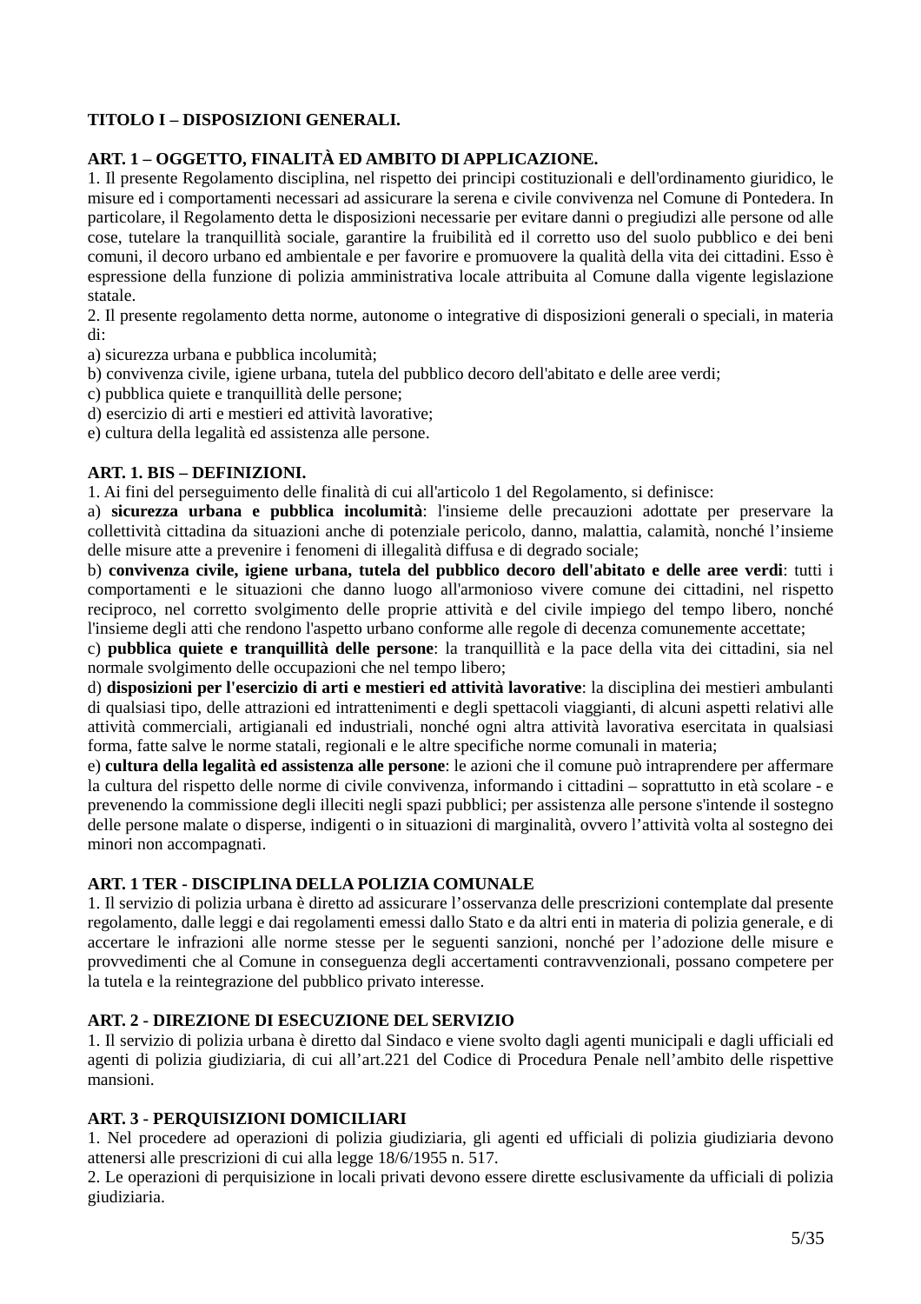## **TITOLO I – DISPOSIZIONI GENERALI.**

### **ART. 1 – OGGETTO, FINALITÀ ED AMBITO DI APPLICAZIONE.**

1. Il presente Regolamento disciplina, nel rispetto dei principi costituzionali e dell'ordinamento giuridico, le misure ed i comportamenti necessari ad assicurare la serena e civile convivenza nel Comune di Pontedera. In particolare, il Regolamento detta le disposizioni necessarie per evitare danni o pregiudizi alle persone od alle cose, tutelare la tranquillità sociale, garantire la fruibilità ed il corretto uso del suolo pubblico e dei beni comuni, il decoro urbano ed ambientale e per favorire e promuovere la qualità della vita dei cittadini. Esso è espressione della funzione di polizia amministrativa locale attribuita al Comune dalla vigente legislazione statale.

2. Il presente regolamento detta norme, autonome o integrative di disposizioni generali o speciali, in materia di:

a) sicurezza urbana e pubblica incolumità;

b) convivenza civile, igiene urbana, tutela del pubblico decoro dell'abitato e delle aree verdi;

- c) pubblica quiete e tranquillità delle persone;
- d) esercizio di arti e mestieri ed attività lavorative;

e) cultura della legalità ed assistenza alle persone.

### **ART. 1. BIS – DEFINIZIONI.**

1. Ai fini del perseguimento delle finalità di cui all'articolo 1 del Regolamento, si definisce:

a) **sicurezza urbana e pubblica incolumità**: l'insieme delle precauzioni adottate per preservare la collettività cittadina da situazioni anche di potenziale pericolo, danno, malattia, calamità, nonché l'insieme delle misure atte a prevenire i fenomeni di illegalità diffusa e di degrado sociale;

b) **convivenza civile, igiene urbana, tutela del pubblico decoro dell'abitato e delle aree verdi**: tutti i comportamenti e le situazioni che danno luogo all'armonioso vivere comune dei cittadini, nel rispetto reciproco, nel corretto svolgimento delle proprie attività e del civile impiego del tempo libero, nonché l'insieme degli atti che rendono l'aspetto urbano conforme alle regole di decenza comunemente accettate;

c) **pubblica quiete e tranquillità delle persone**: la tranquillità e la pace della vita dei cittadini, sia nel normale svolgimento delle occupazioni che nel tempo libero;

d) **disposizioni per l'esercizio di arti e mestieri ed attività lavorative**: la disciplina dei mestieri ambulanti di qualsiasi tipo, delle attrazioni ed intrattenimenti e degli spettacoli viaggianti, di alcuni aspetti relativi alle attività commerciali, artigianali ed industriali, nonché ogni altra attività lavorativa esercitata in qualsiasi forma, fatte salve le norme statali, regionali e le altre specifiche norme comunali in materia;

e) **cultura della legalità ed assistenza alle persone**: le azioni che il comune può intraprendere per affermare la cultura del rispetto delle norme di civile convivenza, informando i cittadini – soprattutto in età scolare - e prevenendo la commissione degli illeciti negli spazi pubblici; per assistenza alle persone s'intende il sostegno delle persone malate o disperse, indigenti o in situazioni di marginalità, ovvero l'attività volta al sostegno dei minori non accompagnati.

### **ART. 1 TER - DISCIPLINA DELLA POLIZIA COMUNALE**

1. Il servizio di polizia urbana è diretto ad assicurare l'osservanza delle prescrizioni contemplate dal presente regolamento, dalle leggi e dai regolamenti emessi dallo Stato e da altri enti in materia di polizia generale, e di accertare le infrazioni alle norme stesse per le seguenti sanzioni, nonché per l'adozione delle misure e provvedimenti che al Comune in conseguenza degli accertamenti contravvenzionali, possano competere per la tutela e la reintegrazione del pubblico privato interesse.

### **ART. 2 - DIREZIONE DI ESECUZIONE DEL SERVIZIO**

1. Il servizio di polizia urbana è diretto dal Sindaco e viene svolto dagli agenti municipali e dagli ufficiali ed agenti di polizia giudiziaria, di cui all'art.221 del Codice di Procedura Penale nell'ambito delle rispettive mansioni.

### **ART. 3 - PERQUISIZIONI DOMICILIARI**

1. Nel procedere ad operazioni di polizia giudiziaria, gli agenti ed ufficiali di polizia giudiziaria devono attenersi alle prescrizioni di cui alla legge 18/6/1955 n. 517.

2. Le operazioni di perquisizione in locali privati devono essere dirette esclusivamente da ufficiali di polizia giudiziaria.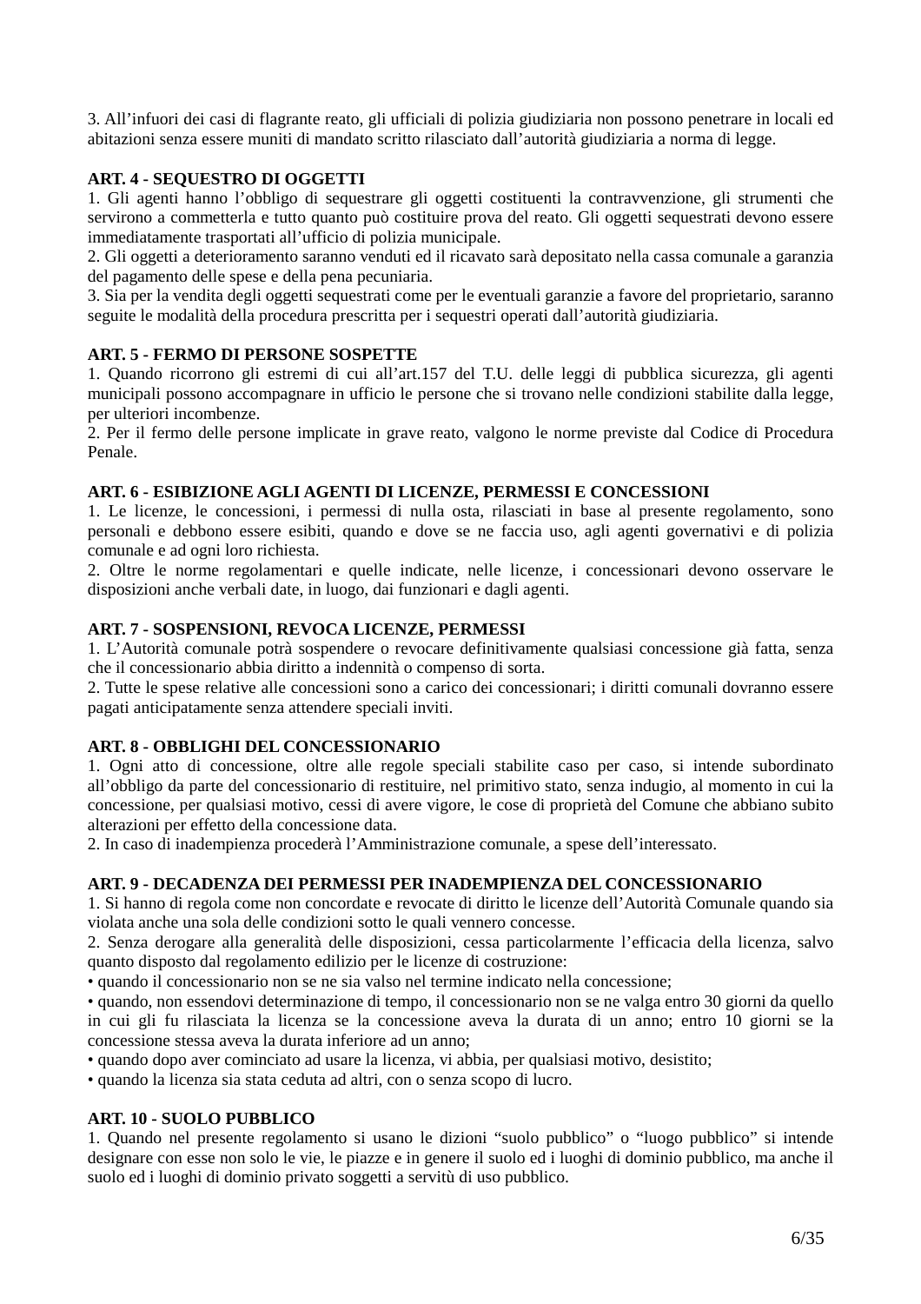3. All'infuori dei casi di flagrante reato, gli ufficiali di polizia giudiziaria non possono penetrare in locali ed abitazioni senza essere muniti di mandato scritto rilasciato dall'autorità giudiziaria a norma di legge.

## **ART. 4 - SEQUESTRO DI OGGETTI**

1. Gli agenti hanno l'obbligo di sequestrare gli oggetti costituenti la contravvenzione, gli strumenti che servirono a commetterla e tutto quanto può costituire prova del reato. Gli oggetti sequestrati devono essere immediatamente trasportati all'ufficio di polizia municipale.

2. Gli oggetti a deterioramento saranno venduti ed il ricavato sarà depositato nella cassa comunale a garanzia del pagamento delle spese e della pena pecuniaria.

3. Sia per la vendita degli oggetti sequestrati come per le eventuali garanzie a favore del proprietario, saranno seguite le modalità della procedura prescritta per i sequestri operati dall'autorità giudiziaria.

### **ART. 5 - FERMO DI PERSONE SOSPETTE**

1. Quando ricorrono gli estremi di cui all'art.157 del T.U. delle leggi di pubblica sicurezza, gli agenti municipali possono accompagnare in ufficio le persone che si trovano nelle condizioni stabilite dalla legge, per ulteriori incombenze.

2. Per il fermo delle persone implicate in grave reato, valgono le norme previste dal Codice di Procedura Penale.

### **ART. 6 - ESIBIZIONE AGLI AGENTI DI LICENZE, PERMESSI E CONCESSIONI**

1. Le licenze, le concessioni, i permessi di nulla osta, rilasciati in base al presente regolamento, sono personali e debbono essere esibiti, quando e dove se ne faccia uso, agli agenti governativi e di polizia comunale e ad ogni loro richiesta.

2. Oltre le norme regolamentari e quelle indicate, nelle licenze, i concessionari devono osservare le disposizioni anche verbali date, in luogo, dai funzionari e dagli agenti.

### **ART. 7 - SOSPENSIONI, REVOCA LICENZE, PERMESSI**

1. L'Autorità comunale potrà sospendere o revocare definitivamente qualsiasi concessione già fatta, senza che il concessionario abbia diritto a indennità o compenso di sorta.

2. Tutte le spese relative alle concessioni sono a carico dei concessionari; i diritti comunali dovranno essere pagati anticipatamente senza attendere speciali inviti.

#### **ART. 8 - OBBLIGHI DEL CONCESSIONARIO**

1. Ogni atto di concessione, oltre alle regole speciali stabilite caso per caso, si intende subordinato all'obbligo da parte del concessionario di restituire, nel primitivo stato, senza indugio, al momento in cui la concessione, per qualsiasi motivo, cessi di avere vigore, le cose di proprietà del Comune che abbiano subito alterazioni per effetto della concessione data.

2. In caso di inadempienza procederà l'Amministrazione comunale, a spese dell'interessato.

### **ART. 9 - DECADENZA DEI PERMESSI PER INADEMPIENZA DEL CONCESSIONARIO**

1. Si hanno di regola come non concordate e revocate di diritto le licenze dell'Autorità Comunale quando sia violata anche una sola delle condizioni sotto le quali vennero concesse.

2. Senza derogare alla generalità delle disposizioni, cessa particolarmente l'efficacia della licenza, salvo quanto disposto dal regolamento edilizio per le licenze di costruzione:

• quando il concessionario non se ne sia valso nel termine indicato nella concessione;

• quando, non essendovi determinazione di tempo, il concessionario non se ne valga entro 30 giorni da quello in cui gli fu rilasciata la licenza se la concessione aveva la durata di un anno; entro 10 giorni se la concessione stessa aveva la durata inferiore ad un anno;

• quando dopo aver cominciato ad usare la licenza, vi abbia, per qualsiasi motivo, desistito;

• quando la licenza sia stata ceduta ad altri, con o senza scopo di lucro.

#### **ART. 10 - SUOLO PUBBLICO**

1. Quando nel presente regolamento si usano le dizioni "suolo pubblico" o "luogo pubblico" si intende designare con esse non solo le vie, le piazze e in genere il suolo ed i luoghi di dominio pubblico, ma anche il suolo ed i luoghi di dominio privato soggetti a servitù di uso pubblico.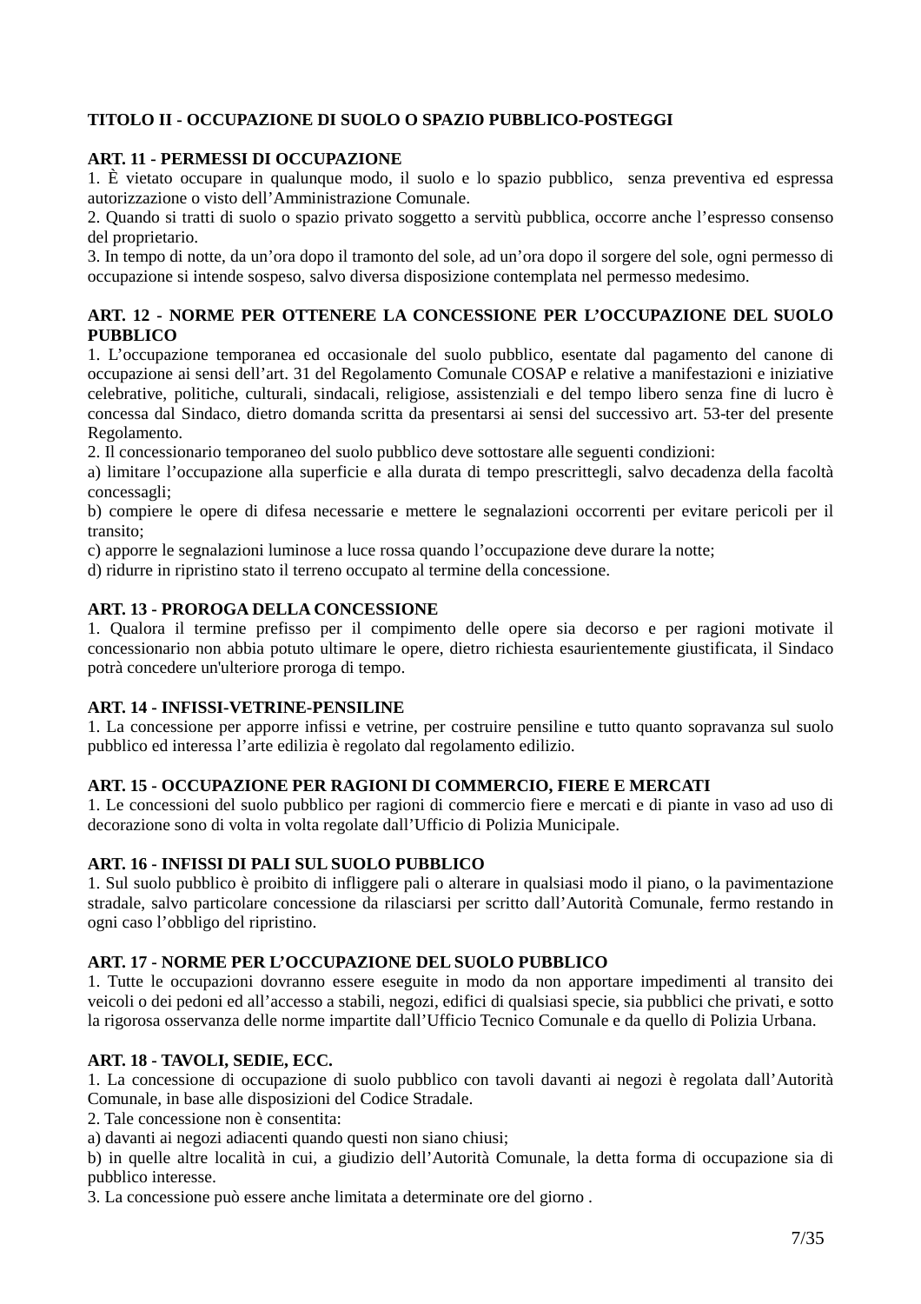## **TITOLO II - OCCUPAZIONE DI SUOLO O SPAZIO PUBBLICO-POSTEGGI**

### **ART. 11 - PERMESSI DI OCCUPAZIONE**

1. È vietato occupare in qualunque modo, il suolo e lo spazio pubblico, senza preventiva ed espressa autorizzazione o visto dell'Amministrazione Comunale.

2. Quando si tratti di suolo o spazio privato soggetto a servitù pubblica, occorre anche l'espresso consenso del proprietario.

3. In tempo di notte, da un'ora dopo il tramonto del sole, ad un'ora dopo il sorgere del sole, ogni permesso di occupazione si intende sospeso, salvo diversa disposizione contemplata nel permesso medesimo.

### **ART. 12 - NORME PER OTTENERE LA CONCESSIONE PER L'OCCUPAZIONE DEL SUOLO PUBBLICO**

1. L'occupazione temporanea ed occasionale del suolo pubblico, esentate dal pagamento del canone di occupazione ai sensi dell'art. 31 del Regolamento Comunale COSAP e relative a manifestazioni e iniziative celebrative, politiche, culturali, sindacali, religiose, assistenziali e del tempo libero senza fine di lucro è concessa dal Sindaco, dietro domanda scritta da presentarsi ai sensi del successivo art. 53-ter del presente Regolamento.

2. Il concessionario temporaneo del suolo pubblico deve sottostare alle seguenti condizioni:

a) limitare l'occupazione alla superficie e alla durata di tempo prescrittegli, salvo decadenza della facoltà concessagli;

b) compiere le opere di difesa necessarie e mettere le segnalazioni occorrenti per evitare pericoli per il transito;

c) apporre le segnalazioni luminose a luce rossa quando l'occupazione deve durare la notte;

d) ridurre in ripristino stato il terreno occupato al termine della concessione.

### **ART. 13 - PROROGA DELLA CONCESSIONE**

1. Qualora il termine prefisso per il compimento delle opere sia decorso e per ragioni motivate il concessionario non abbia potuto ultimare le opere, dietro richiesta esaurientemente giustificata, il Sindaco potrà concedere un'ulteriore proroga di tempo.

### **ART. 14 - INFISSI-VETRINE-PENSILINE**

1. La concessione per apporre infissi e vetrine, per costruire pensiline e tutto quanto sopravanza sul suolo pubblico ed interessa l'arte edilizia è regolato dal regolamento edilizio.

#### **ART. 15 - OCCUPAZIONE PER RAGIONI DI COMMERCIO, FIERE E MERCATI**

1. Le concessioni del suolo pubblico per ragioni di commercio fiere e mercati e di piante in vaso ad uso di decorazione sono di volta in volta regolate dall'Ufficio di Polizia Municipale.

### **ART. 16 - INFISSI DI PALI SUL SUOLO PUBBLICO**

1. Sul suolo pubblico è proibito di infliggere pali o alterare in qualsiasi modo il piano, o la pavimentazione stradale, salvo particolare concessione da rilasciarsi per scritto dall'Autorità Comunale, fermo restando in ogni caso l'obbligo del ripristino.

#### **ART. 17 - NORME PER L'OCCUPAZIONE DEL SUOLO PUBBLICO**

1. Tutte le occupazioni dovranno essere eseguite in modo da non apportare impedimenti al transito dei veicoli o dei pedoni ed all'accesso a stabili, negozi, edifici di qualsiasi specie, sia pubblici che privati, e sotto la rigorosa osservanza delle norme impartite dall'Ufficio Tecnico Comunale e da quello di Polizia Urbana.

### **ART. 18 - TAVOLI, SEDIE, ECC.**

1. La concessione di occupazione di suolo pubblico con tavoli davanti ai negozi è regolata dall'Autorità Comunale, in base alle disposizioni del Codice Stradale.

2. Tale concessione non è consentita:

a) davanti ai negozi adiacenti quando questi non siano chiusi;

b) in quelle altre località in cui, a giudizio dell'Autorità Comunale, la detta forma di occupazione sia di pubblico interesse.

3. La concessione può essere anche limitata a determinate ore del giorno .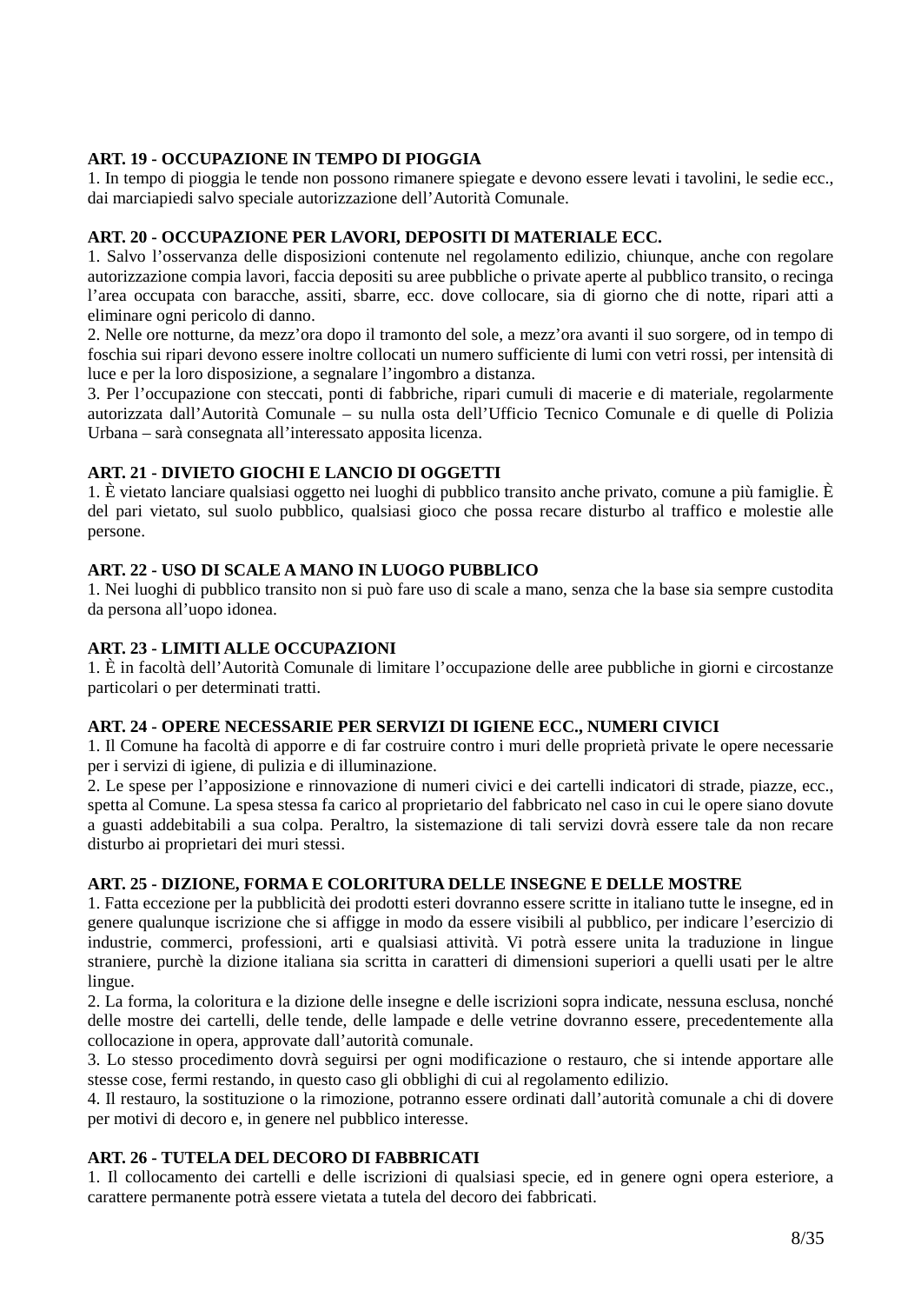### **ART. 19 - OCCUPAZIONE IN TEMPO DI PIOGGIA**

1. In tempo di pioggia le tende non possono rimanere spiegate e devono essere levati i tavolini, le sedie ecc., dai marciapiedi salvo speciale autorizzazione dell'Autorità Comunale.

### **ART. 20 - OCCUPAZIONE PER LAVORI, DEPOSITI DI MATERIALE ECC.**

1. Salvo l'osservanza delle disposizioni contenute nel regolamento edilizio, chiunque, anche con regolare autorizzazione compia lavori, faccia depositi su aree pubbliche o private aperte al pubblico transito, o recinga l'area occupata con baracche, assiti, sbarre, ecc. dove collocare, sia di giorno che di notte, ripari atti a eliminare ogni pericolo di danno.

2. Nelle ore notturne, da mezz'ora dopo il tramonto del sole, a mezz'ora avanti il suo sorgere, od in tempo di foschia sui ripari devono essere inoltre collocati un numero sufficiente di lumi con vetri rossi, per intensità di luce e per la loro disposizione, a segnalare l'ingombro a distanza.

3. Per l'occupazione con steccati, ponti di fabbriche, ripari cumuli di macerie e di materiale, regolarmente autorizzata dall'Autorità Comunale – su nulla osta dell'Ufficio Tecnico Comunale e di quelle di Polizia Urbana – sarà consegnata all'interessato apposita licenza.

### **ART. 21 - DIVIETO GIOCHI E LANCIO DI OGGETTI**

1. È vietato lanciare qualsiasi oggetto nei luoghi di pubblico transito anche privato, comune a più famiglie. È del pari vietato, sul suolo pubblico, qualsiasi gioco che possa recare disturbo al traffico e molestie alle persone.

### **ART. 22 - USO DI SCALE A MANO IN LUOGO PUBBLICO**

1. Nei luoghi di pubblico transito non si può fare uso di scale a mano, senza che la base sia sempre custodita da persona all'uopo idonea.

### **ART. 23 - LIMITI ALLE OCCUPAZIONI**

1. È in facoltà dell'Autorità Comunale di limitare l'occupazione delle aree pubbliche in giorni e circostanze particolari o per determinati tratti.

#### **ART. 24 - OPERE NECESSARIE PER SERVIZI DI IGIENE ECC., NUMERI CIVICI**

1. Il Comune ha facoltà di apporre e di far costruire contro i muri delle proprietà private le opere necessarie per i servizi di igiene, di pulizia e di illuminazione.

2. Le spese per l'apposizione e rinnovazione di numeri civici e dei cartelli indicatori di strade, piazze, ecc., spetta al Comune. La spesa stessa fa carico al proprietario del fabbricato nel caso in cui le opere siano dovute a guasti addebitabili a sua colpa. Peraltro, la sistemazione di tali servizi dovrà essere tale da non recare disturbo ai proprietari dei muri stessi.

#### **ART. 25 - DIZIONE, FORMA E COLORITURA DELLE INSEGNE E DELLE MOSTRE**

1. Fatta eccezione per la pubblicità dei prodotti esteri dovranno essere scritte in italiano tutte le insegne, ed in genere qualunque iscrizione che si affigge in modo da essere visibili al pubblico, per indicare l'esercizio di industrie, commerci, professioni, arti e qualsiasi attività. Vi potrà essere unita la traduzione in lingue straniere, purchè la dizione italiana sia scritta in caratteri di dimensioni superiori a quelli usati per le altre lingue.

2. La forma, la coloritura e la dizione delle insegne e delle iscrizioni sopra indicate, nessuna esclusa, nonché delle mostre dei cartelli, delle tende, delle lampade e delle vetrine dovranno essere, precedentemente alla collocazione in opera, approvate dall'autorità comunale.

3. Lo stesso procedimento dovrà seguirsi per ogni modificazione o restauro, che si intende apportare alle stesse cose, fermi restando, in questo caso gli obblighi di cui al regolamento edilizio.

4. Il restauro, la sostituzione o la rimozione, potranno essere ordinati dall'autorità comunale a chi di dovere per motivi di decoro e, in genere nel pubblico interesse.

### **ART. 26 - TUTELA DEL DECORO DI FABBRICATI**

1. Il collocamento dei cartelli e delle iscrizioni di qualsiasi specie, ed in genere ogni opera esteriore, a carattere permanente potrà essere vietata a tutela del decoro dei fabbricati.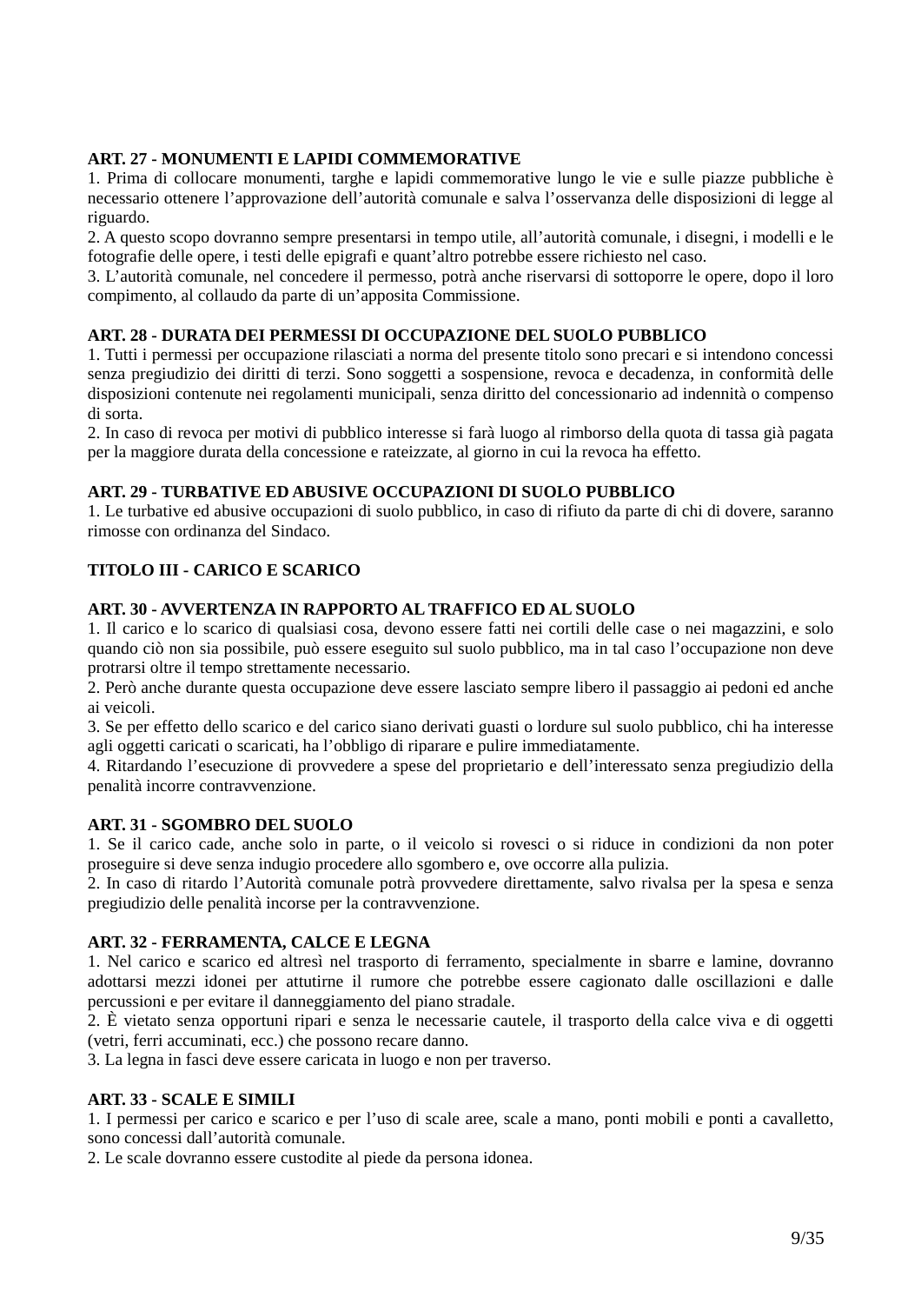## **ART. 27 - MONUMENTI E LAPIDI COMMEMORATIVE**

1. Prima di collocare monumenti, targhe e lapidi commemorative lungo le vie e sulle piazze pubbliche è necessario ottenere l'approvazione dell'autorità comunale e salva l'osservanza delle disposizioni di legge al riguardo.

2. A questo scopo dovranno sempre presentarsi in tempo utile, all'autorità comunale, i disegni, i modelli e le fotografie delle opere, i testi delle epigrafi e quant'altro potrebbe essere richiesto nel caso.

3. L'autorità comunale, nel concedere il permesso, potrà anche riservarsi di sottoporre le opere, dopo il loro compimento, al collaudo da parte di un'apposita Commissione.

### **ART. 28 - DURATA DEI PERMESSI DI OCCUPAZIONE DEL SUOLO PUBBLICO**

1. Tutti i permessi per occupazione rilasciati a norma del presente titolo sono precari e si intendono concessi senza pregiudizio dei diritti di terzi. Sono soggetti a sospensione, revoca e decadenza, in conformità delle disposizioni contenute nei regolamenti municipali, senza diritto del concessionario ad indennità o compenso di sorta.

2. In caso di revoca per motivi di pubblico interesse si farà luogo al rimborso della quota di tassa già pagata per la maggiore durata della concessione e rateizzate, al giorno in cui la revoca ha effetto.

### **ART. 29 - TURBATIVE ED ABUSIVE OCCUPAZIONI DI SUOLO PUBBLICO**

1. Le turbative ed abusive occupazioni di suolo pubblico, in caso di rifiuto da parte di chi di dovere, saranno rimosse con ordinanza del Sindaco.

## **TITOLO III - CARICO E SCARICO**

### **ART. 30 - AVVERTENZA IN RAPPORTO AL TRAFFICO ED AL SUOLO**

1. Il carico e lo scarico di qualsiasi cosa, devono essere fatti nei cortili delle case o nei magazzini, e solo quando ciò non sia possibile, può essere eseguito sul suolo pubblico, ma in tal caso l'occupazione non deve protrarsi oltre il tempo strettamente necessario.

2. Però anche durante questa occupazione deve essere lasciato sempre libero il passaggio ai pedoni ed anche ai veicoli.

3. Se per effetto dello scarico e del carico siano derivati guasti o lordure sul suolo pubblico, chi ha interesse agli oggetti caricati o scaricati, ha l'obbligo di riparare e pulire immediatamente.

4. Ritardando l'esecuzione di provvedere a spese del proprietario e dell'interessato senza pregiudizio della penalità incorre contravvenzione.

### **ART. 31 - SGOMBRO DEL SUOLO**

1. Se il carico cade, anche solo in parte, o il veicolo si rovesci o si riduce in condizioni da non poter proseguire si deve senza indugio procedere allo sgombero e, ove occorre alla pulizia.

2. In caso di ritardo l'Autorità comunale potrà provvedere direttamente, salvo rivalsa per la spesa e senza pregiudizio delle penalità incorse per la contravvenzione.

### **ART. 32 - FERRAMENTA, CALCE E LEGNA**

1. Nel carico e scarico ed altresì nel trasporto di ferramento, specialmente in sbarre e lamine, dovranno adottarsi mezzi idonei per attutirne il rumore che potrebbe essere cagionato dalle oscillazioni e dalle percussioni e per evitare il danneggiamento del piano stradale.

2. È vietato senza opportuni ripari e senza le necessarie cautele, il trasporto della calce viva e di oggetti (vetri, ferri accuminati, ecc.) che possono recare danno.

3. La legna in fasci deve essere caricata in luogo e non per traverso.

### **ART. 33 - SCALE E SIMILI**

1. I permessi per carico e scarico e per l'uso di scale aree, scale a mano, ponti mobili e ponti a cavalletto, sono concessi dall'autorità comunale.

2. Le scale dovranno essere custodite al piede da persona idonea.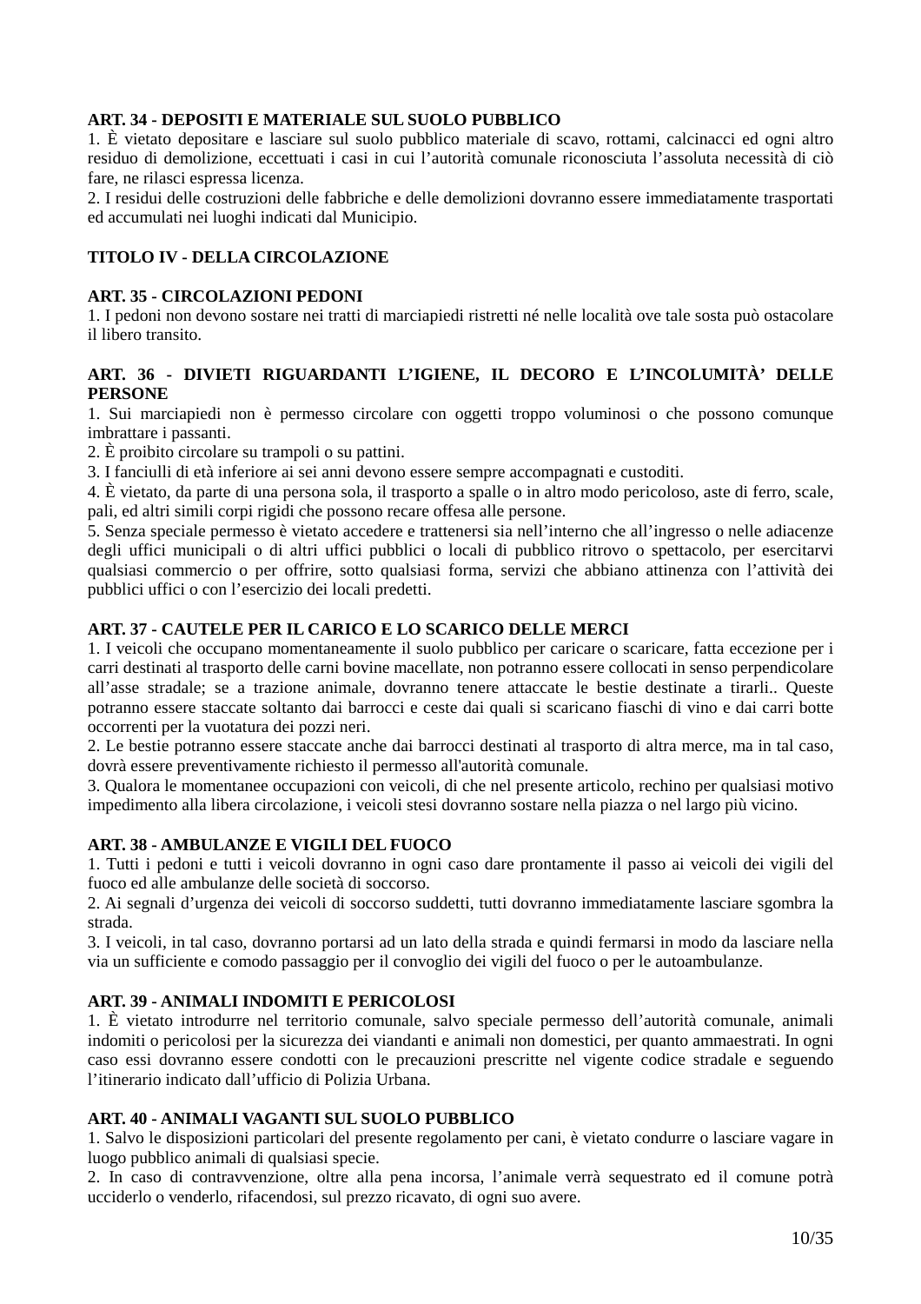### **ART. 34 - DEPOSITI E MATERIALE SUL SUOLO PUBBLICO**

1. È vietato depositare e lasciare sul suolo pubblico materiale di scavo, rottami, calcinacci ed ogni altro residuo di demolizione, eccettuati i casi in cui l'autorità comunale riconosciuta l'assoluta necessità di ciò fare, ne rilasci espressa licenza.

2. I residui delle costruzioni delle fabbriche e delle demolizioni dovranno essere immediatamente trasportati ed accumulati nei luoghi indicati dal Municipio.

### **TITOLO IV - DELLA CIRCOLAZIONE**

### **ART. 35 - CIRCOLAZIONI PEDONI**

1. I pedoni non devono sostare nei tratti di marciapiedi ristretti né nelle località ove tale sosta può ostacolare il libero transito.

### **ART. 36 - DIVIETI RIGUARDANTI L'IGIENE, IL DECORO E L'INCOLUMITÀ' DELLE PERSONE**

1. Sui marciapiedi non è permesso circolare con oggetti troppo voluminosi o che possono comunque imbrattare i passanti.

2. È proibito circolare su trampoli o su pattini.

3. I fanciulli di età inferiore ai sei anni devono essere sempre accompagnati e custoditi.

4. È vietato, da parte di una persona sola, il trasporto a spalle o in altro modo pericoloso, aste di ferro, scale, pali, ed altri simili corpi rigidi che possono recare offesa alle persone.

5. Senza speciale permesso è vietato accedere e trattenersi sia nell'interno che all'ingresso o nelle adiacenze degli uffici municipali o di altri uffici pubblici o locali di pubblico ritrovo o spettacolo, per esercitarvi qualsiasi commercio o per offrire, sotto qualsiasi forma, servizi che abbiano attinenza con l'attività dei pubblici uffici o con l'esercizio dei locali predetti.

### **ART. 37 - CAUTELE PER IL CARICO E LO SCARICO DELLE MERCI**

1. I veicoli che occupano momentaneamente il suolo pubblico per caricare o scaricare, fatta eccezione per i carri destinati al trasporto delle carni bovine macellate, non potranno essere collocati in senso perpendicolare all'asse stradale; se a trazione animale, dovranno tenere attaccate le bestie destinate a tirarli.. Queste potranno essere staccate soltanto dai barrocci e ceste dai quali si scaricano fiaschi di vino e dai carri botte occorrenti per la vuotatura dei pozzi neri.

2. Le bestie potranno essere staccate anche dai barrocci destinati al trasporto di altra merce, ma in tal caso, dovrà essere preventivamente richiesto il permesso all'autorità comunale.

3. Qualora le momentanee occupazioni con veicoli, di che nel presente articolo, rechino per qualsiasi motivo impedimento alla libera circolazione, i veicoli stesi dovranno sostare nella piazza o nel largo più vicino.

### **ART. 38 - AMBULANZE E VIGILI DEL FUOCO**

1. Tutti i pedoni e tutti i veicoli dovranno in ogni caso dare prontamente il passo ai veicoli dei vigili del fuoco ed alle ambulanze delle società di soccorso.

2. Ai segnali d'urgenza dei veicoli di soccorso suddetti, tutti dovranno immediatamente lasciare sgombra la strada.

3. I veicoli, in tal caso, dovranno portarsi ad un lato della strada e quindi fermarsi in modo da lasciare nella via un sufficiente e comodo passaggio per il convoglio dei vigili del fuoco o per le autoambulanze.

### **ART. 39 - ANIMALI INDOMITI E PERICOLOSI**

1. È vietato introdurre nel territorio comunale, salvo speciale permesso dell'autorità comunale, animali indomiti o pericolosi per la sicurezza dei viandanti e animali non domestici, per quanto ammaestrati. In ogni caso essi dovranno essere condotti con le precauzioni prescritte nel vigente codice stradale e seguendo l'itinerario indicato dall'ufficio di Polizia Urbana.

### **ART. 40 - ANIMALI VAGANTI SUL SUOLO PUBBLICO**

1. Salvo le disposizioni particolari del presente regolamento per cani, è vietato condurre o lasciare vagare in luogo pubblico animali di qualsiasi specie.

2. In caso di contravvenzione, oltre alla pena incorsa, l'animale verrà sequestrato ed il comune potrà ucciderlo o venderlo, rifacendosi, sul prezzo ricavato, di ogni suo avere.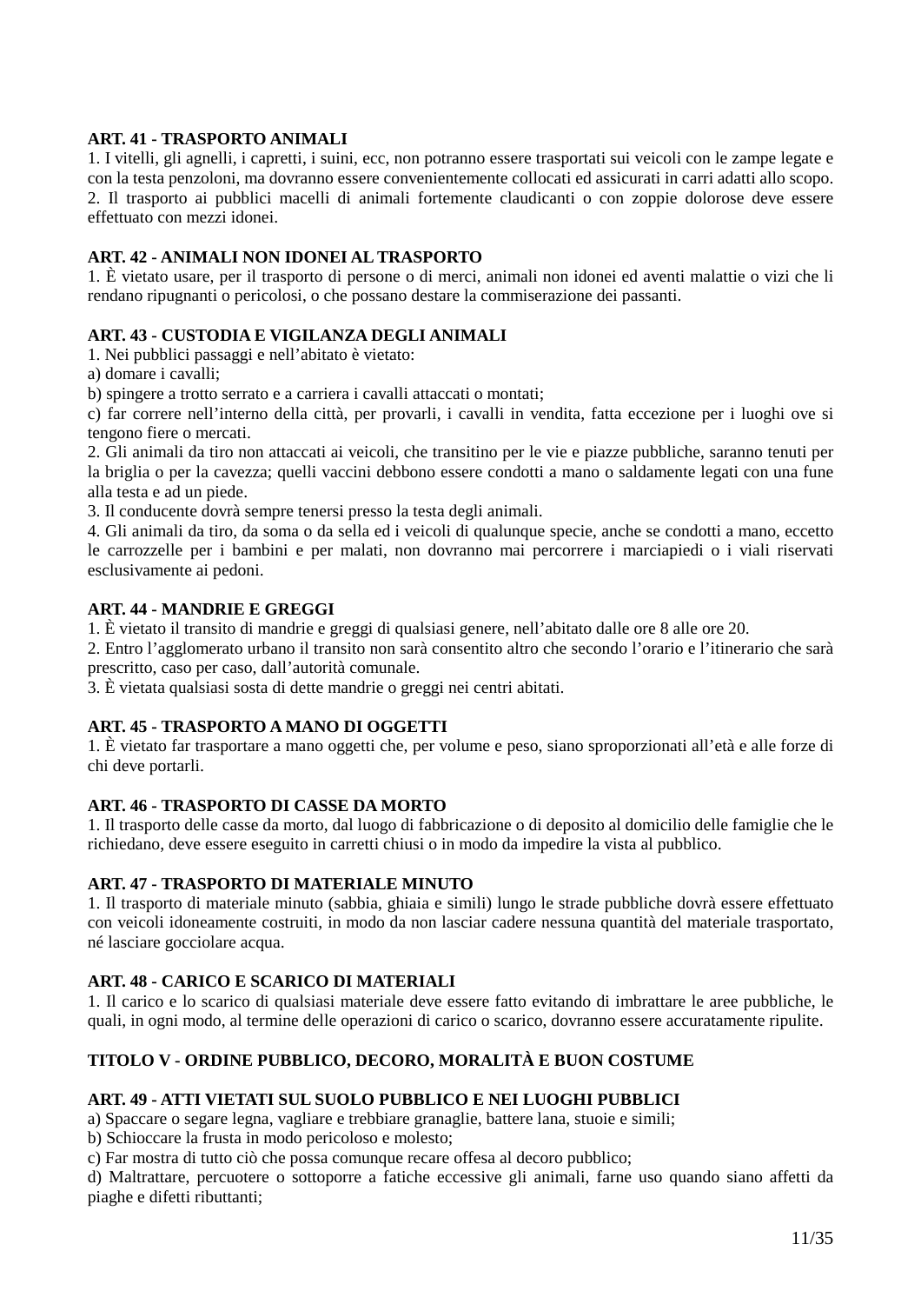## **ART. 41 - TRASPORTO ANIMALI**

1. I vitelli, gli agnelli, i capretti, i suini, ecc, non potranno essere trasportati sui veicoli con le zampe legate e con la testa penzoloni, ma dovranno essere convenientemente collocati ed assicurati in carri adatti allo scopo. 2. Il trasporto ai pubblici macelli di animali fortemente claudicanti o con zoppie dolorose deve essere effettuato con mezzi idonei.

### **ART. 42 - ANIMALI NON IDONEI AL TRASPORTO**

1. È vietato usare, per il trasporto di persone o di merci, animali non idonei ed aventi malattie o vizi che li rendano ripugnanti o pericolosi, o che possano destare la commiserazione dei passanti.

### **ART. 43 - CUSTODIA E VIGILANZA DEGLI ANIMALI**

1. Nei pubblici passaggi e nell'abitato è vietato:

a) domare i cavalli;

b) spingere a trotto serrato e a carriera i cavalli attaccati o montati;

c) far correre nell'interno della città, per provarli, i cavalli in vendita, fatta eccezione per i luoghi ove si tengono fiere o mercati.

2. Gli animali da tiro non attaccati ai veicoli, che transitino per le vie e piazze pubbliche, saranno tenuti per la briglia o per la cavezza; quelli vaccini debbono essere condotti a mano o saldamente legati con una fune alla testa e ad un piede.

3. Il conducente dovrà sempre tenersi presso la testa degli animali.

4. Gli animali da tiro, da soma o da sella ed i veicoli di qualunque specie, anche se condotti a mano, eccetto le carrozzelle per i bambini e per malati, non dovranno mai percorrere i marciapiedi o i viali riservati esclusivamente ai pedoni.

#### **ART. 44 - MANDRIE E GREGGI**

1. È vietato il transito di mandrie e greggi di qualsiasi genere, nell'abitato dalle ore 8 alle ore 20.

2. Entro l'agglomerato urbano il transito non sarà consentito altro che secondo l'orario e l'itinerario che sarà prescritto, caso per caso, dall'autorità comunale.

3. È vietata qualsiasi sosta di dette mandrie o greggi nei centri abitati.

### **ART. 45 - TRASPORTO A MANO DI OGGETTI**

1. È vietato far trasportare a mano oggetti che, per volume e peso, siano sproporzionati all'età e alle forze di chi deve portarli.

### **ART. 46 - TRASPORTO DI CASSE DA MORTO**

1. Il trasporto delle casse da morto, dal luogo di fabbricazione o di deposito al domicilio delle famiglie che le richiedano, deve essere eseguito in carretti chiusi o in modo da impedire la vista al pubblico.

### **ART. 47 - TRASPORTO DI MATERIALE MINUTO**

1. Il trasporto di materiale minuto (sabbia, ghiaia e simili) lungo le strade pubbliche dovrà essere effettuato con veicoli idoneamente costruiti, in modo da non lasciar cadere nessuna quantità del materiale trasportato, né lasciare gocciolare acqua.

### **ART. 48 - CARICO E SCARICO DI MATERIALI**

1. Il carico e lo scarico di qualsiasi materiale deve essere fatto evitando di imbrattare le aree pubbliche, le quali, in ogni modo, al termine delle operazioni di carico o scarico, dovranno essere accuratamente ripulite.

### **TITOLO V - ORDINE PUBBLICO, DECORO, MORALITÀ E BUON COSTUME**

### **ART. 49 - ATTI VIETATI SUL SUOLO PUBBLICO E NEI LUOGHI PUBBLICI**

a) Spaccare o segare legna, vagliare e trebbiare granaglie, battere lana, stuoie e simili;

b) Schioccare la frusta in modo pericoloso e molesto;

c) Far mostra di tutto ciò che possa comunque recare offesa al decoro pubblico;

d) Maltrattare, percuotere o sottoporre a fatiche eccessive gli animali, farne uso quando siano affetti da piaghe e difetti ributtanti;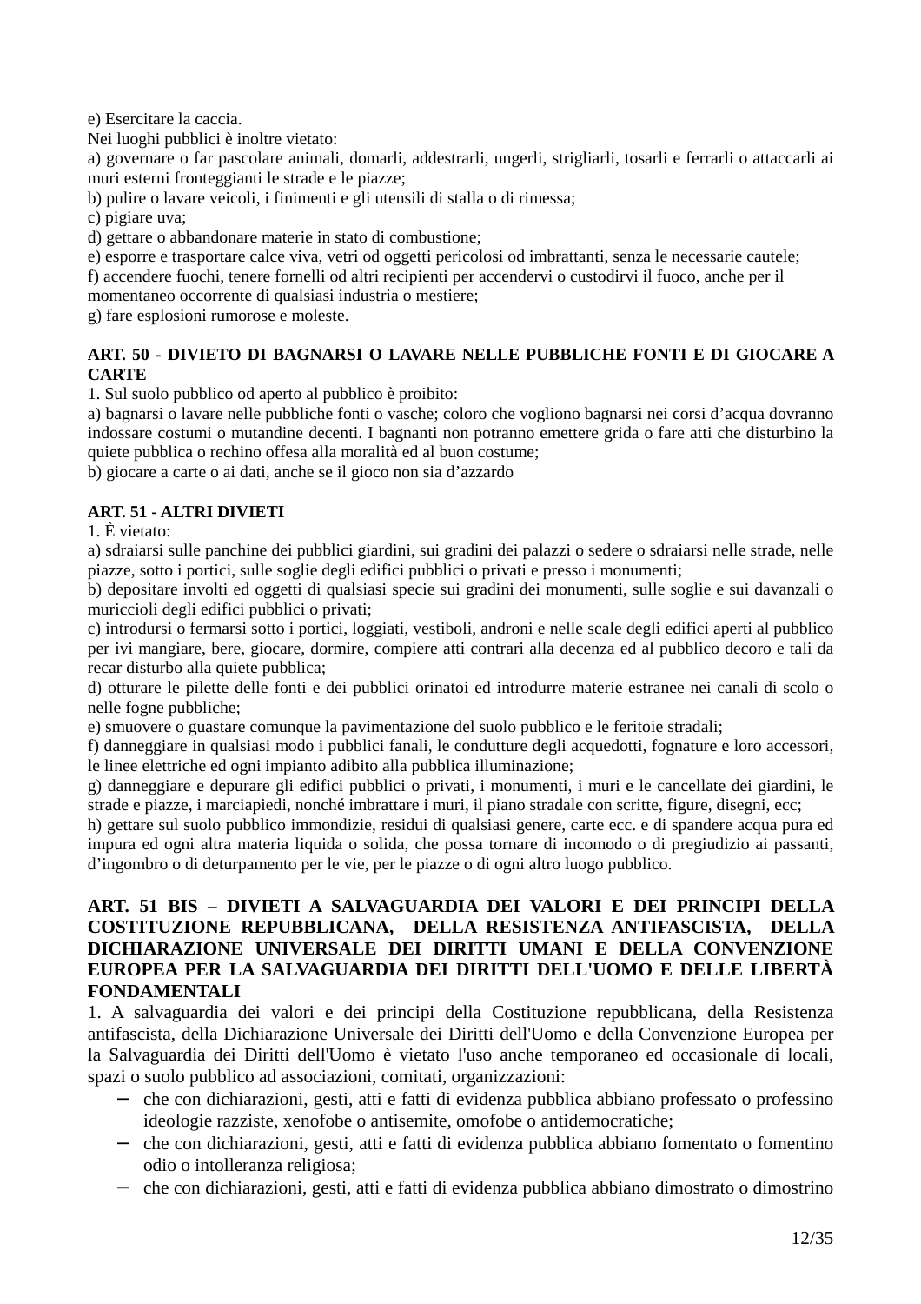e) Esercitare la caccia.

Nei luoghi pubblici è inoltre vietato:

a) governare o far pascolare animali, domarli, addestrarli, ungerli, strigliarli, tosarli e ferrarli o attaccarli ai muri esterni fronteggianti le strade e le piazze;

b) pulire o lavare veicoli, i finimenti e gli utensili di stalla o di rimessa;

c) pigiare uva;

d) gettare o abbandonare materie in stato di combustione;

e) esporre e trasportare calce viva, vetri od oggetti pericolosi od imbrattanti, senza le necessarie cautele;

f) accendere fuochi, tenere fornelli od altri recipienti per accendervi o custodirvi il fuoco, anche per il momentaneo occorrente di qualsiasi industria o mestiere;

g) fare esplosioni rumorose e moleste.

## **ART. 50 - DIVIETO DI BAGNARSI O LAVARE NELLE PUBBLICHE FONTI E DI GIOCARE A CARTE**

1. Sul suolo pubblico od aperto al pubblico è proibito:

a) bagnarsi o lavare nelle pubbliche fonti o vasche; coloro che vogliono bagnarsi nei corsi d'acqua dovranno indossare costumi o mutandine decenti. I bagnanti non potranno emettere grida o fare atti che disturbino la quiete pubblica o rechino offesa alla moralità ed al buon costume;

b) giocare a carte o ai dati, anche se il gioco non sia d'azzardo

## **ART. 51 - ALTRI DIVIETI**

1. È vietato:

a) sdraiarsi sulle panchine dei pubblici giardini, sui gradini dei palazzi o sedere o sdraiarsi nelle strade, nelle piazze, sotto i portici, sulle soglie degli edifici pubblici o privati e presso i monumenti;

b) depositare involti ed oggetti di qualsiasi specie sui gradini dei monumenti, sulle soglie e sui davanzali o muriccioli degli edifici pubblici o privati;

c) introdursi o fermarsi sotto i portici, loggiati, vestiboli, androni e nelle scale degli edifici aperti al pubblico per ivi mangiare, bere, giocare, dormire, compiere atti contrari alla decenza ed al pubblico decoro e tali da recar disturbo alla quiete pubblica;

d) otturare le pilette delle fonti e dei pubblici orinatoi ed introdurre materie estranee nei canali di scolo o nelle fogne pubbliche;

e) smuovere o guastare comunque la pavimentazione del suolo pubblico e le feritoie stradali;

f) danneggiare in qualsiasi modo i pubblici fanali, le condutture degli acquedotti, fognature e loro accessori, le linee elettriche ed ogni impianto adibito alla pubblica illuminazione;

g) danneggiare e depurare gli edifici pubblici o privati, i monumenti, i muri e le cancellate dei giardini, le strade e piazze, i marciapiedi, nonché imbrattare i muri, il piano stradale con scritte, figure, disegni, ecc;

h) gettare sul suolo pubblico immondizie, residui di qualsiasi genere, carte ecc. e di spandere acqua pura ed impura ed ogni altra materia liquida o solida, che possa tornare di incomodo o di pregiudizio ai passanti, d'ingombro o di deturpamento per le vie, per le piazze o di ogni altro luogo pubblico.

## **ART. 51 BIS – DIVIETI A SALVAGUARDIA DEI VALORI E DEI PRINCIPI DELLA COSTITUZIONE REPUBBLICANA, DELLA RESISTENZA ANTIFASCISTA, DELLA DICHIARAZIONE UNIVERSALE DEI DIRITTI UMANI E DELLA CONVENZIONE EUROPEA PER LA SALVAGUARDIA DEI DIRITTI DELL'UOMO E DELLE LIBERTÀ FONDAMENTALI**

1. A salvaguardia dei valori e dei principi della Costituzione repubblicana, della Resistenza antifascista, della Dichiarazione Universale dei Diritti dell'Uomo e della Convenzione Europea per la Salvaguardia dei Diritti dell'Uomo è vietato l'uso anche temporaneo ed occasionale di locali, spazi o suolo pubblico ad associazioni, comitati, organizzazioni:

- − che con dichiarazioni, gesti, atti e fatti di evidenza pubblica abbiano professato o professino ideologie razziste, xenofobe o antisemite, omofobe o antidemocratiche;
- − che con dichiarazioni, gesti, atti e fatti di evidenza pubblica abbiano fomentato o fomentino odio o intolleranza religiosa;
- − che con dichiarazioni, gesti, atti e fatti di evidenza pubblica abbiano dimostrato o dimostrino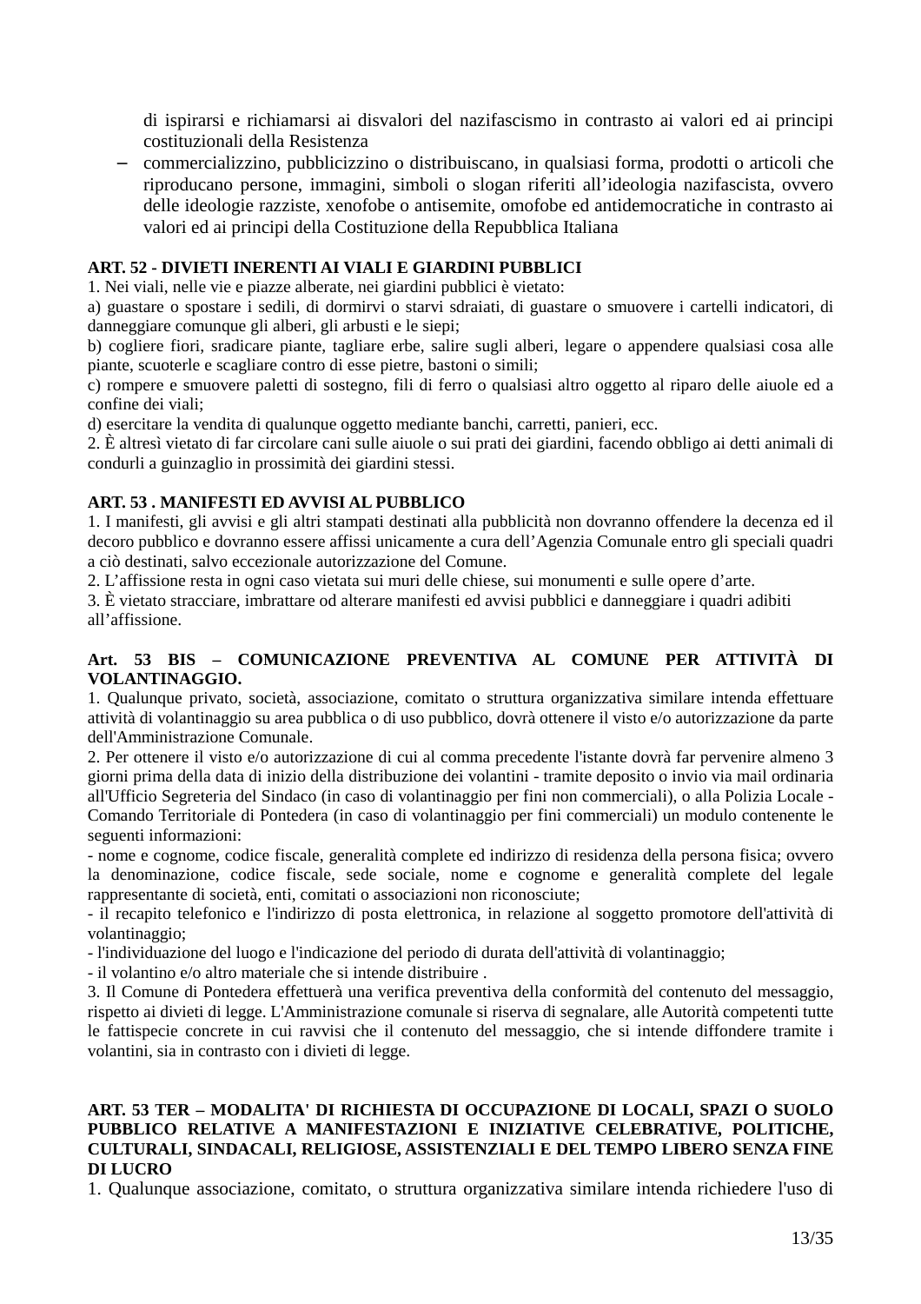di ispirarsi e richiamarsi ai disvalori del nazifascismo in contrasto ai valori ed ai principi costituzionali della Resistenza

− commercializzino, pubblicizzino o distribuiscano, in qualsiasi forma, prodotti o articoli che riproducano persone, immagini, simboli o slogan riferiti all'ideologia nazifascista, ovvero delle ideologie razziste, xenofobe o antisemite, omofobe ed antidemocratiche in contrasto ai valori ed ai principi della Costituzione della Repubblica Italiana

### **ART. 52 - DIVIETI INERENTI AI VIALI E GIARDINI PUBBLICI**

1. Nei viali, nelle vie e piazze alberate, nei giardini pubblici è vietato:

a) guastare o spostare i sedili, di dormirvi o starvi sdraiati, di guastare o smuovere i cartelli indicatori, di danneggiare comunque gli alberi, gli arbusti e le siepi;

b) cogliere fiori, sradicare piante, tagliare erbe, salire sugli alberi, legare o appendere qualsiasi cosa alle piante, scuoterle e scagliare contro di esse pietre, bastoni o simili;

c) rompere e smuovere paletti di sostegno, fili di ferro o qualsiasi altro oggetto al riparo delle aiuole ed a confine dei viali;

d) esercitare la vendita di qualunque oggetto mediante banchi, carretti, panieri, ecc.

2. È altresì vietato di far circolare cani sulle aiuole o sui prati dei giardini, facendo obbligo ai detti animali di condurli a guinzaglio in prossimità dei giardini stessi.

## **ART. 53 . MANIFESTI ED AVVISI AL PUBBLICO**

1. I manifesti, gli avvisi e gli altri stampati destinati alla pubblicità non dovranno offendere la decenza ed il decoro pubblico e dovranno essere affissi unicamente a cura dell'Agenzia Comunale entro gli speciali quadri a ciò destinati, salvo eccezionale autorizzazione del Comune.

2. L'affissione resta in ogni caso vietata sui muri delle chiese, sui monumenti e sulle opere d'arte.

3. È vietato stracciare, imbrattare od alterare manifesti ed avvisi pubblici e danneggiare i quadri adibiti all'affissione.

### **Art. 53 BIS – COMUNICAZIONE PREVENTIVA AL COMUNE PER ATTIVITÀ DI VOLANTINAGGIO.**

1. Qualunque privato, società, associazione, comitato o struttura organizzativa similare intenda effettuare attività di volantinaggio su area pubblica o di uso pubblico, dovrà ottenere il visto e/o autorizzazione da parte dell'Amministrazione Comunale.

2. Per ottenere il visto e/o autorizzazione di cui al comma precedente l'istante dovrà far pervenire almeno 3 giorni prima della data di inizio della distribuzione dei volantini - tramite deposito o invio via mail ordinaria all'Ufficio Segreteria del Sindaco (in caso di volantinaggio per fini non commerciali), o alla Polizia Locale - Comando Territoriale di Pontedera (in caso di volantinaggio per fini commerciali) un modulo contenente le seguenti informazioni:

- nome e cognome, codice fiscale, generalità complete ed indirizzo di residenza della persona fisica; ovvero la denominazione, codice fiscale, sede sociale, nome e cognome e generalità complete del legale rappresentante di società, enti, comitati o associazioni non riconosciute;

- il recapito telefonico e l'indirizzo di posta elettronica, in relazione al soggetto promotore dell'attività di volantinaggio;

- l'individuazione del luogo e l'indicazione del periodo di durata dell'attività di volantinaggio;

- il volantino e/o altro materiale che si intende distribuire .

3. Il Comune di Pontedera effettuerà una verifica preventiva della conformità del contenuto del messaggio, rispetto ai divieti di legge. L'Amministrazione comunale si riserva di segnalare, alle Autorità competenti tutte le fattispecie concrete in cui ravvisi che il contenuto del messaggio, che si intende diffondere tramite i volantini, sia in contrasto con i divieti di legge.

### **ART. 53 TER – MODALITA' DI RICHIESTA DI OCCUPAZIONE DI LOCALI, SPAZI O SUOLO PUBBLICO RELATIVE A MANIFESTAZIONI E INIZIATIVE CELEBRATIVE, POLITICHE, CULTURALI, SINDACALI, RELIGIOSE, ASSISTENZIALI E DEL TEMPO LIBERO SENZA FINE DI LUCRO**

1. Qualunque associazione, comitato, o struttura organizzativa similare intenda richiedere l'uso di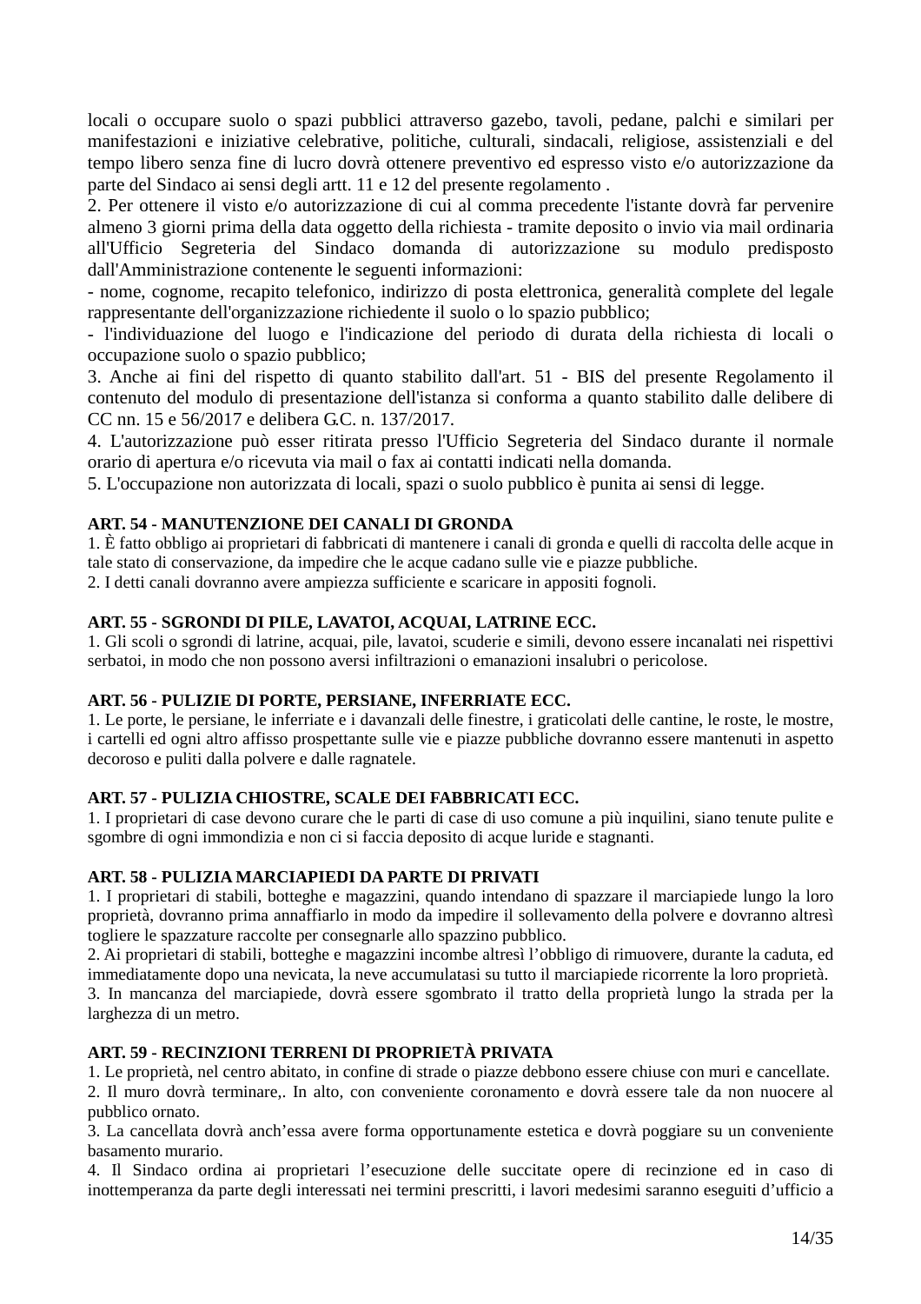locali o occupare suolo o spazi pubblici attraverso gazebo, tavoli, pedane, palchi e similari per manifestazioni e iniziative celebrative, politiche, culturali, sindacali, religiose, assistenziali e del tempo libero senza fine di lucro dovrà ottenere preventivo ed espresso visto e/o autorizzazione da parte del Sindaco ai sensi degli artt. 11 e 12 del presente regolamento .

2. Per ottenere il visto e/o autorizzazione di cui al comma precedente l'istante dovrà far pervenire almeno 3 giorni prima della data oggetto della richiesta - tramite deposito o invio via mail ordinaria all'Ufficio Segreteria del Sindaco domanda di autorizzazione su modulo predisposto dall'Amministrazione contenente le seguenti informazioni:

- nome, cognome, recapito telefonico, indirizzo di posta elettronica, generalità complete del legale rappresentante dell'organizzazione richiedente il suolo o lo spazio pubblico;

- l'individuazione del luogo e l'indicazione del periodo di durata della richiesta di locali o occupazione suolo o spazio pubblico;

3. Anche ai fini del rispetto di quanto stabilito dall'art. 51 - BIS del presente Regolamento il contenuto del modulo di presentazione dell'istanza si conforma a quanto stabilito dalle delibere di CC nn. 15 e 56/2017 e delibera G.C. n. 137/2017.

4. L'autorizzazione può esser ritirata presso l'Ufficio Segreteria del Sindaco durante il normale orario di apertura e/o ricevuta via mail o fax ai contatti indicati nella domanda.

5. L'occupazione non autorizzata di locali, spazi o suolo pubblico è punita ai sensi di legge.

## **ART. 54 - MANUTENZIONE DEI CANALI DI GRONDA**

1. È fatto obbligo ai proprietari di fabbricati di mantenere i canali di gronda e quelli di raccolta delle acque in tale stato di conservazione, da impedire che le acque cadano sulle vie e piazze pubbliche. 2. I detti canali dovranno avere ampiezza sufficiente e scaricare in appositi fognoli.

## **ART. 55 - SGRONDI DI PILE, LAVATOI, ACQUAI, LATRINE ECC.**

1. Gli scoli o sgrondi di latrine, acquai, pile, lavatoi, scuderie e simili, devono essere incanalati nei rispettivi serbatoi, in modo che non possono aversi infiltrazioni o emanazioni insalubri o pericolose.

### **ART. 56 - PULIZIE DI PORTE, PERSIANE, INFERRIATE ECC.**

1. Le porte, le persiane, le inferriate e i davanzali delle finestre, i graticolati delle cantine, le roste, le mostre, i cartelli ed ogni altro affisso prospettante sulle vie e piazze pubbliche dovranno essere mantenuti in aspetto decoroso e puliti dalla polvere e dalle ragnatele.

### **ART. 57 - PULIZIA CHIOSTRE, SCALE DEI FABBRICATI ECC.**

1. I proprietari di case devono curare che le parti di case di uso comune a più inquilini, siano tenute pulite e sgombre di ogni immondizia e non ci si faccia deposito di acque luride e stagnanti.

### **ART. 58 - PULIZIA MARCIAPIEDI DA PARTE DI PRIVATI**

1. I proprietari di stabili, botteghe e magazzini, quando intendano di spazzare il marciapiede lungo la loro proprietà, dovranno prima annaffiarlo in modo da impedire il sollevamento della polvere e dovranno altresì togliere le spazzature raccolte per consegnarle allo spazzino pubblico.

2. Ai proprietari di stabili, botteghe e magazzini incombe altresì l'obbligo di rimuovere, durante la caduta, ed immediatamente dopo una nevicata, la neve accumulatasi su tutto il marciapiede ricorrente la loro proprietà.

3. In mancanza del marciapiede, dovrà essere sgombrato il tratto della proprietà lungo la strada per la larghezza di un metro.

### **ART. 59 - RECINZIONI TERRENI DI PROPRIETÀ PRIVATA**

1. Le proprietà, nel centro abitato, in confine di strade o piazze debbono essere chiuse con muri e cancellate.

2. Il muro dovrà terminare,. In alto, con conveniente coronamento e dovrà essere tale da non nuocere al pubblico ornato.

3. La cancellata dovrà anch'essa avere forma opportunamente estetica e dovrà poggiare su un conveniente basamento murario.

4. Il Sindaco ordina ai proprietari l'esecuzione delle succitate opere di recinzione ed in caso di inottemperanza da parte degli interessati nei termini prescritti, i lavori medesimi saranno eseguiti d'ufficio a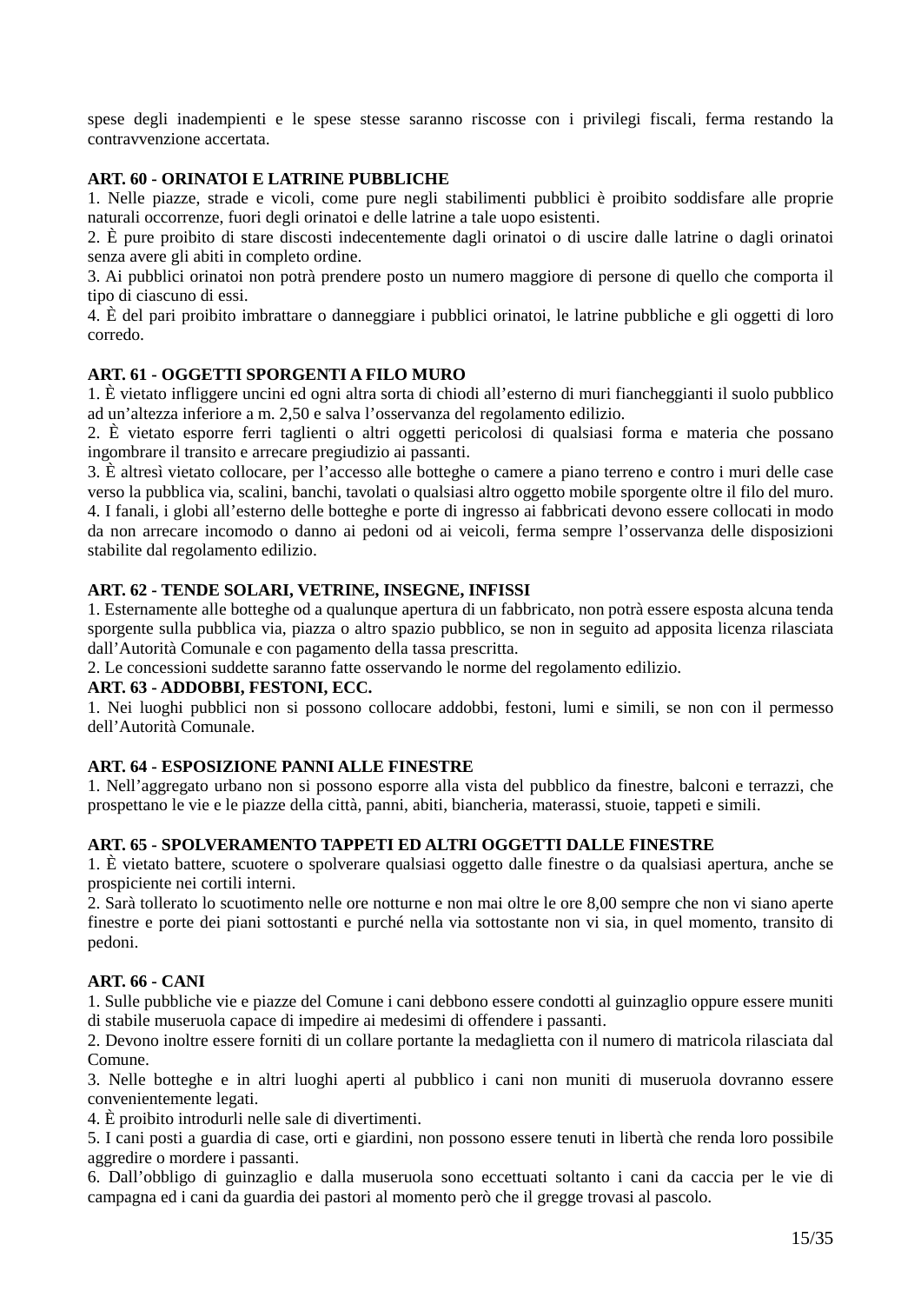spese degli inadempienti e le spese stesse saranno riscosse con i privilegi fiscali, ferma restando la contravvenzione accertata.

### **ART. 60 - ORINATOI E LATRINE PUBBLICHE**

1. Nelle piazze, strade e vicoli, come pure negli stabilimenti pubblici è proibito soddisfare alle proprie naturali occorrenze, fuori degli orinatoi e delle latrine a tale uopo esistenti.

2. È pure proibito di stare discosti indecentemente dagli orinatoi o di uscire dalle latrine o dagli orinatoi senza avere gli abiti in completo ordine.

3. Ai pubblici orinatoi non potrà prendere posto un numero maggiore di persone di quello che comporta il tipo di ciascuno di essi.

4. È del pari proibito imbrattare o danneggiare i pubblici orinatoi, le latrine pubbliche e gli oggetti di loro corredo.

### **ART. 61 - OGGETTI SPORGENTI A FILO MURO**

1. È vietato infliggere uncini ed ogni altra sorta di chiodi all'esterno di muri fiancheggianti il suolo pubblico ad un'altezza inferiore a m. 2,50 e salva l'osservanza del regolamento edilizio.

2. È vietato esporre ferri taglienti o altri oggetti pericolosi di qualsiasi forma e materia che possano ingombrare il transito e arrecare pregiudizio ai passanti.

3. È altresì vietato collocare, per l'accesso alle botteghe o camere a piano terreno e contro i muri delle case verso la pubblica via, scalini, banchi, tavolati o qualsiasi altro oggetto mobile sporgente oltre il filo del muro. 4. I fanali, i globi all'esterno delle botteghe e porte di ingresso ai fabbricati devono essere collocati in modo da non arrecare incomodo o danno ai pedoni od ai veicoli, ferma sempre l'osservanza delle disposizioni stabilite dal regolamento edilizio.

#### **ART. 62 - TENDE SOLARI, VETRINE, INSEGNE, INFISSI**

1. Esternamente alle botteghe od a qualunque apertura di un fabbricato, non potrà essere esposta alcuna tenda sporgente sulla pubblica via, piazza o altro spazio pubblico, se non in seguito ad apposita licenza rilasciata dall'Autorità Comunale e con pagamento della tassa prescritta.

2. Le concessioni suddette saranno fatte osservando le norme del regolamento edilizio.

#### **ART. 63 - ADDOBBI, FESTONI, ECC.**

1. Nei luoghi pubblici non si possono collocare addobbi, festoni, lumi e simili, se non con il permesso dell'Autorità Comunale.

### **ART. 64 - ESPOSIZIONE PANNI ALLE FINESTRE**

1. Nell'aggregato urbano non si possono esporre alla vista del pubblico da finestre, balconi e terrazzi, che prospettano le vie e le piazze della città, panni, abiti, biancheria, materassi, stuoie, tappeti e simili.

#### **ART. 65 - SPOLVERAMENTO TAPPETI ED ALTRI OGGETTI DALLE FINESTRE**

1. È vietato battere, scuotere o spolverare qualsiasi oggetto dalle finestre o da qualsiasi apertura, anche se prospiciente nei cortili interni.

2. Sarà tollerato lo scuotimento nelle ore notturne e non mai oltre le ore 8,00 sempre che non vi siano aperte finestre e porte dei piani sottostanti e purché nella via sottostante non vi sia, in quel momento, transito di pedoni.

#### **ART. 66 - CANI**

1. Sulle pubbliche vie e piazze del Comune i cani debbono essere condotti al guinzaglio oppure essere muniti di stabile museruola capace di impedire ai medesimi di offendere i passanti.

2. Devono inoltre essere forniti di un collare portante la medaglietta con il numero di matricola rilasciata dal Comune.

3. Nelle botteghe e in altri luoghi aperti al pubblico i cani non muniti di museruola dovranno essere convenientemente legati.

4. È proibito introdurli nelle sale di divertimenti.

5. I cani posti a guardia di case, orti e giardini, non possono essere tenuti in libertà che renda loro possibile aggredire o mordere i passanti.

6. Dall'obbligo di guinzaglio e dalla museruola sono eccettuati soltanto i cani da caccia per le vie di campagna ed i cani da guardia dei pastori al momento però che il gregge trovasi al pascolo.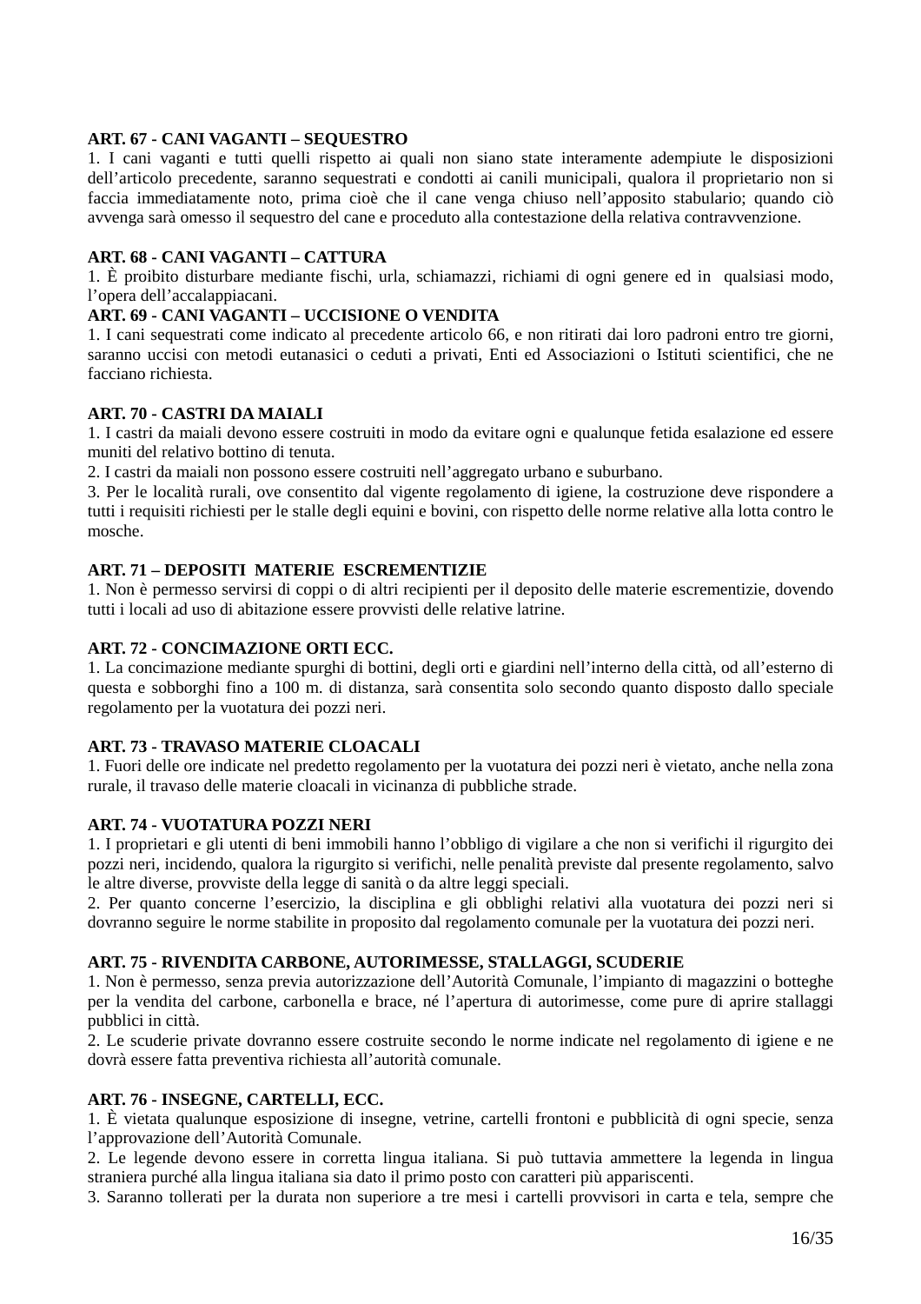### **ART. 67 - CANI VAGANTI – SEQUESTRO**

1. I cani vaganti e tutti quelli rispetto ai quali non siano state interamente adempiute le disposizioni dell'articolo precedente, saranno sequestrati e condotti ai canili municipali, qualora il proprietario non si faccia immediatamente noto, prima cioè che il cane venga chiuso nell'apposito stabulario; quando ciò avvenga sarà omesso il sequestro del cane e proceduto alla contestazione della relativa contravvenzione.

### **ART. 68 - CANI VAGANTI – CATTURA**

1. È proibito disturbare mediante fischi, urla, schiamazzi, richiami di ogni genere ed in qualsiasi modo, l'opera dell'accalappiacani.

### **ART. 69 - CANI VAGANTI – UCCISIONE O VENDITA**

1. I cani sequestrati come indicato al precedente articolo 66, e non ritirati dai loro padroni entro tre giorni, saranno uccisi con metodi eutanasici o ceduti a privati, Enti ed Associazioni o Istituti scientifici, che ne facciano richiesta.

#### **ART. 70 - CASTRI DA MAIALI**

1. I castri da maiali devono essere costruiti in modo da evitare ogni e qualunque fetida esalazione ed essere muniti del relativo bottino di tenuta.

2. I castri da maiali non possono essere costruiti nell'aggregato urbano e suburbano.

3. Per le località rurali, ove consentito dal vigente regolamento di igiene, la costruzione deve rispondere a tutti i requisiti richiesti per le stalle degli equini e bovini, con rispetto delle norme relative alla lotta contro le mosche.

### **ART. 71 – DEPOSITI MATERIE ESCREMENTIZIE**

1. Non è permesso servirsi di coppi o di altri recipienti per il deposito delle materie escrementizie, dovendo tutti i locali ad uso di abitazione essere provvisti delle relative latrine.

#### **ART. 72 - CONCIMAZIONE ORTI ECC.**

1. La concimazione mediante spurghi di bottini, degli orti e giardini nell'interno della città, od all'esterno di questa e sobborghi fino a 100 m. di distanza, sarà consentita solo secondo quanto disposto dallo speciale regolamento per la vuotatura dei pozzi neri.

#### **ART. 73 - TRAVASO MATERIE CLOACALI**

1. Fuori delle ore indicate nel predetto regolamento per la vuotatura dei pozzi neri è vietato, anche nella zona rurale, il travaso delle materie cloacali in vicinanza di pubbliche strade.

#### **ART. 74 - VUOTATURA POZZI NERI**

1. I proprietari e gli utenti di beni immobili hanno l'obbligo di vigilare a che non si verifichi il rigurgito dei pozzi neri, incidendo, qualora la rigurgito si verifichi, nelle penalità previste dal presente regolamento, salvo le altre diverse, provviste della legge di sanità o da altre leggi speciali.

2. Per quanto concerne l'esercizio, la disciplina e gli obblighi relativi alla vuotatura dei pozzi neri si dovranno seguire le norme stabilite in proposito dal regolamento comunale per la vuotatura dei pozzi neri.

#### **ART. 75 - RIVENDITA CARBONE, AUTORIMESSE, STALLAGGI, SCUDERIE**

1. Non è permesso, senza previa autorizzazione dell'Autorità Comunale, l'impianto di magazzini o botteghe per la vendita del carbone, carbonella e brace, né l'apertura di autorimesse, come pure di aprire stallaggi pubblici in città.

2. Le scuderie private dovranno essere costruite secondo le norme indicate nel regolamento di igiene e ne dovrà essere fatta preventiva richiesta all'autorità comunale.

#### **ART. 76 - INSEGNE, CARTELLI, ECC.**

1. È vietata qualunque esposizione di insegne, vetrine, cartelli frontoni e pubblicità di ogni specie, senza l'approvazione dell'Autorità Comunale.

2. Le legende devono essere in corretta lingua italiana. Si può tuttavia ammettere la legenda in lingua straniera purché alla lingua italiana sia dato il primo posto con caratteri più appariscenti.

3. Saranno tollerati per la durata non superiore a tre mesi i cartelli provvisori in carta e tela, sempre che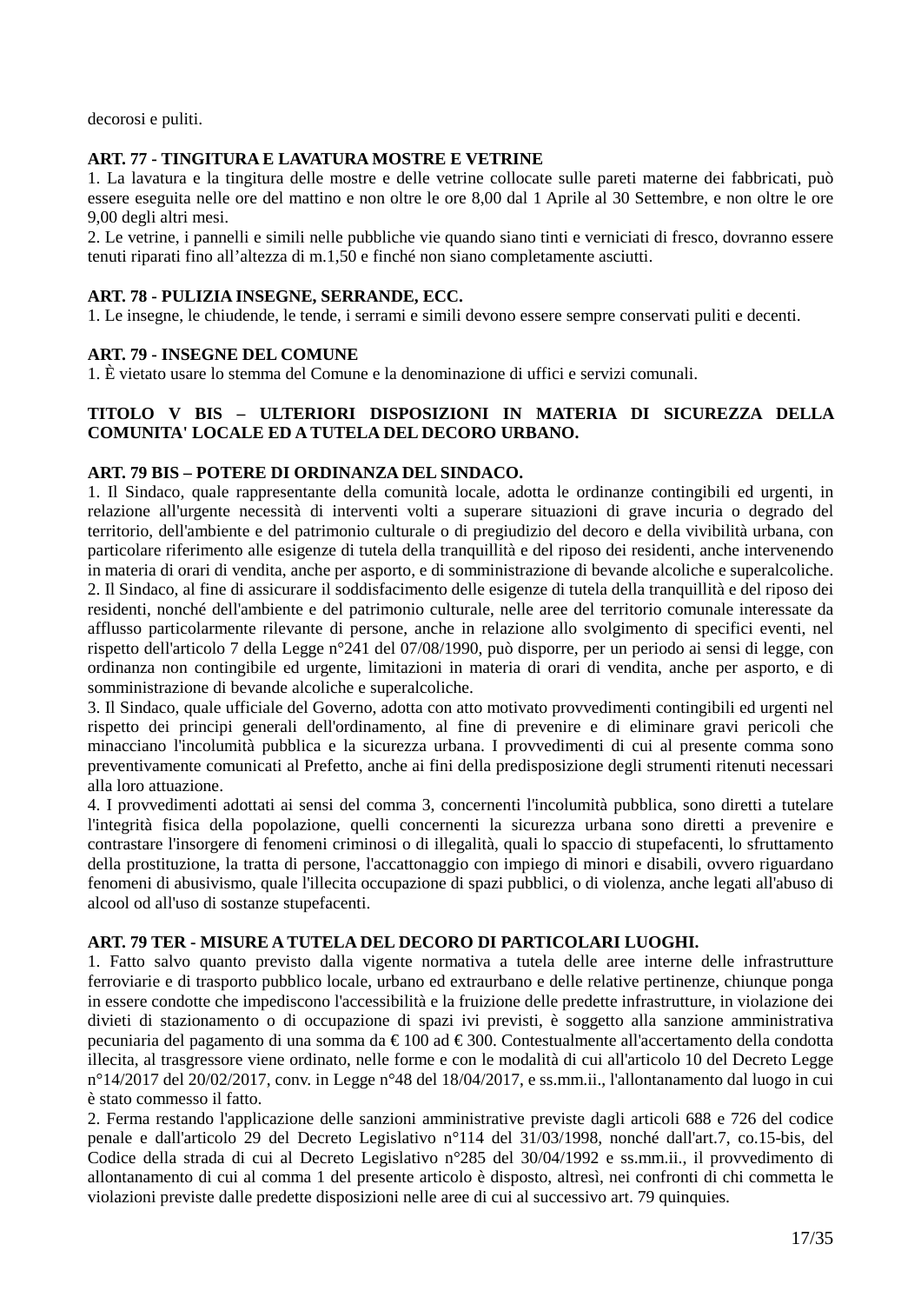decorosi e puliti.

### **ART. 77 - TINGITURA E LAVATURA MOSTRE E VETRINE**

1. La lavatura e la tingitura delle mostre e delle vetrine collocate sulle pareti materne dei fabbricati, può essere eseguita nelle ore del mattino e non oltre le ore 8,00 dal 1 Aprile al 30 Settembre, e non oltre le ore 9,00 degli altri mesi.

2. Le vetrine, i pannelli e simili nelle pubbliche vie quando siano tinti e verniciati di fresco, dovranno essere tenuti riparati fino all'altezza di m.1,50 e finché non siano completamente asciutti.

### **ART. 78 - PULIZIA INSEGNE, SERRANDE, ECC.**

1. Le insegne, le chiudende, le tende, i serrami e simili devono essere sempre conservati puliti e decenti.

### **ART. 79 - INSEGNE DEL COMUNE**

1. È vietato usare lo stemma del Comune e la denominazione di uffici e servizi comunali.

### **TITOLO V BIS – ULTERIORI DISPOSIZIONI IN MATERIA DI SICUREZZA DELLA COMUNITA' LOCALE ED A TUTELA DEL DECORO URBANO.**

### **ART. 79 BIS – POTERE DI ORDINANZA DEL SINDACO.**

1. Il Sindaco, quale rappresentante della comunità locale, adotta le ordinanze contingibili ed urgenti, in relazione all'urgente necessità di interventi volti a superare situazioni di grave incuria o degrado del territorio, dell'ambiente e del patrimonio culturale o di pregiudizio del decoro e della vivibilità urbana, con particolare riferimento alle esigenze di tutela della tranquillità e del riposo dei residenti, anche intervenendo in materia di orari di vendita, anche per asporto, e di somministrazione di bevande alcoliche e superalcoliche. 2. Il Sindaco, al fine di assicurare il soddisfacimento delle esigenze di tutela della tranquillità e del riposo dei residenti, nonché dell'ambiente e del patrimonio culturale, nelle aree del territorio comunale interessate da afflusso particolarmente rilevante di persone, anche in relazione allo svolgimento di specifici eventi, nel rispetto dell'articolo 7 della Legge n°241 del 07/08/1990, può disporre, per un periodo ai sensi di legge, con ordinanza non contingibile ed urgente, limitazioni in materia di orari di vendita, anche per asporto, e di somministrazione di bevande alcoliche e superalcoliche.

3. Il Sindaco, quale ufficiale del Governo, adotta con atto motivato provvedimenti contingibili ed urgenti nel rispetto dei principi generali dell'ordinamento, al fine di prevenire e di eliminare gravi pericoli che minacciano l'incolumità pubblica e la sicurezza urbana. I provvedimenti di cui al presente comma sono preventivamente comunicati al Prefetto, anche ai fini della predisposizione degli strumenti ritenuti necessari alla loro attuazione.

4. I provvedimenti adottati ai sensi del comma 3, concernenti l'incolumità pubblica, sono diretti a tutelare l'integrità fisica della popolazione, quelli concernenti la sicurezza urbana sono diretti a prevenire e contrastare l'insorgere di fenomeni criminosi o di illegalità, quali lo spaccio di stupefacenti, lo sfruttamento della prostituzione, la tratta di persone, l'accattonaggio con impiego di minori e disabili, ovvero riguardano fenomeni di abusivismo, quale l'illecita occupazione di spazi pubblici, o di violenza, anche legati all'abuso di alcool od all'uso di sostanze stupefacenti.

#### **ART. 79 TER - MISURE A TUTELA DEL DECORO DI PARTICOLARI LUOGHI.**

1. Fatto salvo quanto previsto dalla vigente normativa a tutela delle aree interne delle infrastrutture ferroviarie e di trasporto pubblico locale, urbano ed extraurbano e delle relative pertinenze, chiunque ponga in essere condotte che impediscono l'accessibilità e la fruizione delle predette infrastrutture, in violazione dei divieti di stazionamento o di occupazione di spazi ivi previsti, è soggetto alla sanzione amministrativa pecuniaria del pagamento di una somma da € 100 ad € 300. Contestualmente all'accertamento della condotta illecita, al trasgressore viene ordinato, nelle forme e con le modalità di cui all'articolo 10 del Decreto Legge n°14/2017 del 20/02/2017, conv. in Legge n°48 del 18/04/2017, e ss.mm.ii., l'allontanamento dal luogo in cui è stato commesso il fatto.

2. Ferma restando l'applicazione delle sanzioni amministrative previste dagli articoli 688 e 726 del codice penale e dall'articolo 29 del Decreto Legislativo n°114 del 31/03/1998, nonché dall'art.7, co.15-bis, del Codice della strada di cui al Decreto Legislativo n°285 del 30/04/1992 e ss.mm.ii., il provvedimento di allontanamento di cui al comma 1 del presente articolo è disposto, altresì, nei confronti di chi commetta le violazioni previste dalle predette disposizioni nelle aree di cui al successivo art. 79 quinquies.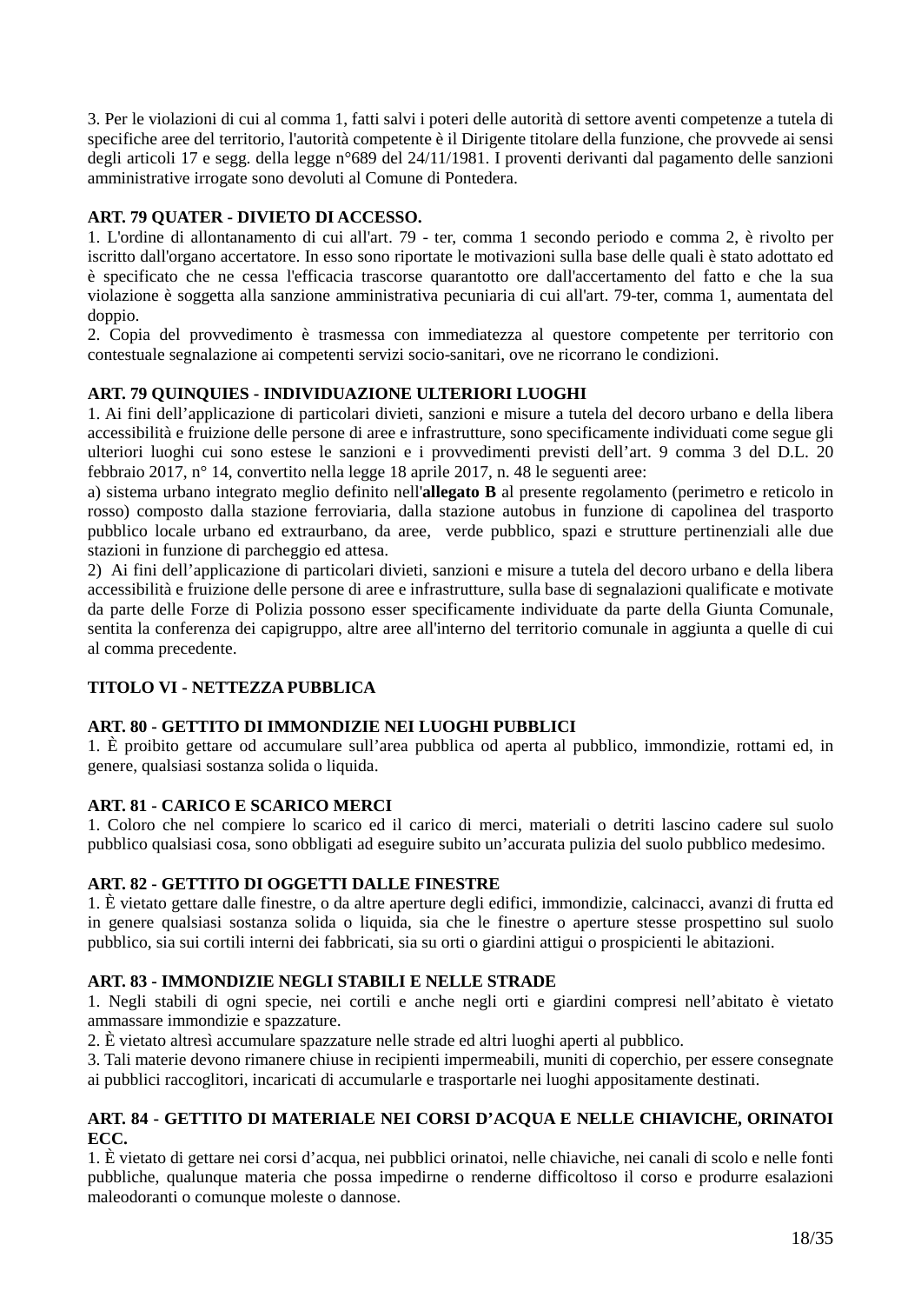3. Per le violazioni di cui al comma 1, fatti salvi i poteri delle autorità di settore aventi competenze a tutela di specifiche aree del territorio, l'autorità competente è il Dirigente titolare della funzione, che provvede ai sensi degli articoli 17 e segg. della legge n°689 del 24/11/1981. I proventi derivanti dal pagamento delle sanzioni amministrative irrogate sono devoluti al Comune di Pontedera.

## **ART. 79 QUATER - DIVIETO DI ACCESSO.**

1. L'ordine di allontanamento di cui all'art. 79 - ter, comma 1 secondo periodo e comma 2, è rivolto per iscritto dall'organo accertatore. In esso sono riportate le motivazioni sulla base delle quali è stato adottato ed è specificato che ne cessa l'efficacia trascorse quarantotto ore dall'accertamento del fatto e che la sua violazione è soggetta alla sanzione amministrativa pecuniaria di cui all'art. 79-ter, comma 1, aumentata del doppio.

2. Copia del provvedimento è trasmessa con immediatezza al questore competente per territorio con contestuale segnalazione ai competenti servizi socio-sanitari, ove ne ricorrano le condizioni.

### **ART. 79 QUINQUIES - INDIVIDUAZIONE ULTERIORI LUOGHI**

1. Ai fini dell'applicazione di particolari divieti, sanzioni e misure a tutela del decoro urbano e della libera accessibilità e fruizione delle persone di aree e infrastrutture, sono specificamente individuati come segue gli ulteriori luoghi cui sono estese le sanzioni e i provvedimenti previsti dell'art. 9 comma 3 del D.L. 20 febbraio 2017, n° 14, convertito nella legge 18 aprile 2017, n. 48 le seguenti aree:

a) sistema urbano integrato meglio definito nell'**allegato B** al presente regolamento (perimetro e reticolo in rosso) composto dalla stazione ferroviaria, dalla stazione autobus in funzione di capolinea del trasporto pubblico locale urbano ed extraurbano, da aree, verde pubblico, spazi e strutture pertinenziali alle due stazioni in funzione di parcheggio ed attesa.

2) Ai fini dell'applicazione di particolari divieti, sanzioni e misure a tutela del decoro urbano e della libera accessibilità e fruizione delle persone di aree e infrastrutture, sulla base di segnalazioni qualificate e motivate da parte delle Forze di Polizia possono esser specificamente individuate da parte della Giunta Comunale, sentita la conferenza dei capigruppo, altre aree all'interno del territorio comunale in aggiunta a quelle di cui al comma precedente.

### **TITOLO VI - NETTEZZA PUBBLICA**

### **ART. 80 - GETTITO DI IMMONDIZIE NEI LUOGHI PUBBLICI**

1. È proibito gettare od accumulare sull'area pubblica od aperta al pubblico, immondizie, rottami ed, in genere, qualsiasi sostanza solida o liquida.

### **ART. 81 - CARICO E SCARICO MERCI**

1. Coloro che nel compiere lo scarico ed il carico di merci, materiali o detriti lascino cadere sul suolo pubblico qualsiasi cosa, sono obbligati ad eseguire subito un'accurata pulizia del suolo pubblico medesimo.

### **ART. 82 - GETTITO DI OGGETTI DALLE FINESTRE**

1. È vietato gettare dalle finestre, o da altre aperture degli edifici, immondizie, calcinacci, avanzi di frutta ed in genere qualsiasi sostanza solida o liquida, sia che le finestre o aperture stesse prospettino sul suolo pubblico, sia sui cortili interni dei fabbricati, sia su orti o giardini attigui o prospicienti le abitazioni.

### **ART. 83 - IMMONDIZIE NEGLI STABILI E NELLE STRADE**

1. Negli stabili di ogni specie, nei cortili e anche negli orti e giardini compresi nell'abitato è vietato ammassare immondizie e spazzature.

2. È vietato altresì accumulare spazzature nelle strade ed altri luoghi aperti al pubblico.

3. Tali materie devono rimanere chiuse in recipienti impermeabili, muniti di coperchio, per essere consegnate ai pubblici raccoglitori, incaricati di accumularle e trasportarle nei luoghi appositamente destinati.

#### **ART. 84 - GETTITO DI MATERIALE NEI CORSI D'ACQUA E NELLE CHIAVICHE, ORINATOI ECC.**

1. È vietato di gettare nei corsi d'acqua, nei pubblici orinatoi, nelle chiaviche, nei canali di scolo e nelle fonti pubbliche, qualunque materia che possa impedirne o renderne difficoltoso il corso e produrre esalazioni maleodoranti o comunque moleste o dannose.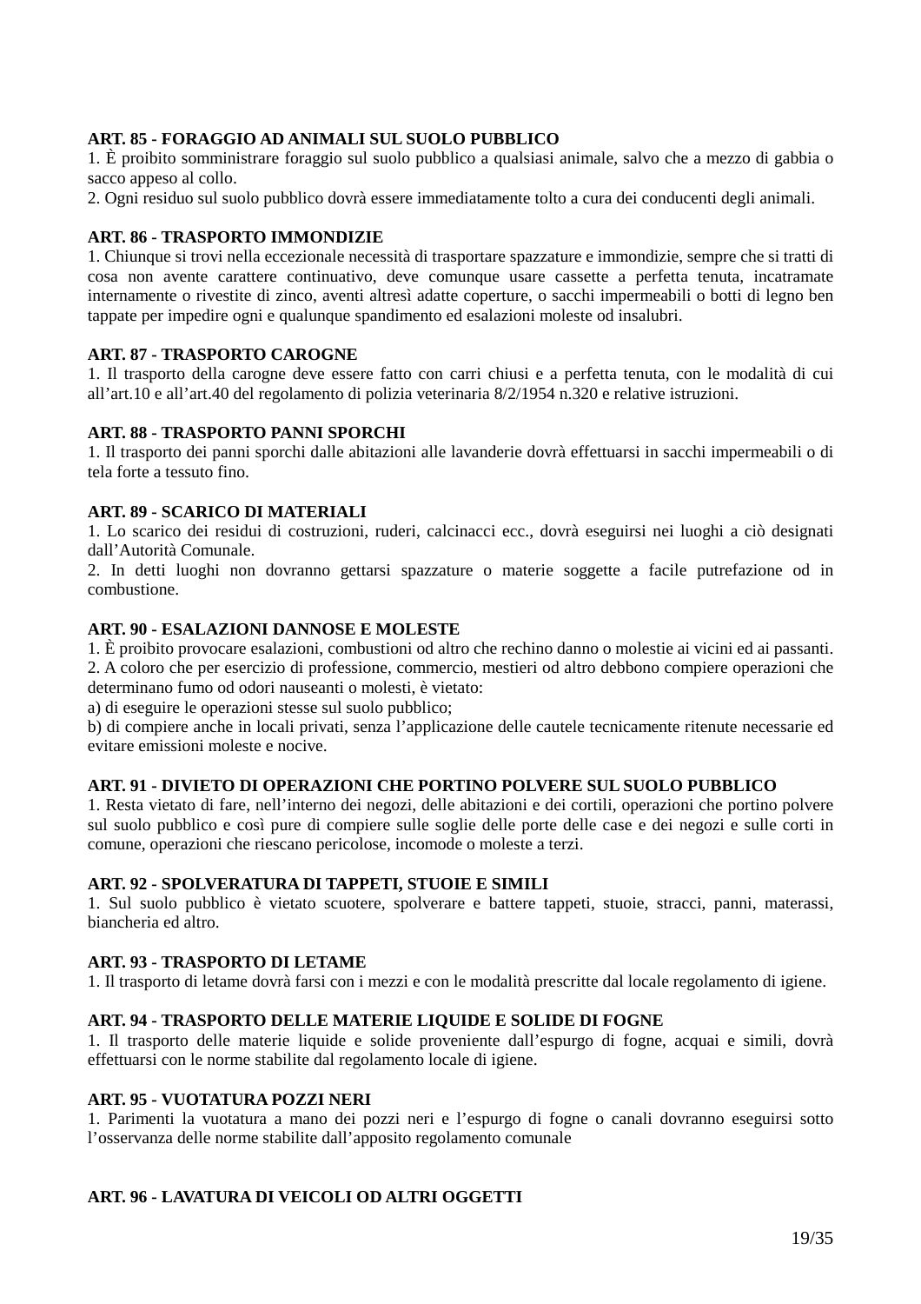### **ART. 85 - FORAGGIO AD ANIMALI SUL SUOLO PUBBLICO**

1. È proibito somministrare foraggio sul suolo pubblico a qualsiasi animale, salvo che a mezzo di gabbia o sacco appeso al collo.

2. Ogni residuo sul suolo pubblico dovrà essere immediatamente tolto a cura dei conducenti degli animali.

### **ART. 86 - TRASPORTO IMMONDIZIE**

1. Chiunque si trovi nella eccezionale necessità di trasportare spazzature e immondizie, sempre che si tratti di cosa non avente carattere continuativo, deve comunque usare cassette a perfetta tenuta, incatramate internamente o rivestite di zinco, aventi altresì adatte coperture, o sacchi impermeabili o botti di legno ben tappate per impedire ogni e qualunque spandimento ed esalazioni moleste od insalubri.

### **ART. 87 - TRASPORTO CAROGNE**

1. Il trasporto della carogne deve essere fatto con carri chiusi e a perfetta tenuta, con le modalità di cui all'art.10 e all'art.40 del regolamento di polizia veterinaria 8/2/1954 n.320 e relative istruzioni.

### **ART. 88 - TRASPORTO PANNI SPORCHI**

1. Il trasporto dei panni sporchi dalle abitazioni alle lavanderie dovrà effettuarsi in sacchi impermeabili o di tela forte a tessuto fino.

### **ART. 89 - SCARICO DI MATERIALI**

1. Lo scarico dei residui di costruzioni, ruderi, calcinacci ecc., dovrà eseguirsi nei luoghi a ciò designati dall'Autorità Comunale.

2. In detti luoghi non dovranno gettarsi spazzature o materie soggette a facile putrefazione od in combustione.

#### **ART. 90 - ESALAZIONI DANNOSE E MOLESTE**

1. È proibito provocare esalazioni, combustioni od altro che rechino danno o molestie ai vicini ed ai passanti. 2. A coloro che per esercizio di professione, commercio, mestieri od altro debbono compiere operazioni che determinano fumo od odori nauseanti o molesti, è vietato:

a) di eseguire le operazioni stesse sul suolo pubblico;

b) di compiere anche in locali privati, senza l'applicazione delle cautele tecnicamente ritenute necessarie ed evitare emissioni moleste e nocive.

#### **ART. 91 - DIVIETO DI OPERAZIONI CHE PORTINO POLVERE SUL SUOLO PUBBLICO**

1. Resta vietato di fare, nell'interno dei negozi, delle abitazioni e dei cortili, operazioni che portino polvere sul suolo pubblico e così pure di compiere sulle soglie delle porte delle case e dei negozi e sulle corti in comune, operazioni che riescano pericolose, incomode o moleste a terzi.

#### **ART. 92 - SPOLVERATURA DI TAPPETI, STUOIE E SIMILI**

1. Sul suolo pubblico è vietato scuotere, spolverare e battere tappeti, stuoie, stracci, panni, materassi, biancheria ed altro.

#### **ART. 93 - TRASPORTO DI LETAME**

1. Il trasporto di letame dovrà farsi con i mezzi e con le modalità prescritte dal locale regolamento di igiene.

#### **ART. 94 - TRASPORTO DELLE MATERIE LIQUIDE E SOLIDE DI FOGNE**

1. Il trasporto delle materie liquide e solide proveniente dall'espurgo di fogne, acquai e simili, dovrà effettuarsi con le norme stabilite dal regolamento locale di igiene.

#### **ART. 95 - VUOTATURA POZZI NERI**

1. Parimenti la vuotatura a mano dei pozzi neri e l'espurgo di fogne o canali dovranno eseguirsi sotto l'osservanza delle norme stabilite dall'apposito regolamento comunale

### **ART. 96 - LAVATURA DI VEICOLI OD ALTRI OGGETTI**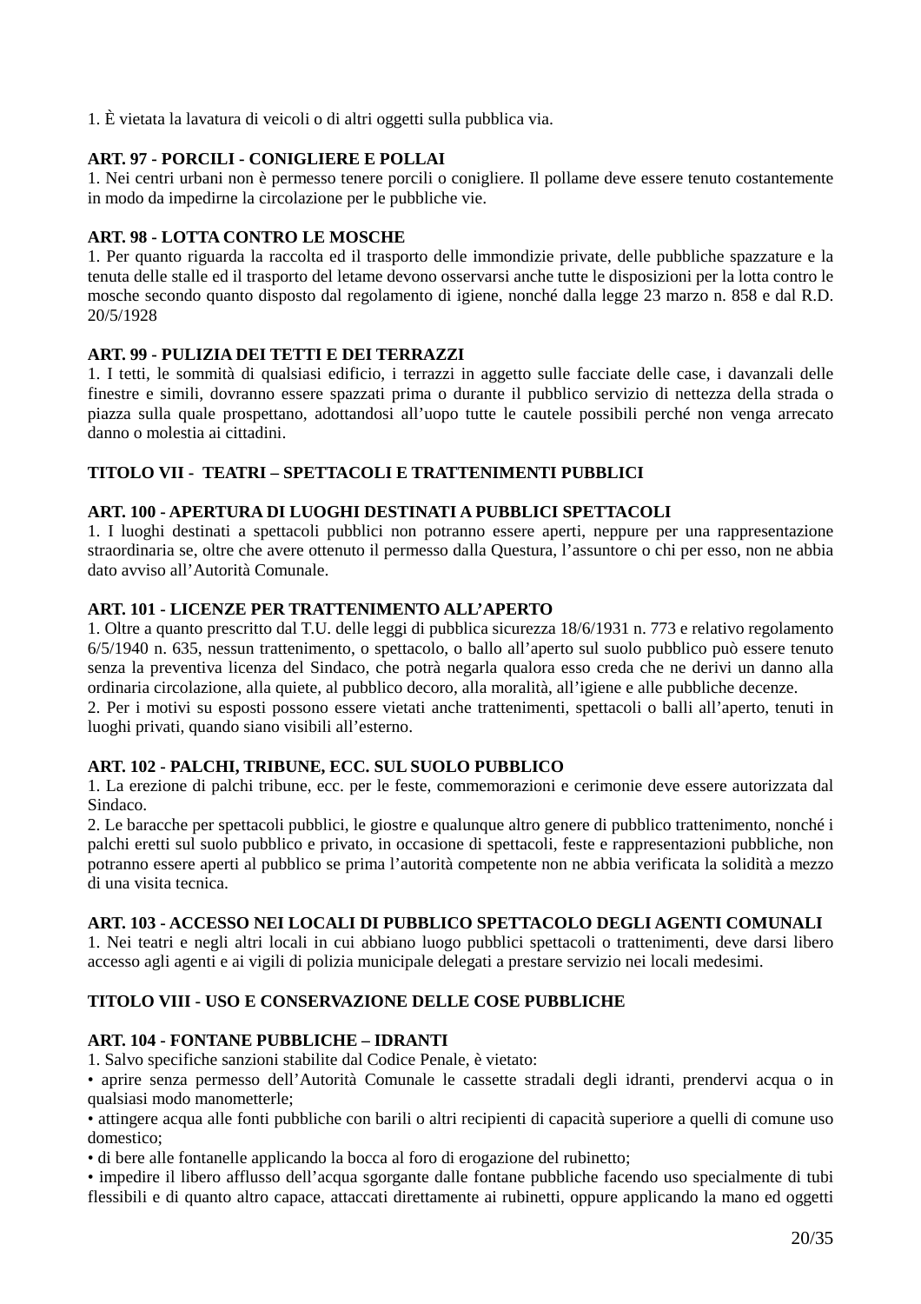1. È vietata la lavatura di veicoli o di altri oggetti sulla pubblica via.

### **ART. 97 - PORCILI - CONIGLIERE E POLLAI**

1. Nei centri urbani non è permesso tenere porcili o conigliere. Il pollame deve essere tenuto costantemente in modo da impedirne la circolazione per le pubbliche vie.

### **ART. 98 - LOTTA CONTRO LE MOSCHE**

1. Per quanto riguarda la raccolta ed il trasporto delle immondizie private, delle pubbliche spazzature e la tenuta delle stalle ed il trasporto del letame devono osservarsi anche tutte le disposizioni per la lotta contro le mosche secondo quanto disposto dal regolamento di igiene, nonché dalla legge 23 marzo n. 858 e dal R.D. 20/5/1928

## **ART. 99 - PULIZIA DEI TETTI E DEI TERRAZZI**

1. I tetti, le sommità di qualsiasi edificio, i terrazzi in aggetto sulle facciate delle case, i davanzali delle finestre e simili, dovranno essere spazzati prima o durante il pubblico servizio di nettezza della strada o piazza sulla quale prospettano, adottandosi all'uopo tutte le cautele possibili perché non venga arrecato danno o molestia ai cittadini.

## **TITOLO VII - TEATRI – SPETTACOLI E TRATTENIMENTI PUBBLICI**

### **ART. 100 - APERTURA DI LUOGHI DESTINATI A PUBBLICI SPETTACOLI**

1. I luoghi destinati a spettacoli pubblici non potranno essere aperti, neppure per una rappresentazione straordinaria se, oltre che avere ottenuto il permesso dalla Questura, l'assuntore o chi per esso, non ne abbia dato avviso all'Autorità Comunale.

### **ART. 101 - LICENZE PER TRATTENIMENTO ALL'APERTO**

1. Oltre a quanto prescritto dal T.U. delle leggi di pubblica sicurezza 18/6/1931 n. 773 e relativo regolamento 6/5/1940 n. 635, nessun trattenimento, o spettacolo, o ballo all'aperto sul suolo pubblico può essere tenuto senza la preventiva licenza del Sindaco, che potrà negarla qualora esso creda che ne derivi un danno alla ordinaria circolazione, alla quiete, al pubblico decoro, alla moralità, all'igiene e alle pubbliche decenze.

2. Per i motivi su esposti possono essere vietati anche trattenimenti, spettacoli o balli all'aperto, tenuti in luoghi privati, quando siano visibili all'esterno.

### **ART. 102 - PALCHI, TRIBUNE, ECC. SUL SUOLO PUBBLICO**

1. La erezione di palchi tribune, ecc. per le feste, commemorazioni e cerimonie deve essere autorizzata dal Sindaco.

2. Le baracche per spettacoli pubblici, le giostre e qualunque altro genere di pubblico trattenimento, nonché i palchi eretti sul suolo pubblico e privato, in occasione di spettacoli, feste e rappresentazioni pubbliche, non potranno essere aperti al pubblico se prima l'autorità competente non ne abbia verificata la solidità a mezzo di una visita tecnica.

### **ART. 103 - ACCESSO NEI LOCALI DI PUBBLICO SPETTACOLO DEGLI AGENTI COMUNALI**

1. Nei teatri e negli altri locali in cui abbiano luogo pubblici spettacoli o trattenimenti, deve darsi libero accesso agli agenti e ai vigili di polizia municipale delegati a prestare servizio nei locali medesimi.

### **TITOLO VIII - USO E CONSERVAZIONE DELLE COSE PUBBLICHE**

#### **ART. 104 - FONTANE PUBBLICHE – IDRANTI**

1. Salvo specifiche sanzioni stabilite dal Codice Penale, è vietato:

• aprire senza permesso dell'Autorità Comunale le cassette stradali degli idranti, prendervi acqua o in qualsiasi modo manometterle;

• attingere acqua alle fonti pubbliche con barili o altri recipienti di capacità superiore a quelli di comune uso domestico;

• di bere alle fontanelle applicando la bocca al foro di erogazione del rubinetto;

• impedire il libero afflusso dell'acqua sgorgante dalle fontane pubbliche facendo uso specialmente di tubi flessibili e di quanto altro capace, attaccati direttamente ai rubinetti, oppure applicando la mano ed oggetti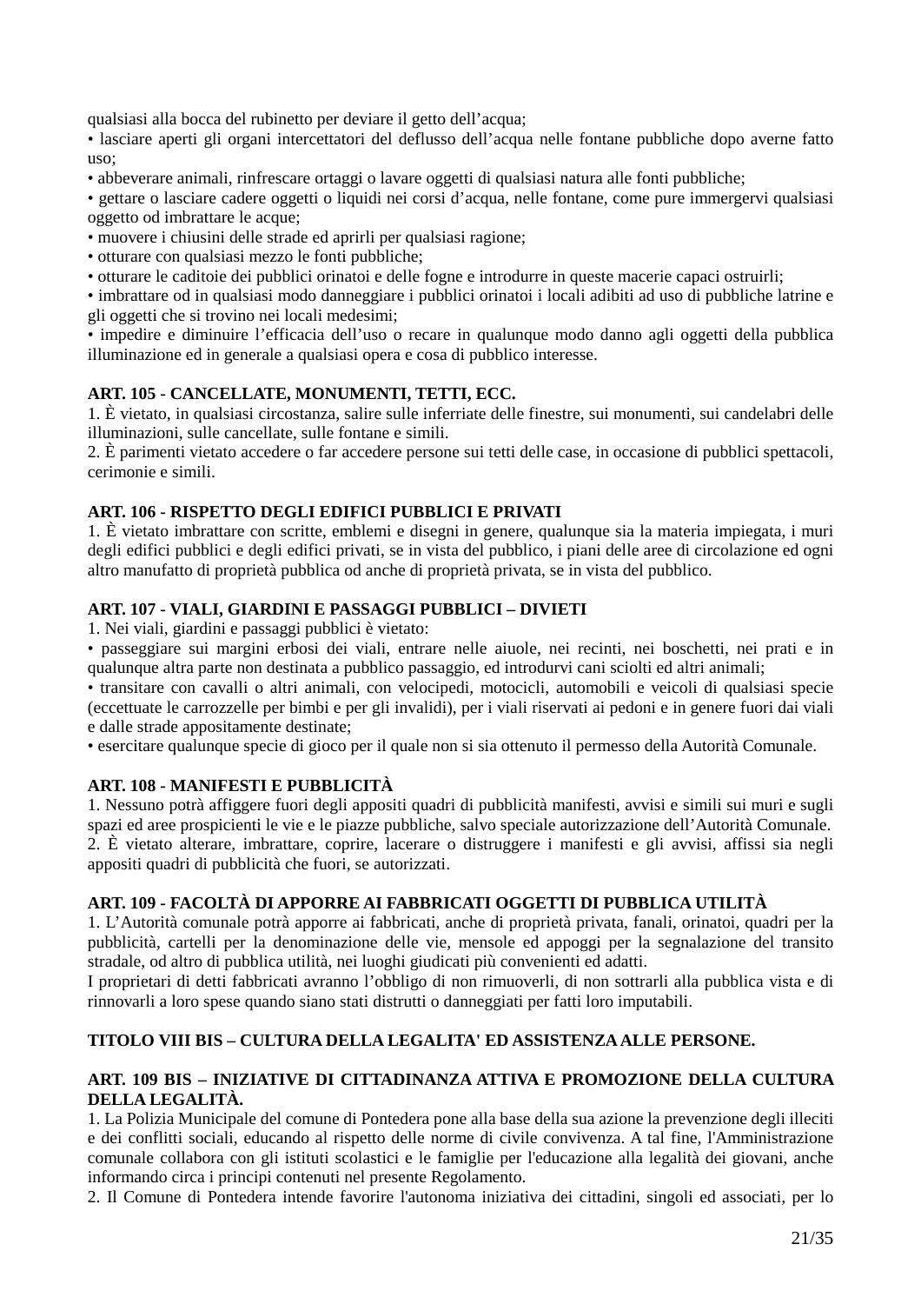qualsiasi alla bocca del rubinetto per deviare il getto dell'acqua;

• lasciare aperti gli organi intercettatori del deflusso dell'acqua nelle fontane pubbliche dopo averne fatto uso;

• abbeverare animali, rinfrescare ortaggi o lavare oggetti di qualsiasi natura alle fonti pubbliche;

• gettare o lasciare cadere oggetti o liquidi nei corsi d'acqua, nelle fontane, come pure immergervi qualsiasi oggetto od imbrattare le acque;

• muovere i chiusini delle strade ed aprirli per qualsiasi ragione;

- otturare con qualsiasi mezzo le fonti pubbliche;
- otturare le caditoie dei pubblici orinatoi e delle fogne e introdurre in queste macerie capaci ostruirli;

• imbrattare od in qualsiasi modo danneggiare i pubblici orinatoi i locali adibiti ad uso di pubbliche latrine e gli oggetti che si trovino nei locali medesimi;

• impedire e diminuire l'efficacia dell'uso o recare in qualunque modo danno agli oggetti della pubblica illuminazione ed in generale a qualsiasi opera e cosa di pubblico interesse.

### **ART. 105 - CANCELLATE, MONUMENTI, TETTI, ECC.**

1. È vietato, in qualsiasi circostanza, salire sulle inferriate delle finestre, sui monumenti, sui candelabri delle illuminazioni, sulle cancellate, sulle fontane e simili.

2. È parimenti vietato accedere o far accedere persone sui tetti delle case, in occasione di pubblici spettacoli, cerimonie e simili.

### **ART. 106 - RISPETTO DEGLI EDIFICI PUBBLICI E PRIVATI**

1. È vietato imbrattare con scritte, emblemi e disegni in genere, qualunque sia la materia impiegata, i muri degli edifici pubblici e degli edifici privati, se in vista del pubblico, i piani delle aree di circolazione ed ogni altro manufatto di proprietà pubblica od anche di proprietà privata, se in vista del pubblico.

### **ART. 107 - VIALI, GIARDINI E PASSAGGI PUBBLICI – DIVIETI**

1. Nei viali, giardini e passaggi pubblici è vietato:

• passeggiare sui margini erbosi dei viali, entrare nelle aiuole, nei recinti, nei boschetti, nei prati e in qualunque altra parte non destinata a pubblico passaggio, ed introdurvi cani sciolti ed altri animali;

• transitare con cavalli o altri animali, con velocipedi, motocicli, automobili e veicoli di qualsiasi specie (eccettuate le carrozzelle per bimbi e per gli invalidi), per i viali riservati ai pedoni e in genere fuori dai viali e dalle strade appositamente destinate;

• esercitare qualunque specie di gioco per il quale non si sia ottenuto il permesso della Autorità Comunale.

### **ART. 108 - MANIFESTI E PUBBLICITÀ**

1. Nessuno potrà affiggere fuori degli appositi quadri di pubblicità manifesti, avvisi e simili sui muri e sugli spazi ed aree prospicienti le vie e le piazze pubbliche, salvo speciale autorizzazione dell'Autorità Comunale. 2. È vietato alterare, imbrattare, coprire, lacerare o distruggere i manifesti e gli avvisi, affissi sia negli appositi quadri di pubblicità che fuori, se autorizzati.

#### **ART. 109 - FACOLTÀ DI APPORRE AI FABBRICATI OGGETTI DI PUBBLICA UTILITÀ**

1. L'Autorità comunale potrà apporre ai fabbricati, anche di proprietà privata, fanali, orinatoi, quadri per la pubblicità, cartelli per la denominazione delle vie, mensole ed appoggi per la segnalazione del transito stradale, od altro di pubblica utilità, nei luoghi giudicati più convenienti ed adatti.

I proprietari di detti fabbricati avranno l'obbligo di non rimuoverli, di non sottrarli alla pubblica vista e di rinnovarli a loro spese quando siano stati distrutti o danneggiati per fatti loro imputabili.

### **TITOLO VIII BIS – CULTURA DELLA LEGALITA' ED ASSISTENZA ALLE PERSONE.**

### **ART. 109 BIS – INIZIATIVE DI CITTADINANZA ATTIVA E PROMOZIONE DELLA CULTURA DELLA LEGALITÀ.**

1. La Polizia Municipale del comune di Pontedera pone alla base della sua azione la prevenzione degli illeciti e dei conflitti sociali, educando al rispetto delle norme di civile convivenza. A tal fine, l'Amministrazione comunale collabora con gli istituti scolastici e le famiglie per l'educazione alla legalità dei giovani, anche informando circa i principi contenuti nel presente Regolamento.

2. Il Comune di Pontedera intende favorire l'autonoma iniziativa dei cittadini, singoli ed associati, per lo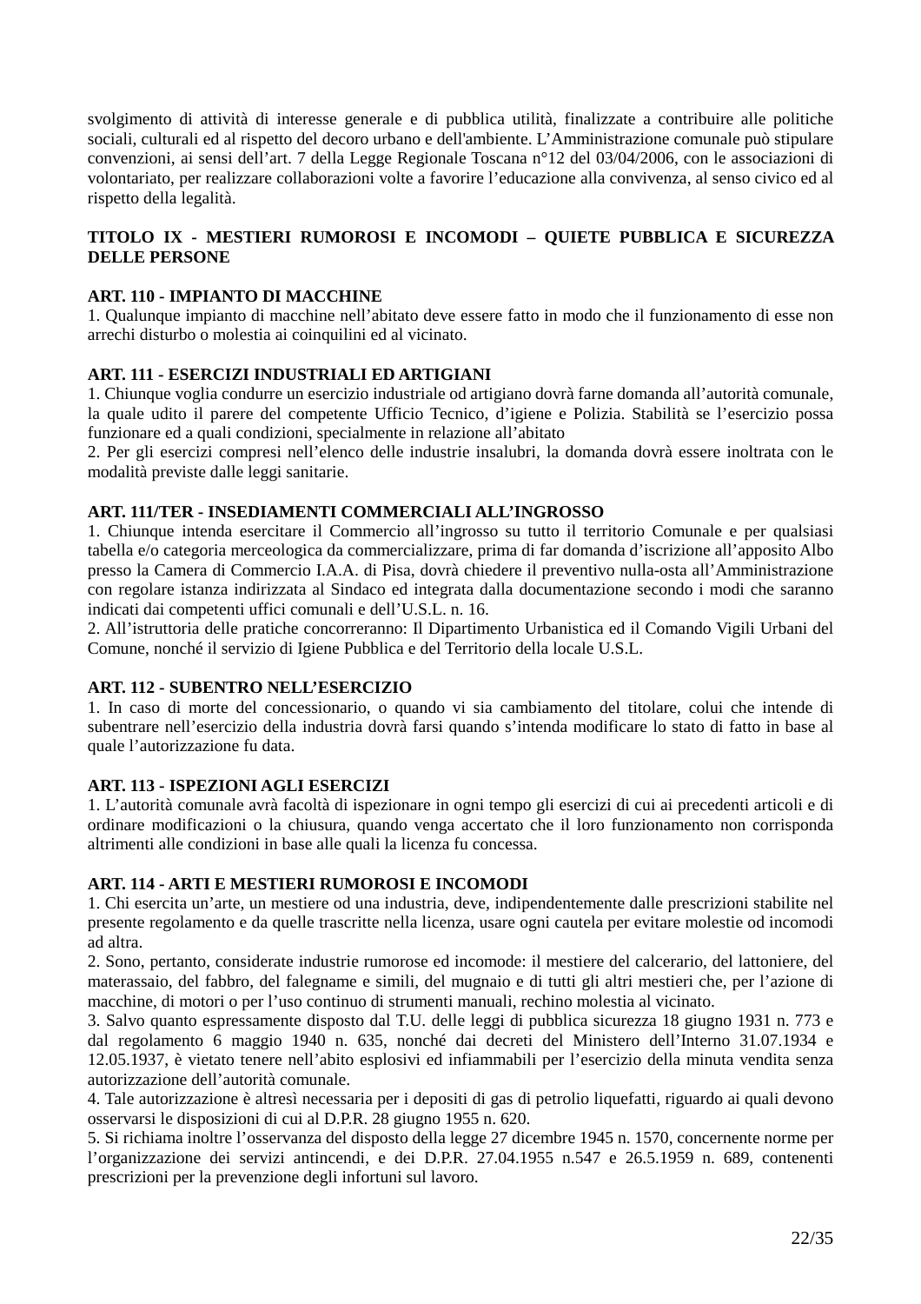svolgimento di attività di interesse generale e di pubblica utilità, finalizzate a contribuire alle politiche sociali, culturali ed al rispetto del decoro urbano e dell'ambiente. L'Amministrazione comunale può stipulare convenzioni, ai sensi dell'art. 7 della Legge Regionale Toscana n°12 del 03/04/2006, con le associazioni di volontariato, per realizzare collaborazioni volte a favorire l'educazione alla convivenza, al senso civico ed al rispetto della legalità.

### **TITOLO IX - MESTIERI RUMOROSI E INCOMODI – QUIETE PUBBLICA E SICUREZZA DELLE PERSONE**

## **ART. 110 - IMPIANTO DI MACCHINE**

1. Qualunque impianto di macchine nell'abitato deve essere fatto in modo che il funzionamento di esse non arrechi disturbo o molestia ai coinquilini ed al vicinato.

### **ART. 111 - ESERCIZI INDUSTRIALI ED ARTIGIANI**

1. Chiunque voglia condurre un esercizio industriale od artigiano dovrà farne domanda all'autorità comunale, la quale udito il parere del competente Ufficio Tecnico, d'igiene e Polizia. Stabilità se l'esercizio possa funzionare ed a quali condizioni, specialmente in relazione all'abitato

2. Per gli esercizi compresi nell'elenco delle industrie insalubri, la domanda dovrà essere inoltrata con le modalità previste dalle leggi sanitarie.

### **ART. 111/TER - INSEDIAMENTI COMMERCIALI ALL'INGROSSO**

1. Chiunque intenda esercitare il Commercio all'ingrosso su tutto il territorio Comunale e per qualsiasi tabella e/o categoria merceologica da commercializzare, prima di far domanda d'iscrizione all'apposito Albo presso la Camera di Commercio I.A.A. di Pisa, dovrà chiedere il preventivo nulla-osta all'Amministrazione con regolare istanza indirizzata al Sindaco ed integrata dalla documentazione secondo i modi che saranno indicati dai competenti uffici comunali e dell'U.S.L. n. 16.

2. All'istruttoria delle pratiche concorreranno: Il Dipartimento Urbanistica ed il Comando Vigili Urbani del Comune, nonché il servizio di Igiene Pubblica e del Territorio della locale U.S.L.

### **ART. 112 - SUBENTRO NELL'ESERCIZIO**

1. In caso di morte del concessionario, o quando vi sia cambiamento del titolare, colui che intende di subentrare nell'esercizio della industria dovrà farsi quando s'intenda modificare lo stato di fatto in base al quale l'autorizzazione fu data.

### **ART. 113 - ISPEZIONI AGLI ESERCIZI**

1. L'autorità comunale avrà facoltà di ispezionare in ogni tempo gli esercizi di cui ai precedenti articoli e di ordinare modificazioni o la chiusura, quando venga accertato che il loro funzionamento non corrisponda altrimenti alle condizioni in base alle quali la licenza fu concessa.

### **ART. 114 - ARTI E MESTIERI RUMOROSI E INCOMODI**

1. Chi esercita un'arte, un mestiere od una industria, deve, indipendentemente dalle prescrizioni stabilite nel presente regolamento e da quelle trascritte nella licenza, usare ogni cautela per evitare molestie od incomodi ad altra.

2. Sono, pertanto, considerate industrie rumorose ed incomode: il mestiere del calcerario, del lattoniere, del materassaio, del fabbro, del falegname e simili, del mugnaio e di tutti gli altri mestieri che, per l'azione di macchine, di motori o per l'uso continuo di strumenti manuali, rechino molestia al vicinato.

3. Salvo quanto espressamente disposto dal T.U. delle leggi di pubblica sicurezza 18 giugno 1931 n. 773 e dal regolamento 6 maggio 1940 n. 635, nonché dai decreti del Ministero dell'Interno 31.07.1934 e 12.05.1937, è vietato tenere nell'abito esplosivi ed infiammabili per l'esercizio della minuta vendita senza autorizzazione dell'autorità comunale.

4. Tale autorizzazione è altresì necessaria per i depositi di gas di petrolio liquefatti, riguardo ai quali devono osservarsi le disposizioni di cui al D.P.R. 28 giugno 1955 n. 620.

5. Si richiama inoltre l'osservanza del disposto della legge 27 dicembre 1945 n. 1570, concernente norme per l'organizzazione dei servizi antincendi, e dei D.P.R. 27.04.1955 n.547 e 26.5.1959 n. 689, contenenti prescrizioni per la prevenzione degli infortuni sul lavoro.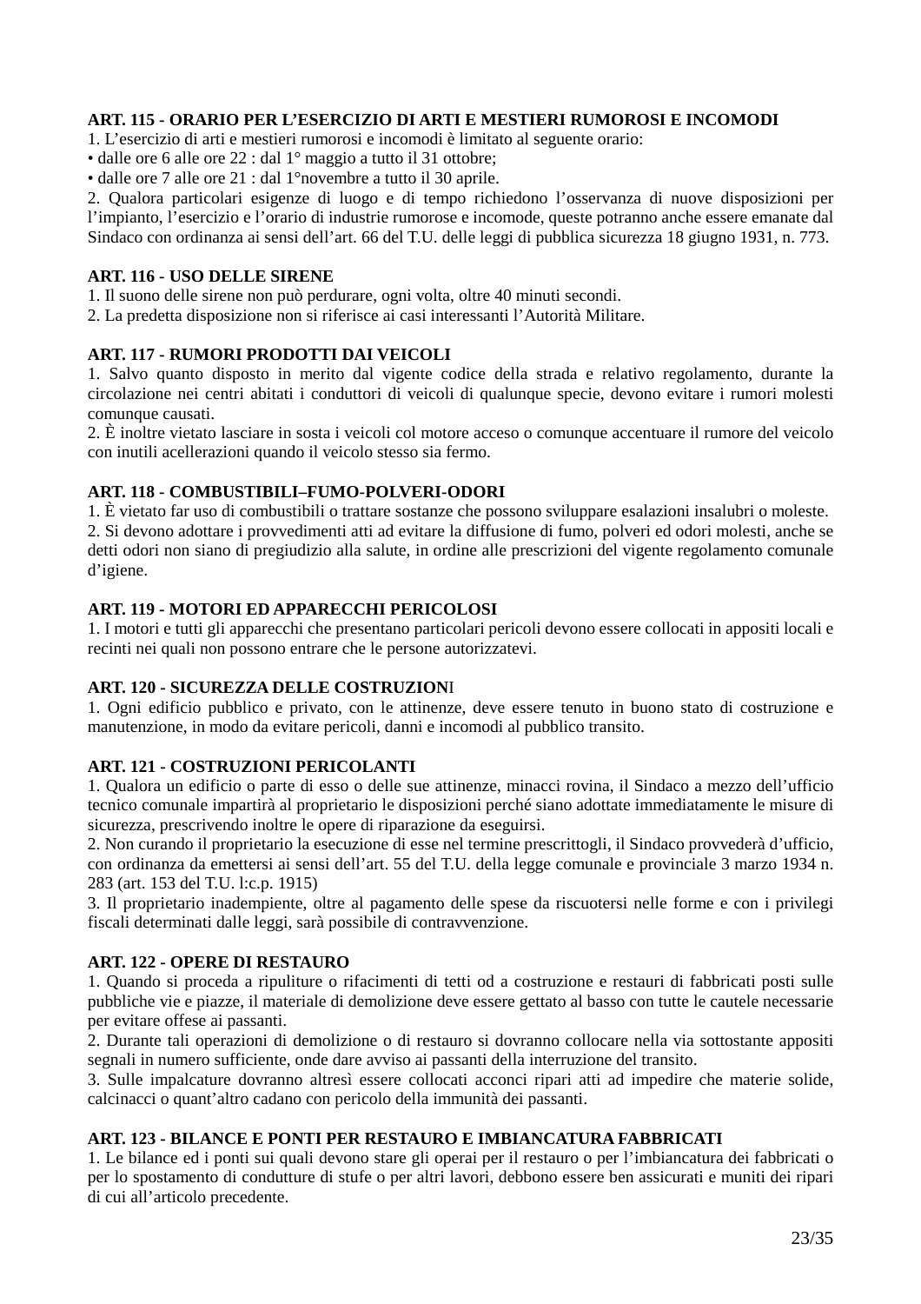### **ART. 115 - ORARIO PER L'ESERCIZIO DI ARTI E MESTIERI RUMOROSI E INCOMODI**

1. L'esercizio di arti e mestieri rumorosi e incomodi è limitato al seguente orario:

• dalle ore 6 alle ore 22 : dal 1° maggio a tutto il 31 ottobre;

• dalle ore 7 alle ore 21 : dal 1°novembre a tutto il 30 aprile.

2. Qualora particolari esigenze di luogo e di tempo richiedono l'osservanza di nuove disposizioni per l'impianto, l'esercizio e l'orario di industrie rumorose e incomode, queste potranno anche essere emanate dal Sindaco con ordinanza ai sensi dell'art. 66 del T.U. delle leggi di pubblica sicurezza 18 giugno 1931, n. 773.

#### **ART. 116 - USO DELLE SIRENE**

1. Il suono delle sirene non può perdurare, ogni volta, oltre 40 minuti secondi.

2. La predetta disposizione non si riferisce ai casi interessanti l'Autorità Militare.

### **ART. 117 - RUMORI PRODOTTI DAI VEICOLI**

1. Salvo quanto disposto in merito dal vigente codice della strada e relativo regolamento, durante la circolazione nei centri abitati i conduttori di veicoli di qualunque specie, devono evitare i rumori molesti comunque causati.

2. È inoltre vietato lasciare in sosta i veicoli col motore acceso o comunque accentuare il rumore del veicolo con inutili acellerazioni quando il veicolo stesso sia fermo.

### **ART. 118 - COMBUSTIBILI–FUMO-POLVERI-ODORI**

1. È vietato far uso di combustibili o trattare sostanze che possono sviluppare esalazioni insalubri o moleste. 2. Si devono adottare i provvedimenti atti ad evitare la diffusione di fumo, polveri ed odori molesti, anche se detti odori non siano di pregiudizio alla salute, in ordine alle prescrizioni del vigente regolamento comunale d'igiene.

### **ART. 119 - MOTORI ED APPARECCHI PERICOLOSI**

1. I motori e tutti gli apparecchi che presentano particolari pericoli devono essere collocati in appositi locali e recinti nei quali non possono entrare che le persone autorizzatevi.

#### **ART. 120 - SICUREZZA DELLE COSTRUZION**I

1. Ogni edificio pubblico e privato, con le attinenze, deve essere tenuto in buono stato di costruzione e manutenzione, in modo da evitare pericoli, danni e incomodi al pubblico transito.

#### **ART. 121 - COSTRUZIONI PERICOLANTI**

1. Qualora un edificio o parte di esso o delle sue attinenze, minacci rovina, il Sindaco a mezzo dell'ufficio tecnico comunale impartirà al proprietario le disposizioni perché siano adottate immediatamente le misure di sicurezza, prescrivendo inoltre le opere di riparazione da eseguirsi.

2. Non curando il proprietario la esecuzione di esse nel termine prescrittogli, il Sindaco provvederà d'ufficio, con ordinanza da emettersi ai sensi dell'art. 55 del T.U. della legge comunale e provinciale 3 marzo 1934 n. 283 (art. 153 del T.U. l:c.p. 1915)

3. Il proprietario inadempiente, oltre al pagamento delle spese da riscuotersi nelle forme e con i privilegi fiscali determinati dalle leggi, sarà possibile di contravvenzione.

#### **ART. 122 - OPERE DI RESTAURO**

1. Quando si proceda a ripuliture o rifacimenti di tetti od a costruzione e restauri di fabbricati posti sulle pubbliche vie e piazze, il materiale di demolizione deve essere gettato al basso con tutte le cautele necessarie per evitare offese ai passanti.

2. Durante tali operazioni di demolizione o di restauro si dovranno collocare nella via sottostante appositi segnali in numero sufficiente, onde dare avviso ai passanti della interruzione del transito.

3. Sulle impalcature dovranno altresì essere collocati acconci ripari atti ad impedire che materie solide, calcinacci o quant'altro cadano con pericolo della immunità dei passanti.

### **ART. 123 - BILANCE E PONTI PER RESTAURO E IMBIANCATURA FABBRICATI**

1. Le bilance ed i ponti sui quali devono stare gli operai per il restauro o per l'imbiancatura dei fabbricati o per lo spostamento di condutture di stufe o per altri lavori, debbono essere ben assicurati e muniti dei ripari di cui all'articolo precedente.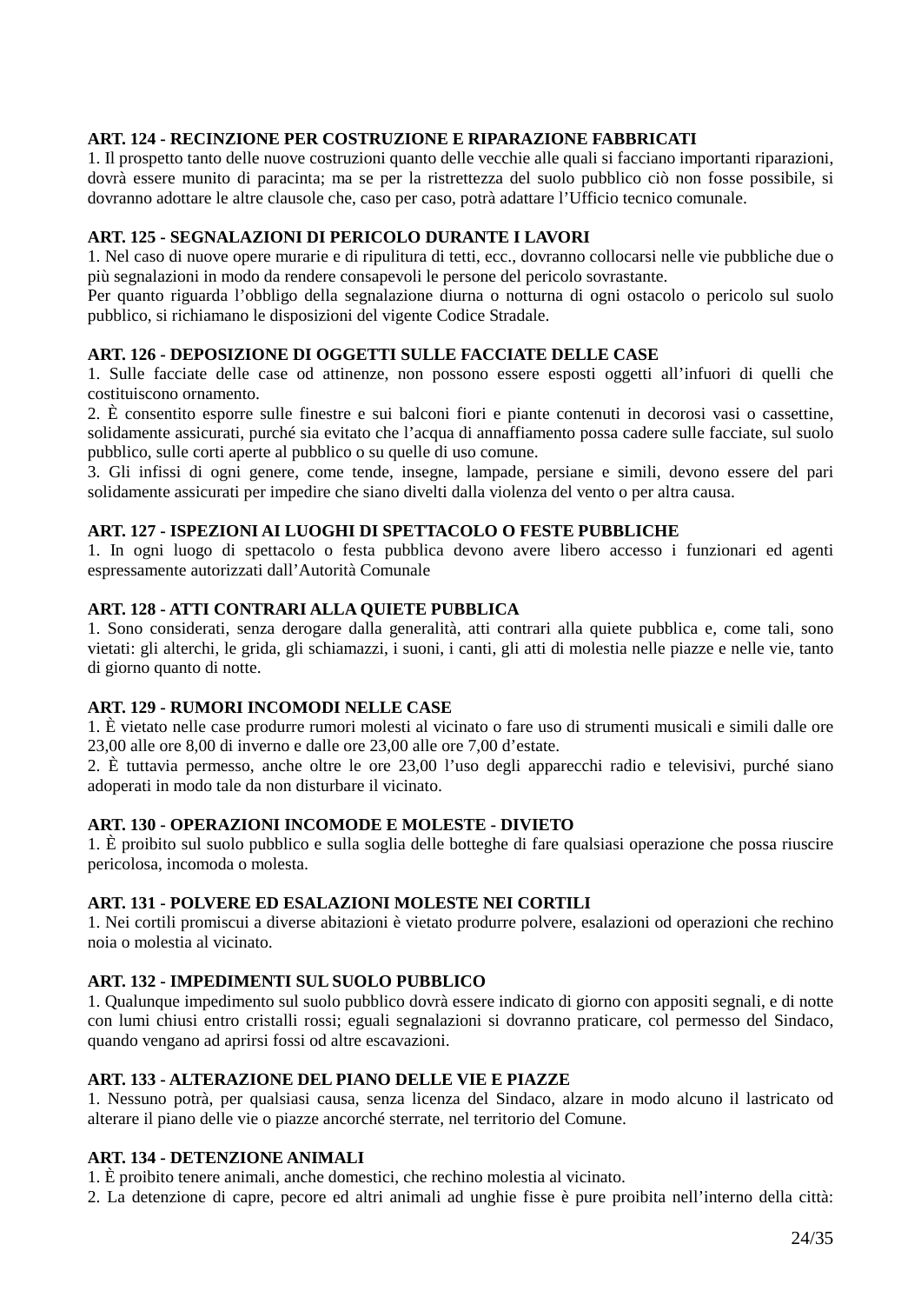### **ART. 124 - RECINZIONE PER COSTRUZIONE E RIPARAZIONE FABBRICATI**

1. Il prospetto tanto delle nuove costruzioni quanto delle vecchie alle quali si facciano importanti riparazioni, dovrà essere munito di paracinta; ma se per la ristrettezza del suolo pubblico ciò non fosse possibile, si dovranno adottare le altre clausole che, caso per caso, potrà adattare l'Ufficio tecnico comunale.

#### **ART. 125 - SEGNALAZIONI DI PERICOLO DURANTE I LAVORI**

1. Nel caso di nuove opere murarie e di ripulitura di tetti, ecc., dovranno collocarsi nelle vie pubbliche due o più segnalazioni in modo da rendere consapevoli le persone del pericolo sovrastante.

Per quanto riguarda l'obbligo della segnalazione diurna o notturna di ogni ostacolo o pericolo sul suolo pubblico, si richiamano le disposizioni del vigente Codice Stradale.

#### **ART. 126 - DEPOSIZIONE DI OGGETTI SULLE FACCIATE DELLE CASE**

1. Sulle facciate delle case od attinenze, non possono essere esposti oggetti all'infuori di quelli che costituiscono ornamento.

2. È consentito esporre sulle finestre e sui balconi fiori e piante contenuti in decorosi vasi o cassettine, solidamente assicurati, purché sia evitato che l'acqua di annaffiamento possa cadere sulle facciate, sul suolo pubblico, sulle corti aperte al pubblico o su quelle di uso comune.

3. Gli infissi di ogni genere, come tende, insegne, lampade, persiane e simili, devono essere del pari solidamente assicurati per impedire che siano divelti dalla violenza del vento o per altra causa.

### **ART. 127 - ISPEZIONI AI LUOGHI DI SPETTACOLO O FESTE PUBBLICHE**

1. In ogni luogo di spettacolo o festa pubblica devono avere libero accesso i funzionari ed agenti espressamente autorizzati dall'Autorità Comunale

### **ART. 128 - ATTI CONTRARI ALLA QUIETE PUBBLICA**

1. Sono considerati, senza derogare dalla generalità, atti contrari alla quiete pubblica e, come tali, sono vietati: gli alterchi, le grida, gli schiamazzi, i suoni, i canti, gli atti di molestia nelle piazze e nelle vie, tanto di giorno quanto di notte.

### **ART. 129 - RUMORI INCOMODI NELLE CASE**

1. È vietato nelle case produrre rumori molesti al vicinato o fare uso di strumenti musicali e simili dalle ore 23,00 alle ore 8,00 di inverno e dalle ore 23,00 alle ore 7,00 d'estate.

2. È tuttavia permesso, anche oltre le ore 23,00 l'uso degli apparecchi radio e televisivi, purché siano adoperati in modo tale da non disturbare il vicinato.

#### **ART. 130 - OPERAZIONI INCOMODE E MOLESTE - DIVIETO**

1. È proibito sul suolo pubblico e sulla soglia delle botteghe di fare qualsiasi operazione che possa riuscire pericolosa, incomoda o molesta.

### **ART. 131 - POLVERE ED ESALAZIONI MOLESTE NEI CORTILI**

1. Nei cortili promiscui a diverse abitazioni è vietato produrre polvere, esalazioni od operazioni che rechino noia o molestia al vicinato.

#### **ART. 132 - IMPEDIMENTI SUL SUOLO PUBBLICO**

1. Qualunque impedimento sul suolo pubblico dovrà essere indicato di giorno con appositi segnali, e di notte con lumi chiusi entro cristalli rossi; eguali segnalazioni si dovranno praticare, col permesso del Sindaco, quando vengano ad aprirsi fossi od altre escavazioni.

## **ART. 133 - ALTERAZIONE DEL PIANO DELLE VIE E PIAZZE**

1. Nessuno potrà, per qualsiasi causa, senza licenza del Sindaco, alzare in modo alcuno il lastricato od alterare il piano delle vie o piazze ancorché sterrate, nel territorio del Comune.

#### **ART. 134 - DETENZIONE ANIMALI**

1. È proibito tenere animali, anche domestici, che rechino molestia al vicinato.

2. La detenzione di capre, pecore ed altri animali ad unghie fisse è pure proibita nell'interno della città: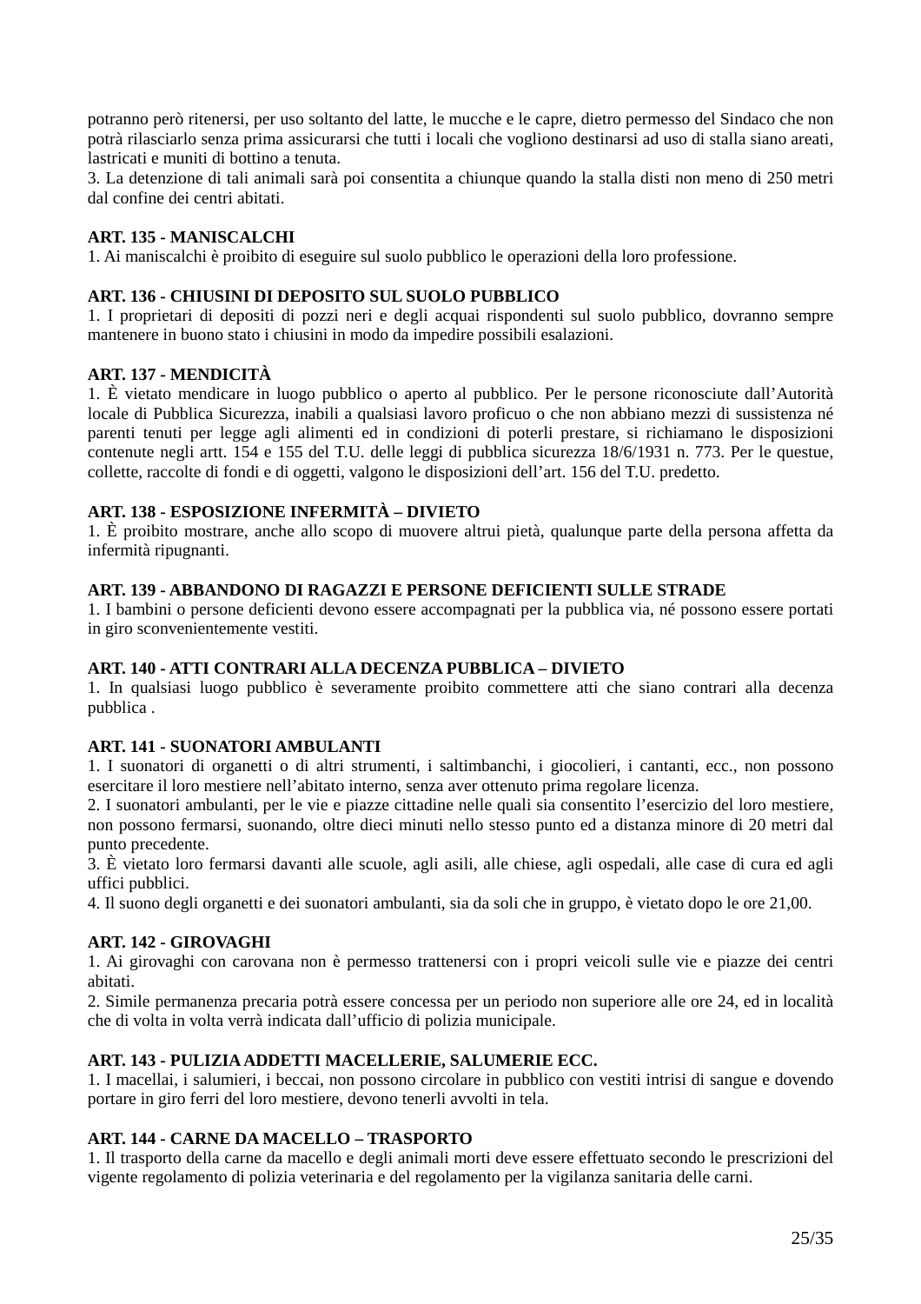potranno però ritenersi, per uso soltanto del latte, le mucche e le capre, dietro permesso del Sindaco che non potrà rilasciarlo senza prima assicurarsi che tutti i locali che vogliono destinarsi ad uso di stalla siano areati, lastricati e muniti di bottino a tenuta.

3. La detenzione di tali animali sarà poi consentita a chiunque quando la stalla disti non meno di 250 metri dal confine dei centri abitati.

### **ART. 135 - MANISCALCHI**

1. Ai maniscalchi è proibito di eseguire sul suolo pubblico le operazioni della loro professione.

### **ART. 136 - CHIUSINI DI DEPOSITO SUL SUOLO PUBBLICO**

1. I proprietari di depositi di pozzi neri e degli acquai rispondenti sul suolo pubblico, dovranno sempre mantenere in buono stato i chiusini in modo da impedire possibili esalazioni.

### **ART. 137 - MENDICITÀ**

1. È vietato mendicare in luogo pubblico o aperto al pubblico. Per le persone riconosciute dall'Autorità locale di Pubblica Sicurezza, inabili a qualsiasi lavoro proficuo o che non abbiano mezzi di sussistenza né parenti tenuti per legge agli alimenti ed in condizioni di poterli prestare, si richiamano le disposizioni contenute negli artt. 154 e 155 del T.U. delle leggi di pubblica sicurezza 18/6/1931 n. 773. Per le questue, collette, raccolte di fondi e di oggetti, valgono le disposizioni dell'art. 156 del T.U. predetto.

### **ART. 138 - ESPOSIZIONE INFERMITÀ – DIVIETO**

1. È proibito mostrare, anche allo scopo di muovere altrui pietà, qualunque parte della persona affetta da infermità ripugnanti.

### **ART. 139 - ABBANDONO DI RAGAZZI E PERSONE DEFICIENTI SULLE STRADE**

1. I bambini o persone deficienti devono essere accompagnati per la pubblica via, né possono essere portati in giro sconvenientemente vestiti.

#### **ART. 140 - ATTI CONTRARI ALLA DECENZA PUBBLICA – DIVIETO**

1. In qualsiasi luogo pubblico è severamente proibito commettere atti che siano contrari alla decenza pubblica .

### **ART. 141 - SUONATORI AMBULANTI**

1. I suonatori di organetti o di altri strumenti, i saltimbanchi, i giocolieri, i cantanti, ecc., non possono esercitare il loro mestiere nell'abitato interno, senza aver ottenuto prima regolare licenza.

2. I suonatori ambulanti, per le vie e piazze cittadine nelle quali sia consentito l'esercizio del loro mestiere, non possono fermarsi, suonando, oltre dieci minuti nello stesso punto ed a distanza minore di 20 metri dal punto precedente.

3. È vietato loro fermarsi davanti alle scuole, agli asili, alle chiese, agli ospedali, alle case di cura ed agli uffici pubblici.

4. Il suono degli organetti e dei suonatori ambulanti, sia da soli che in gruppo, è vietato dopo le ore 21,00.

#### **ART. 142 - GIROVAGHI**

1. Ai girovaghi con carovana non è permesso trattenersi con i propri veicoli sulle vie e piazze dei centri abitati.

2. Simile permanenza precaria potrà essere concessa per un periodo non superiore alle ore 24, ed in località che di volta in volta verrà indicata dall'ufficio di polizia municipale.

### **ART. 143 - PULIZIA ADDETTI MACELLERIE, SALUMERIE ECC.**

1. I macellai, i salumieri, i beccai, non possono circolare in pubblico con vestiti intrisi di sangue e dovendo portare in giro ferri del loro mestiere, devono tenerli avvolti in tela.

### **ART. 144 - CARNE DA MACELLO – TRASPORTO**

1. Il trasporto della carne da macello e degli animali morti deve essere effettuato secondo le prescrizioni del vigente regolamento di polizia veterinaria e del regolamento per la vigilanza sanitaria delle carni.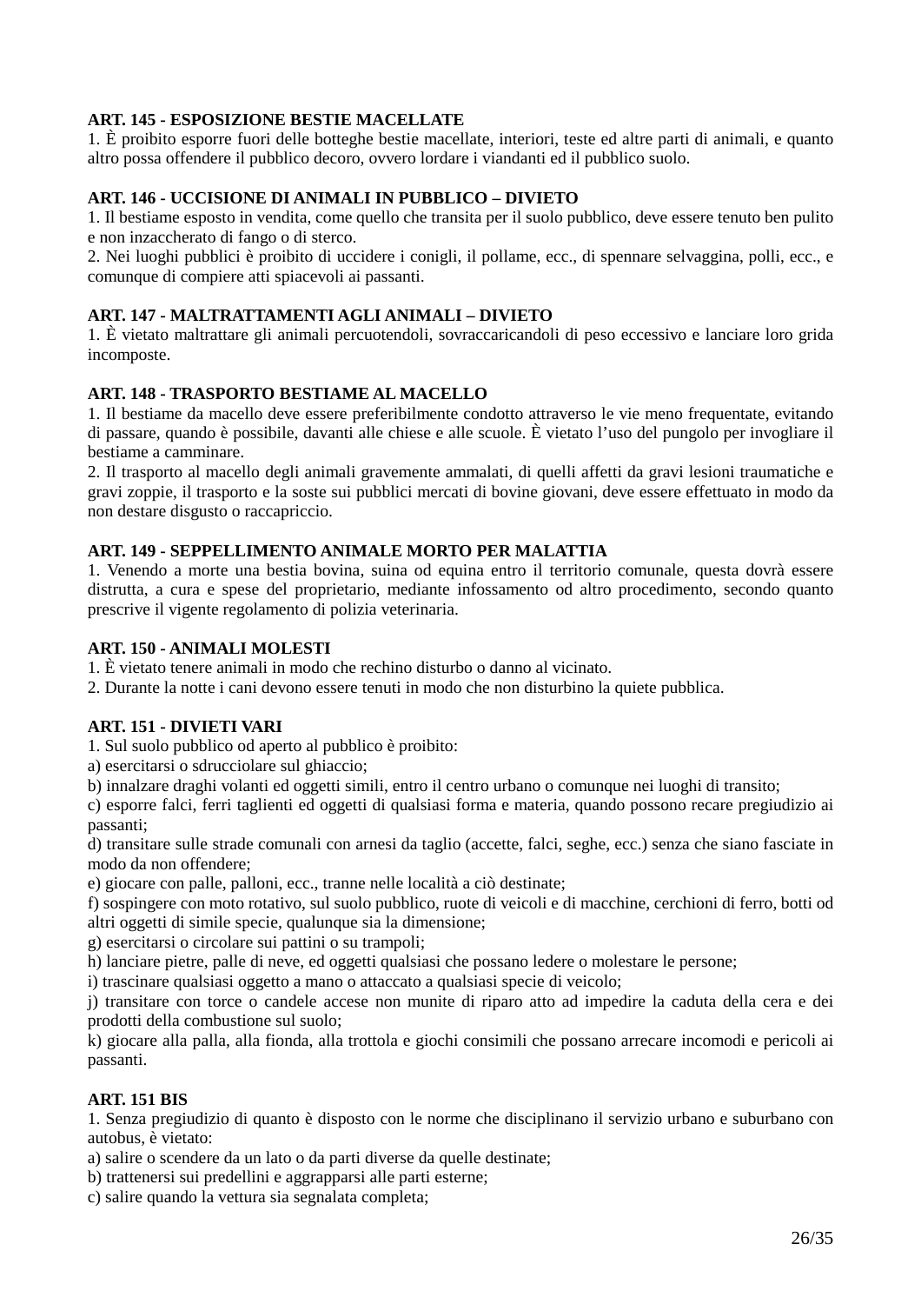### **ART. 145 - ESPOSIZIONE BESTIE MACELLATE**

1. È proibito esporre fuori delle botteghe bestie macellate, interiori, teste ed altre parti di animali, e quanto altro possa offendere il pubblico decoro, ovvero lordare i viandanti ed il pubblico suolo.

### **ART. 146 - UCCISIONE DI ANIMALI IN PUBBLICO – DIVIETO**

1. Il bestiame esposto in vendita, come quello che transita per il suolo pubblico, deve essere tenuto ben pulito e non inzaccherato di fango o di sterco.

2. Nei luoghi pubblici è proibito di uccidere i conigli, il pollame, ecc., di spennare selvaggina, polli, ecc., e comunque di compiere atti spiacevoli ai passanti.

### **ART. 147 - MALTRATTAMENTI AGLI ANIMALI – DIVIETO**

1. È vietato maltrattare gli animali percuotendoli, sovraccaricandoli di peso eccessivo e lanciare loro grida incomposte.

### **ART. 148 - TRASPORTO BESTIAME AL MACELLO**

1. Il bestiame da macello deve essere preferibilmente condotto attraverso le vie meno frequentate, evitando di passare, quando è possibile, davanti alle chiese e alle scuole. È vietato l'uso del pungolo per invogliare il bestiame a camminare.

2. Il trasporto al macello degli animali gravemente ammalati, di quelli affetti da gravi lesioni traumatiche e gravi zoppie, il trasporto e la soste sui pubblici mercati di bovine giovani, deve essere effettuato in modo da non destare disgusto o raccapriccio.

### **ART. 149 - SEPPELLIMENTO ANIMALE MORTO PER MALATTIA**

1. Venendo a morte una bestia bovina, suina od equina entro il territorio comunale, questa dovrà essere distrutta, a cura e spese del proprietario, mediante infossamento od altro procedimento, secondo quanto prescrive il vigente regolamento di polizia veterinaria.

### **ART. 150 - ANIMALI MOLESTI**

1. È vietato tenere animali in modo che rechino disturbo o danno al vicinato.

2. Durante la notte i cani devono essere tenuti in modo che non disturbino la quiete pubblica.

#### **ART. 151 - DIVIETI VARI**

1. Sul suolo pubblico od aperto al pubblico è proibito:

a) esercitarsi o sdrucciolare sul ghiaccio;

b) innalzare draghi volanti ed oggetti simili, entro il centro urbano o comunque nei luoghi di transito;

c) esporre falci, ferri taglienti ed oggetti di qualsiasi forma e materia, quando possono recare pregiudizio ai passanti;

d) transitare sulle strade comunali con arnesi da taglio (accette, falci, seghe, ecc.) senza che siano fasciate in modo da non offendere;

e) giocare con palle, palloni, ecc., tranne nelle località a ciò destinate;

f) sospingere con moto rotativo, sul suolo pubblico, ruote di veicoli e di macchine, cerchioni di ferro, botti od altri oggetti di simile specie, qualunque sia la dimensione;

g) esercitarsi o circolare sui pattini o su trampoli;

h) lanciare pietre, palle di neve, ed oggetti qualsiasi che possano ledere o molestare le persone;

i) trascinare qualsiasi oggetto a mano o attaccato a qualsiasi specie di veicolo;

j) transitare con torce o candele accese non munite di riparo atto ad impedire la caduta della cera e dei prodotti della combustione sul suolo;

k) giocare alla palla, alla fionda, alla trottola e giochi consimili che possano arrecare incomodi e pericoli ai passanti.

### **ART. 151 BIS**

1. Senza pregiudizio di quanto è disposto con le norme che disciplinano il servizio urbano e suburbano con autobus, è vietato:

a) salire o scendere da un lato o da parti diverse da quelle destinate;

b) trattenersi sui predellini e aggrapparsi alle parti esterne;

c) salire quando la vettura sia segnalata completa;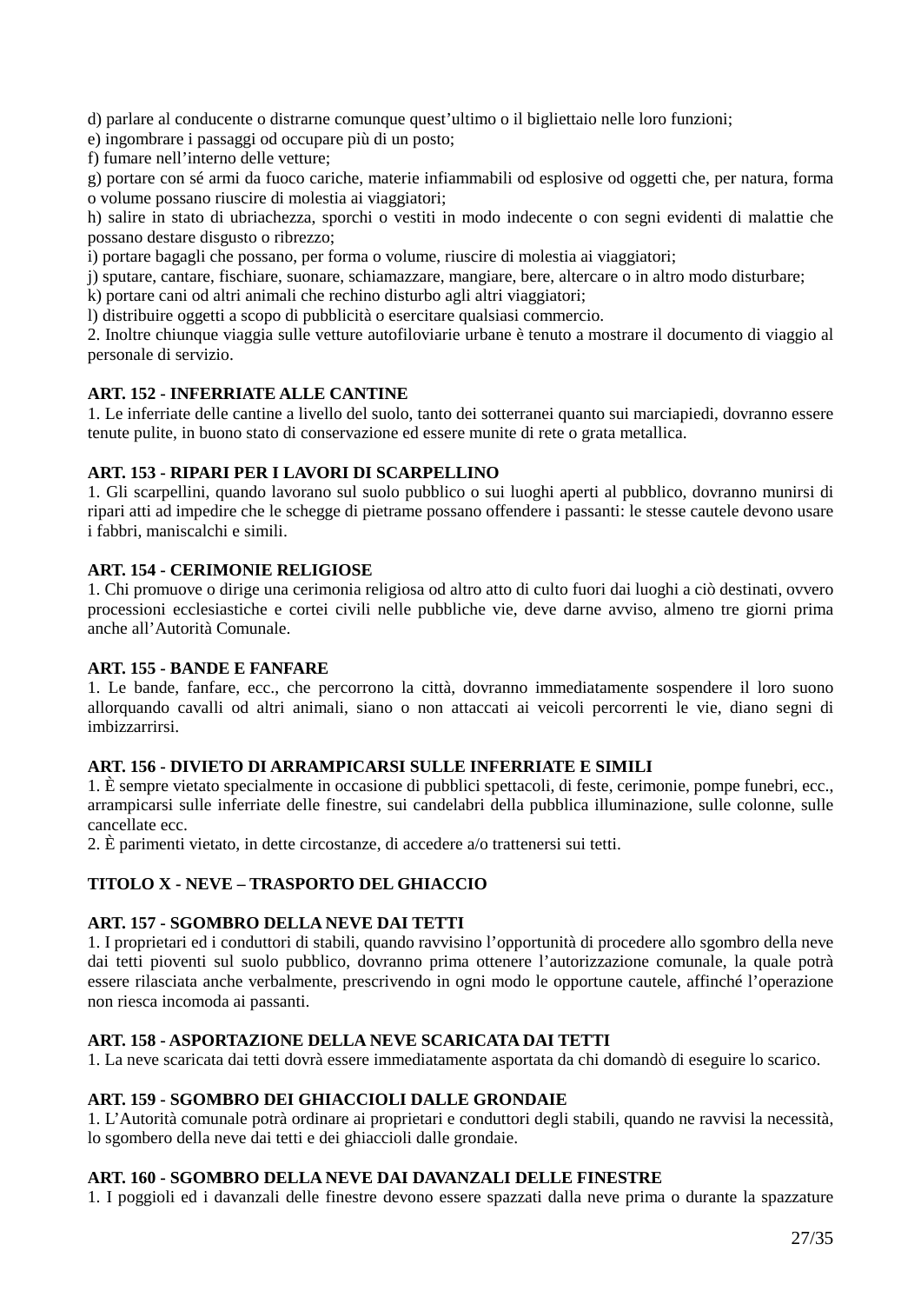d) parlare al conducente o distrarne comunque quest'ultimo o il bigliettaio nelle loro funzioni;

e) ingombrare i passaggi od occupare più di un posto;

f) fumare nell'interno delle vetture;

g) portare con sé armi da fuoco cariche, materie infiammabili od esplosive od oggetti che, per natura, forma o volume possano riuscire di molestia ai viaggiatori;

h) salire in stato di ubriachezza, sporchi o vestiti in modo indecente o con segni evidenti di malattie che possano destare disgusto o ribrezzo;

i) portare bagagli che possano, per forma o volume, riuscire di molestia ai viaggiatori;

j) sputare, cantare, fischiare, suonare, schiamazzare, mangiare, bere, altercare o in altro modo disturbare;

k) portare cani od altri animali che rechino disturbo agli altri viaggiatori;

l) distribuire oggetti a scopo di pubblicità o esercitare qualsiasi commercio.

2. Inoltre chiunque viaggia sulle vetture autofiloviarie urbane è tenuto a mostrare il documento di viaggio al personale di servizio.

### **ART. 152 - INFERRIATE ALLE CANTINE**

1. Le inferriate delle cantine a livello del suolo, tanto dei sotterranei quanto sui marciapiedi, dovranno essere tenute pulite, in buono stato di conservazione ed essere munite di rete o grata metallica.

### **ART. 153 - RIPARI PER I LAVORI DI SCARPELLINO**

1. Gli scarpellini, quando lavorano sul suolo pubblico o sui luoghi aperti al pubblico, dovranno munirsi di ripari atti ad impedire che le schegge di pietrame possano offendere i passanti: le stesse cautele devono usare i fabbri, maniscalchi e simili.

### **ART. 154 - CERIMONIE RELIGIOSE**

1. Chi promuove o dirige una cerimonia religiosa od altro atto di culto fuori dai luoghi a ciò destinati, ovvero processioni ecclesiastiche e cortei civili nelle pubbliche vie, deve darne avviso, almeno tre giorni prima anche all'Autorità Comunale.

#### **ART. 155 - BANDE E FANFARE**

1. Le bande, fanfare, ecc., che percorrono la città, dovranno immediatamente sospendere il loro suono allorquando cavalli od altri animali, siano o non attaccati ai veicoli percorrenti le vie, diano segni di imbizzarrirsi.

#### **ART. 156 - DIVIETO DI ARRAMPICARSI SULLE INFERRIATE E SIMILI**

1. È sempre vietato specialmente in occasione di pubblici spettacoli, di feste, cerimonie, pompe funebri, ecc., arrampicarsi sulle inferriate delle finestre, sui candelabri della pubblica illuminazione, sulle colonne, sulle cancellate ecc.

2. È parimenti vietato, in dette circostanze, di accedere a/o trattenersi sui tetti.

### **TITOLO X - NEVE – TRASPORTO DEL GHIACCIO**

### **ART. 157 - SGOMBRO DELLA NEVE DAI TETTI**

1. I proprietari ed i conduttori di stabili, quando ravvisino l'opportunità di procedere allo sgombro della neve dai tetti pioventi sul suolo pubblico, dovranno prima ottenere l'autorizzazione comunale, la quale potrà essere rilasciata anche verbalmente, prescrivendo in ogni modo le opportune cautele, affinché l'operazione non riesca incomoda ai passanti.

#### **ART. 158 - ASPORTAZIONE DELLA NEVE SCARICATA DAI TETTI**

1. La neve scaricata dai tetti dovrà essere immediatamente asportata da chi domandò di eseguire lo scarico.

#### **ART. 159 - SGOMBRO DEI GHIACCIOLI DALLE GRONDAIE**

1. L'Autorità comunale potrà ordinare ai proprietari e conduttori degli stabili, quando ne ravvisi la necessità, lo sgombero della neve dai tetti e dei ghiaccioli dalle grondaie.

#### **ART. 160 - SGOMBRO DELLA NEVE DAI DAVANZALI DELLE FINESTRE**

1. I poggioli ed i davanzali delle finestre devono essere spazzati dalla neve prima o durante la spazzature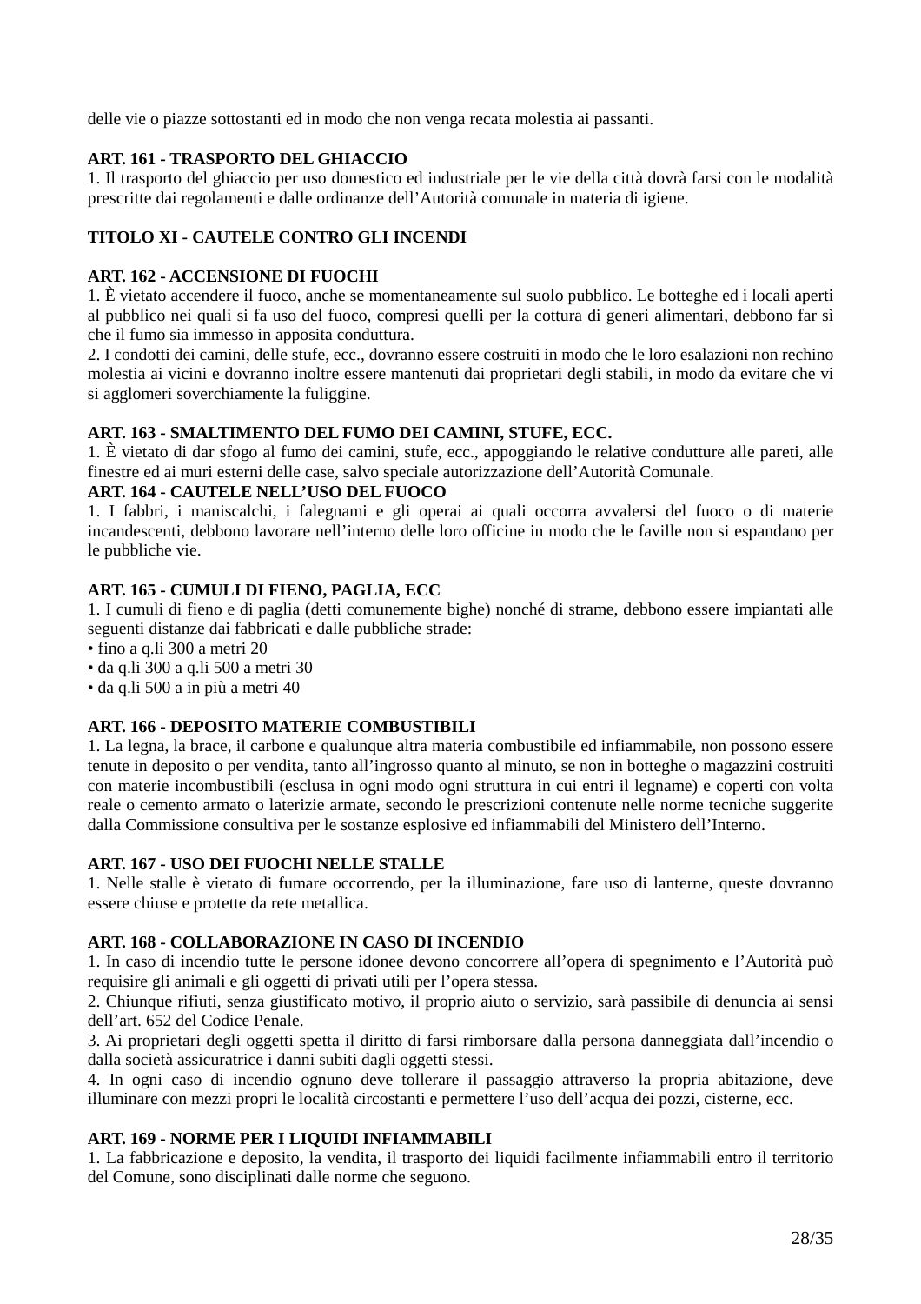delle vie o piazze sottostanti ed in modo che non venga recata molestia ai passanti.

### **ART. 161 - TRASPORTO DEL GHIACCIO**

1. Il trasporto del ghiaccio per uso domestico ed industriale per le vie della città dovrà farsi con le modalità prescritte dai regolamenti e dalle ordinanze dell'Autorità comunale in materia di igiene.

## **TITOLO XI - CAUTELE CONTRO GLI INCENDI**

### **ART. 162 - ACCENSIONE DI FUOCHI**

1. È vietato accendere il fuoco, anche se momentaneamente sul suolo pubblico. Le botteghe ed i locali aperti al pubblico nei quali si fa uso del fuoco, compresi quelli per la cottura di generi alimentari, debbono far sì che il fumo sia immesso in apposita conduttura.

2. I condotti dei camini, delle stufe, ecc., dovranno essere costruiti in modo che le loro esalazioni non rechino molestia ai vicini e dovranno inoltre essere mantenuti dai proprietari degli stabili, in modo da evitare che vi si agglomeri soverchiamente la fuliggine.

### **ART. 163 - SMALTIMENTO DEL FUMO DEI CAMINI, STUFE, ECC.**

1. È vietato di dar sfogo al fumo dei camini, stufe, ecc., appoggiando le relative condutture alle pareti, alle finestre ed ai muri esterni delle case, salvo speciale autorizzazione dell'Autorità Comunale.

### **ART. 164 - CAUTELE NELL'USO DEL FUOCO**

1. I fabbri, i maniscalchi, i falegnami e gli operai ai quali occorra avvalersi del fuoco o di materie incandescenti, debbono lavorare nell'interno delle loro officine in modo che le faville non si espandano per le pubbliche vie.

### **ART. 165 - CUMULI DI FIENO, PAGLIA, ECC**

1. I cumuli di fieno e di paglia (detti comunemente bighe) nonché di strame, debbono essere impiantati alle seguenti distanze dai fabbricati e dalle pubbliche strade:

- fino a q.li 300 a metri 20
- da q.li 300 a q.li 500 a metri 30
- da q.li 500 a in più a metri 40

### **ART. 166 - DEPOSITO MATERIE COMBUSTIBILI**

1. La legna, la brace, il carbone e qualunque altra materia combustibile ed infiammabile, non possono essere tenute in deposito o per vendita, tanto all'ingrosso quanto al minuto, se non in botteghe o magazzini costruiti con materie incombustibili (esclusa in ogni modo ogni struttura in cui entri il legname) e coperti con volta reale o cemento armato o laterizie armate, secondo le prescrizioni contenute nelle norme tecniche suggerite dalla Commissione consultiva per le sostanze esplosive ed infiammabili del Ministero dell'Interno.

### **ART. 167 - USO DEI FUOCHI NELLE STALLE**

1. Nelle stalle è vietato di fumare occorrendo, per la illuminazione, fare uso di lanterne, queste dovranno essere chiuse e protette da rete metallica.

### **ART. 168 - COLLABORAZIONE IN CASO DI INCENDIO**

1. In caso di incendio tutte le persone idonee devono concorrere all'opera di spegnimento e l'Autorità può requisire gli animali e gli oggetti di privati utili per l'opera stessa.

2. Chiunque rifiuti, senza giustificato motivo, il proprio aiuto o servizio, sarà passibile di denuncia ai sensi dell'art. 652 del Codice Penale.

3. Ai proprietari degli oggetti spetta il diritto di farsi rimborsare dalla persona danneggiata dall'incendio o dalla società assicuratrice i danni subiti dagli oggetti stessi.

4. In ogni caso di incendio ognuno deve tollerare il passaggio attraverso la propria abitazione, deve illuminare con mezzi propri le località circostanti e permettere l'uso dell'acqua dei pozzi, cisterne, ecc.

### **ART. 169 - NORME PER I LIQUIDI INFIAMMABILI**

1. La fabbricazione e deposito, la vendita, il trasporto dei liquidi facilmente infiammabili entro il territorio del Comune, sono disciplinati dalle norme che seguono.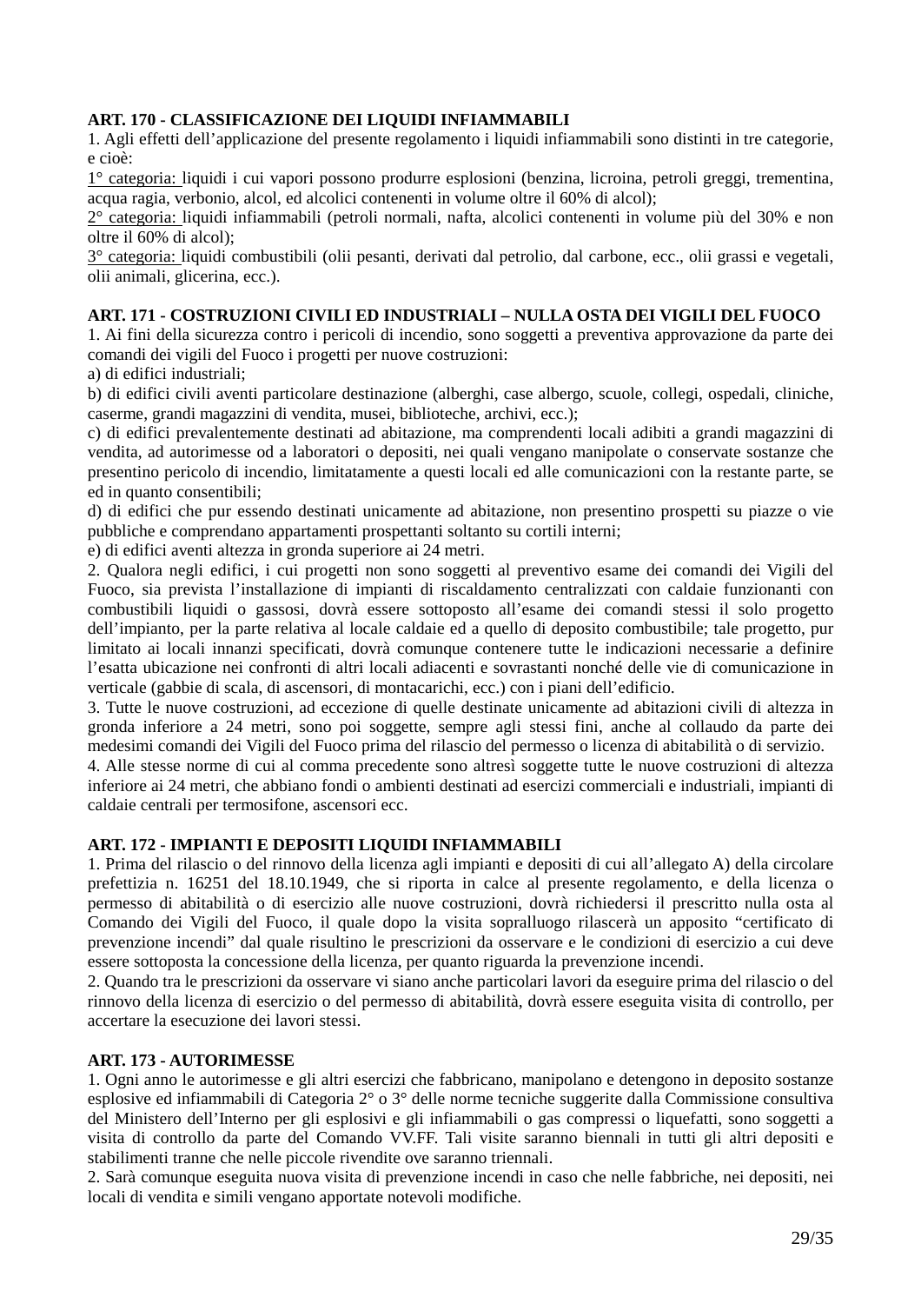### **ART. 170 - CLASSIFICAZIONE DEI LIQUIDI INFIAMMABILI**

1. Agli effetti dell'applicazione del presente regolamento i liquidi infiammabili sono distinti in tre categorie, e cioè:

1° categoria: liquidi i cui vapori possono produrre esplosioni (benzina, licroina, petroli greggi, trementina, acqua ragia, verbonio, alcol, ed alcolici contenenti in volume oltre il 60% di alcol);

2° categoria: liquidi infiammabili (petroli normali, nafta, alcolici contenenti in volume più del 30% e non oltre il 60% di alcol);

3° categoria: liquidi combustibili (olii pesanti, derivati dal petrolio, dal carbone, ecc., olii grassi e vegetali, olii animali, glicerina, ecc.).

### **ART. 171 - COSTRUZIONI CIVILI ED INDUSTRIALI – NULLA OSTA DEI VIGILI DEL FUOCO**

1. Ai fini della sicurezza contro i pericoli di incendio, sono soggetti a preventiva approvazione da parte dei comandi dei vigili del Fuoco i progetti per nuove costruzioni:

a) di edifici industriali;

b) di edifici civili aventi particolare destinazione (alberghi, case albergo, scuole, collegi, ospedali, cliniche, caserme, grandi magazzini di vendita, musei, biblioteche, archivi, ecc.);

c) di edifici prevalentemente destinati ad abitazione, ma comprendenti locali adibiti a grandi magazzini di vendita, ad autorimesse od a laboratori o depositi, nei quali vengano manipolate o conservate sostanze che presentino pericolo di incendio, limitatamente a questi locali ed alle comunicazioni con la restante parte, se ed in quanto consentibili;

d) di edifici che pur essendo destinati unicamente ad abitazione, non presentino prospetti su piazze o vie pubbliche e comprendano appartamenti prospettanti soltanto su cortili interni;

e) di edifici aventi altezza in gronda superiore ai 24 metri.

2. Qualora negli edifici, i cui progetti non sono soggetti al preventivo esame dei comandi dei Vigili del Fuoco, sia prevista l'installazione di impianti di riscaldamento centralizzati con caldaie funzionanti con combustibili liquidi o gassosi, dovrà essere sottoposto all'esame dei comandi stessi il solo progetto dell'impianto, per la parte relativa al locale caldaie ed a quello di deposito combustibile; tale progetto, pur limitato ai locali innanzi specificati, dovrà comunque contenere tutte le indicazioni necessarie a definire l'esatta ubicazione nei confronti di altri locali adiacenti e sovrastanti nonché delle vie di comunicazione in verticale (gabbie di scala, di ascensori, di montacarichi, ecc.) con i piani dell'edificio.

3. Tutte le nuove costruzioni, ad eccezione di quelle destinate unicamente ad abitazioni civili di altezza in gronda inferiore a 24 metri, sono poi soggette, sempre agli stessi fini, anche al collaudo da parte dei medesimi comandi dei Vigili del Fuoco prima del rilascio del permesso o licenza di abitabilità o di servizio.

4. Alle stesse norme di cui al comma precedente sono altresì soggette tutte le nuove costruzioni di altezza inferiore ai 24 metri, che abbiano fondi o ambienti destinati ad esercizi commerciali e industriali, impianti di caldaie centrali per termosifone, ascensori ecc.

### **ART. 172 - IMPIANTI E DEPOSITI LIQUIDI INFIAMMABILI**

1. Prima del rilascio o del rinnovo della licenza agli impianti e depositi di cui all'allegato A) della circolare prefettizia n. 16251 del 18.10.1949, che si riporta in calce al presente regolamento, e della licenza o permesso di abitabilità o di esercizio alle nuove costruzioni, dovrà richiedersi il prescritto nulla osta al Comando dei Vigili del Fuoco, il quale dopo la visita sopralluogo rilascerà un apposito "certificato di prevenzione incendi" dal quale risultino le prescrizioni da osservare e le condizioni di esercizio a cui deve essere sottoposta la concessione della licenza, per quanto riguarda la prevenzione incendi.

2. Quando tra le prescrizioni da osservare vi siano anche particolari lavori da eseguire prima del rilascio o del rinnovo della licenza di esercizio o del permesso di abitabilità, dovrà essere eseguita visita di controllo, per accertare la esecuzione dei lavori stessi.

### **ART. 173 - AUTORIMESSE**

1. Ogni anno le autorimesse e gli altri esercizi che fabbricano, manipolano e detengono in deposito sostanze esplosive ed infiammabili di Categoria 2° o 3° delle norme tecniche suggerite dalla Commissione consultiva del Ministero dell'Interno per gli esplosivi e gli infiammabili o gas compressi o liquefatti, sono soggetti a visita di controllo da parte del Comando VV.FF. Tali visite saranno biennali in tutti gli altri depositi e stabilimenti tranne che nelle piccole rivendite ove saranno triennali.

2. Sarà comunque eseguita nuova visita di prevenzione incendi in caso che nelle fabbriche, nei depositi, nei locali di vendita e simili vengano apportate notevoli modifiche.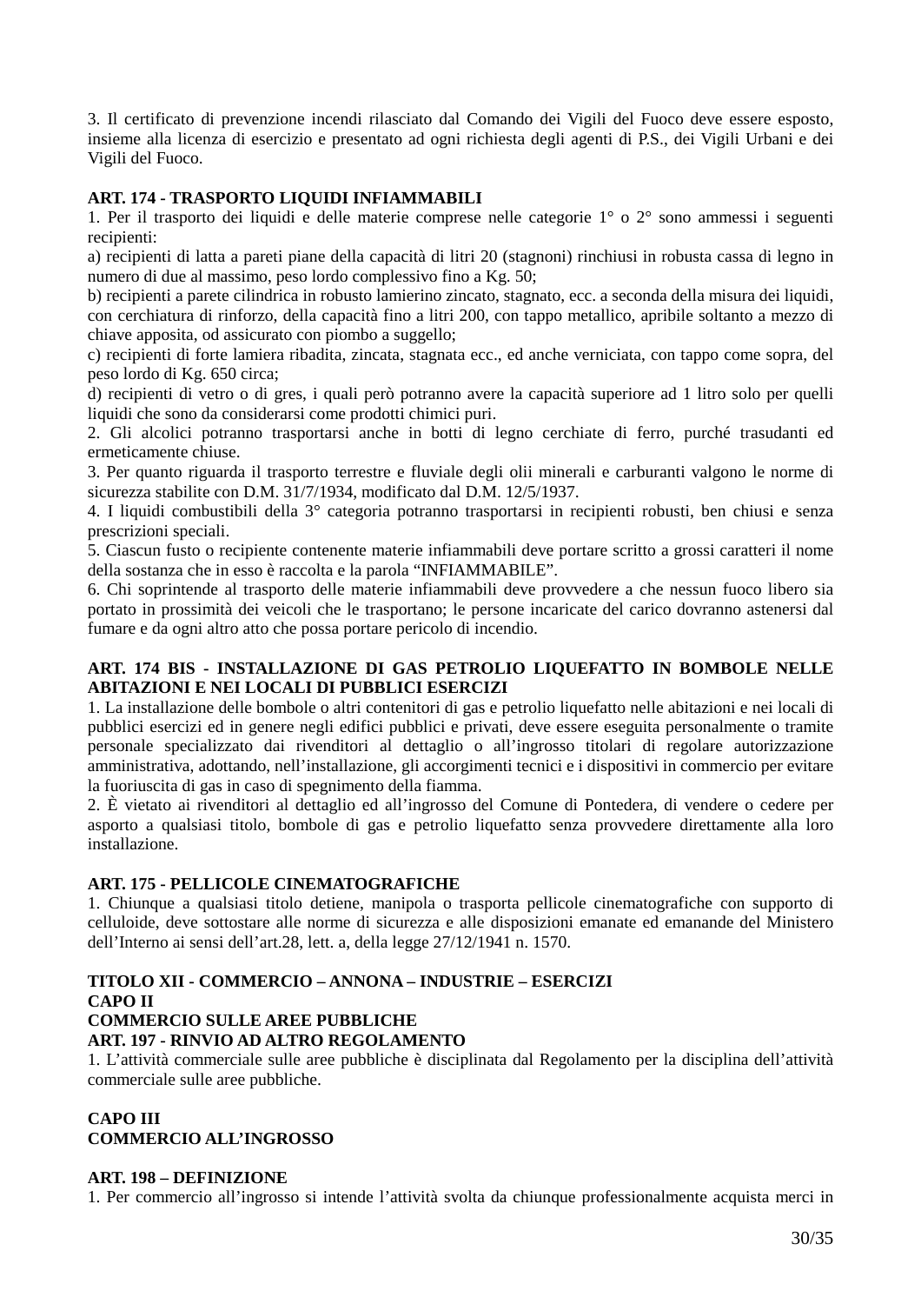3. Il certificato di prevenzione incendi rilasciato dal Comando dei Vigili del Fuoco deve essere esposto, insieme alla licenza di esercizio e presentato ad ogni richiesta degli agenti di P.S., dei Vigili Urbani e dei Vigili del Fuoco.

### **ART. 174 - TRASPORTO LIQUIDI INFIAMMABILI**

1. Per il trasporto dei liquidi e delle materie comprese nelle categorie 1° o 2° sono ammessi i seguenti recipienti:

a) recipienti di latta a pareti piane della capacità di litri 20 (stagnoni) rinchiusi in robusta cassa di legno in numero di due al massimo, peso lordo complessivo fino a Kg. 50;

b) recipienti a parete cilindrica in robusto lamierino zincato, stagnato, ecc. a seconda della misura dei liquidi, con cerchiatura di rinforzo, della capacità fino a litri 200, con tappo metallico, apribile soltanto a mezzo di chiave apposita, od assicurato con piombo a suggello;

c) recipienti di forte lamiera ribadita, zincata, stagnata ecc., ed anche verniciata, con tappo come sopra, del peso lordo di Kg. 650 circa;

d) recipienti di vetro o di gres, i quali però potranno avere la capacità superiore ad 1 litro solo per quelli liquidi che sono da considerarsi come prodotti chimici puri.

2. Gli alcolici potranno trasportarsi anche in botti di legno cerchiate di ferro, purché trasudanti ed ermeticamente chiuse.

3. Per quanto riguarda il trasporto terrestre e fluviale degli olii minerali e carburanti valgono le norme di sicurezza stabilite con D.M. 31/7/1934, modificato dal D.M. 12/5/1937.

4. I liquidi combustibili della 3° categoria potranno trasportarsi in recipienti robusti, ben chiusi e senza prescrizioni speciali.

5. Ciascun fusto o recipiente contenente materie infiammabili deve portare scritto a grossi caratteri il nome della sostanza che in esso è raccolta e la parola "INFIAMMABILE".

6. Chi soprintende al trasporto delle materie infiammabili deve provvedere a che nessun fuoco libero sia portato in prossimità dei veicoli che le trasportano; le persone incaricate del carico dovranno astenersi dal fumare e da ogni altro atto che possa portare pericolo di incendio.

### **ART. 174 BIS - INSTALLAZIONE DI GAS PETROLIO LIQUEFATTO IN BOMBOLE NELLE ABITAZIONI E NEI LOCALI DI PUBBLICI ESERCIZI**

1. La installazione delle bombole o altri contenitori di gas e petrolio liquefatto nelle abitazioni e nei locali di pubblici esercizi ed in genere negli edifici pubblici e privati, deve essere eseguita personalmente o tramite personale specializzato dai rivenditori al dettaglio o all'ingrosso titolari di regolare autorizzazione amministrativa, adottando, nell'installazione, gli accorgimenti tecnici e i dispositivi in commercio per evitare la fuoriuscita di gas in caso di spegnimento della fiamma.

2. È vietato ai rivenditori al dettaglio ed all'ingrosso del Comune di Pontedera, di vendere o cedere per asporto a qualsiasi titolo, bombole di gas e petrolio liquefatto senza provvedere direttamente alla loro installazione.

### **ART. 175 - PELLICOLE CINEMATOGRAFICHE**

1. Chiunque a qualsiasi titolo detiene, manipola o trasporta pellicole cinematografiche con supporto di celluloide, deve sottostare alle norme di sicurezza e alle disposizioni emanate ed emanande del Ministero dell'Interno ai sensi dell'art.28, lett. a, della legge 27/12/1941 n. 1570.

#### **TITOLO XII - COMMERCIO – ANNONA – INDUSTRIE – ESERCIZI CAPO II COMMERCIO SULLE AREE PUBBLICHE**

# **ART. 197 - RINVIO AD ALTRO REGOLAMENTO**

1. L'attività commerciale sulle aree pubbliche è disciplinata dal Regolamento per la disciplina dell'attività commerciale sulle aree pubbliche.

## **CAPO III**

**COMMERCIO ALL'INGROSSO** 

#### **ART. 198 – DEFINIZIONE**

1. Per commercio all'ingrosso si intende l'attività svolta da chiunque professionalmente acquista merci in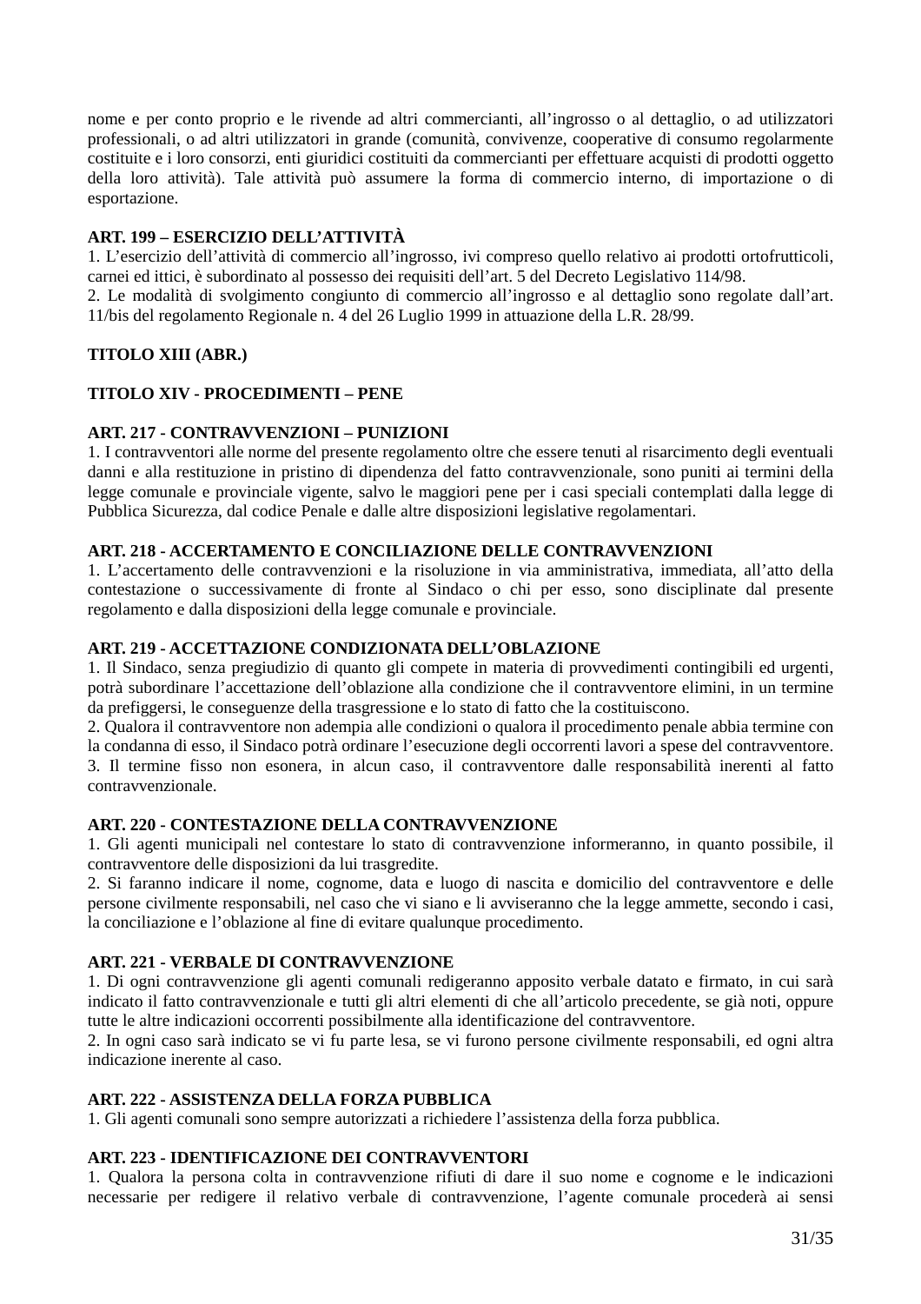nome e per conto proprio e le rivende ad altri commercianti, all'ingrosso o al dettaglio, o ad utilizzatori professionali, o ad altri utilizzatori in grande (comunità, convivenze, cooperative di consumo regolarmente costituite e i loro consorzi, enti giuridici costituiti da commercianti per effettuare acquisti di prodotti oggetto della loro attività). Tale attività può assumere la forma di commercio interno, di importazione o di esportazione.

## **ART. 199 – ESERCIZIO DELL'ATTIVITÀ**

1. L'esercizio dell'attività di commercio all'ingrosso, ivi compreso quello relativo ai prodotti ortofrutticoli, carnei ed ittici, è subordinato al possesso dei requisiti dell'art. 5 del Decreto Legislativo 114/98.

2. Le modalità di svolgimento congiunto di commercio all'ingrosso e al dettaglio sono regolate dall'art. 11/bis del regolamento Regionale n. 4 del 26 Luglio 1999 in attuazione della L.R. 28/99.

### **TITOLO XIII (ABR.)**

### **TITOLO XIV - PROCEDIMENTI – PENE**

## **ART. 217 - CONTRAVVENZIONI – PUNIZIONI**

1. I contravventori alle norme del presente regolamento oltre che essere tenuti al risarcimento degli eventuali danni e alla restituzione in pristino di dipendenza del fatto contravvenzionale, sono puniti ai termini della legge comunale e provinciale vigente, salvo le maggiori pene per i casi speciali contemplati dalla legge di Pubblica Sicurezza, dal codice Penale e dalle altre disposizioni legislative regolamentari.

### **ART. 218 - ACCERTAMENTO E CONCILIAZIONE DELLE CONTRAVVENZIONI**

1. L'accertamento delle contravvenzioni e la risoluzione in via amministrativa, immediata, all'atto della contestazione o successivamente di fronte al Sindaco o chi per esso, sono disciplinate dal presente regolamento e dalla disposizioni della legge comunale e provinciale.

#### **ART. 219 - ACCETTAZIONE CONDIZIONATA DELL'OBLAZIONE**

1. Il Sindaco, senza pregiudizio di quanto gli compete in materia di provvedimenti contingibili ed urgenti, potrà subordinare l'accettazione dell'oblazione alla condizione che il contravventore elimini, in un termine da prefiggersi, le conseguenze della trasgressione e lo stato di fatto che la costituiscono.

2. Qualora il contravventore non adempia alle condizioni o qualora il procedimento penale abbia termine con la condanna di esso, il Sindaco potrà ordinare l'esecuzione degli occorrenti lavori a spese del contravventore. 3. Il termine fisso non esonera, in alcun caso, il contravventore dalle responsabilità inerenti al fatto contravvenzionale.

#### **ART. 220 - CONTESTAZIONE DELLA CONTRAVVENZIONE**

1. Gli agenti municipali nel contestare lo stato di contravvenzione informeranno, in quanto possibile, il contravventore delle disposizioni da lui trasgredite.

2. Si faranno indicare il nome, cognome, data e luogo di nascita e domicilio del contravventore e delle persone civilmente responsabili, nel caso che vi siano e li avviseranno che la legge ammette, secondo i casi, la conciliazione e l'oblazione al fine di evitare qualunque procedimento.

### **ART. 221 - VERBALE DI CONTRAVVENZIONE**

1. Di ogni contravvenzione gli agenti comunali redigeranno apposito verbale datato e firmato, in cui sarà indicato il fatto contravvenzionale e tutti gli altri elementi di che all'articolo precedente, se già noti, oppure tutte le altre indicazioni occorrenti possibilmente alla identificazione del contravventore.

2. In ogni caso sarà indicato se vi fu parte lesa, se vi furono persone civilmente responsabili, ed ogni altra indicazione inerente al caso.

### **ART. 222 - ASSISTENZA DELLA FORZA PUBBLICA**

1. Gli agenti comunali sono sempre autorizzati a richiedere l'assistenza della forza pubblica.

### **ART. 223 - IDENTIFICAZIONE DEI CONTRAVVENTORI**

1. Qualora la persona colta in contravvenzione rifiuti di dare il suo nome e cognome e le indicazioni necessarie per redigere il relativo verbale di contravvenzione, l'agente comunale procederà ai sensi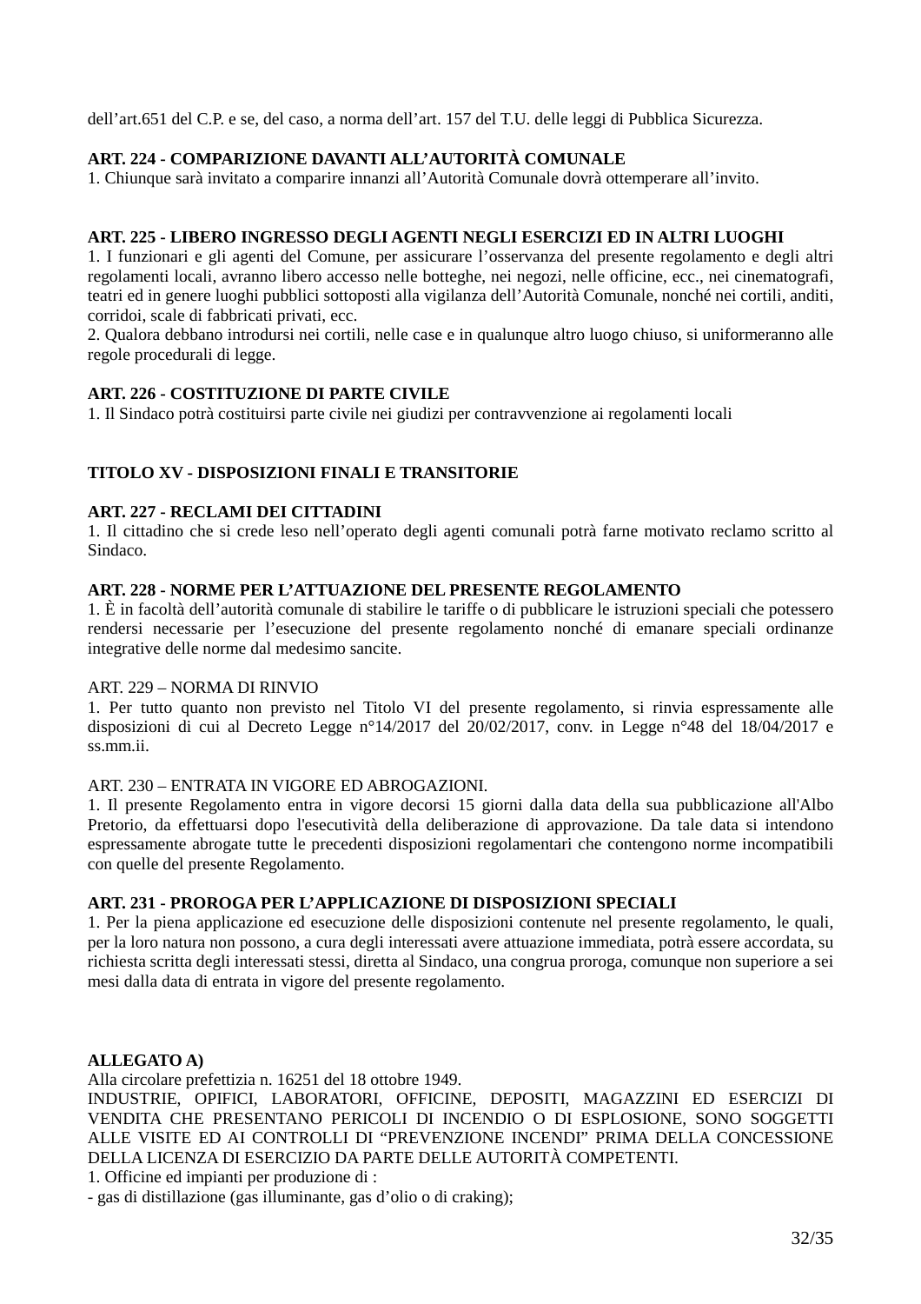dell'art.651 del C.P. e se, del caso, a norma dell'art. 157 del T.U. delle leggi di Pubblica Sicurezza.

### **ART. 224 - COMPARIZIONE DAVANTI ALL'AUTORITÀ COMUNALE**

1. Chiunque sarà invitato a comparire innanzi all'Autorità Comunale dovrà ottemperare all'invito.

#### **ART. 225 - LIBERO INGRESSO DEGLI AGENTI NEGLI ESERCIZI ED IN ALTRI LUOGHI**

1. I funzionari e gli agenti del Comune, per assicurare l'osservanza del presente regolamento e degli altri regolamenti locali, avranno libero accesso nelle botteghe, nei negozi, nelle officine, ecc., nei cinematografi, teatri ed in genere luoghi pubblici sottoposti alla vigilanza dell'Autorità Comunale, nonché nei cortili, anditi, corridoi, scale di fabbricati privati, ecc.

2. Qualora debbano introdursi nei cortili, nelle case e in qualunque altro luogo chiuso, si uniformeranno alle regole procedurali di legge.

#### **ART. 226 - COSTITUZIONE DI PARTE CIVILE**

1. Il Sindaco potrà costituirsi parte civile nei giudizi per contravvenzione ai regolamenti locali

### **TITOLO XV - DISPOSIZIONI FINALI E TRANSITORIE**

#### **ART. 227 - RECLAMI DEI CITTADINI**

1. Il cittadino che si crede leso nell'operato degli agenti comunali potrà farne motivato reclamo scritto al Sindaco.

#### **ART. 228 - NORME PER L'ATTUAZIONE DEL PRESENTE REGOLAMENTO**

1. È in facoltà dell'autorità comunale di stabilire le tariffe o di pubblicare le istruzioni speciali che potessero rendersi necessarie per l'esecuzione del presente regolamento nonché di emanare speciali ordinanze integrative delle norme dal medesimo sancite.

#### ART. 229 – NORMA DI RINVIO

1. Per tutto quanto non previsto nel Titolo VI del presente regolamento, si rinvia espressamente alle disposizioni di cui al Decreto Legge n°14/2017 del 20/02/2017, conv. in Legge n°48 del 18/04/2017 e ss.mm.ii.

### ART. 230 – ENTRATA IN VIGORE ED ABROGAZIONI.

1. Il presente Regolamento entra in vigore decorsi 15 giorni dalla data della sua pubblicazione all'Albo Pretorio, da effettuarsi dopo l'esecutività della deliberazione di approvazione. Da tale data si intendono espressamente abrogate tutte le precedenti disposizioni regolamentari che contengono norme incompatibili con quelle del presente Regolamento.

#### **ART. 231 - PROROGA PER L'APPLICAZIONE DI DISPOSIZIONI SPECIALI**

1. Per la piena applicazione ed esecuzione delle disposizioni contenute nel presente regolamento, le quali, per la loro natura non possono, a cura degli interessati avere attuazione immediata, potrà essere accordata, su richiesta scritta degli interessati stessi, diretta al Sindaco, una congrua proroga, comunque non superiore a sei mesi dalla data di entrata in vigore del presente regolamento.

#### **ALLEGATO A)**

Alla circolare prefettizia n. 16251 del 18 ottobre 1949.

INDUSTRIE, OPIFICI, LABORATORI, OFFICINE, DEPOSITI, MAGAZZINI ED ESERCIZI DI VENDITA CHE PRESENTANO PERICOLI DI INCENDIO O DI ESPLOSIONE, SONO SOGGETTI ALLE VISITE ED AI CONTROLLI DI "PREVENZIONE INCENDI" PRIMA DELLA CONCESSIONE DELLA LICENZA DI ESERCIZIO DA PARTE DELLE AUTORITÀ COMPETENTI.

1. Officine ed impianti per produzione di :

- gas di distillazione (gas illuminante, gas d'olio o di craking);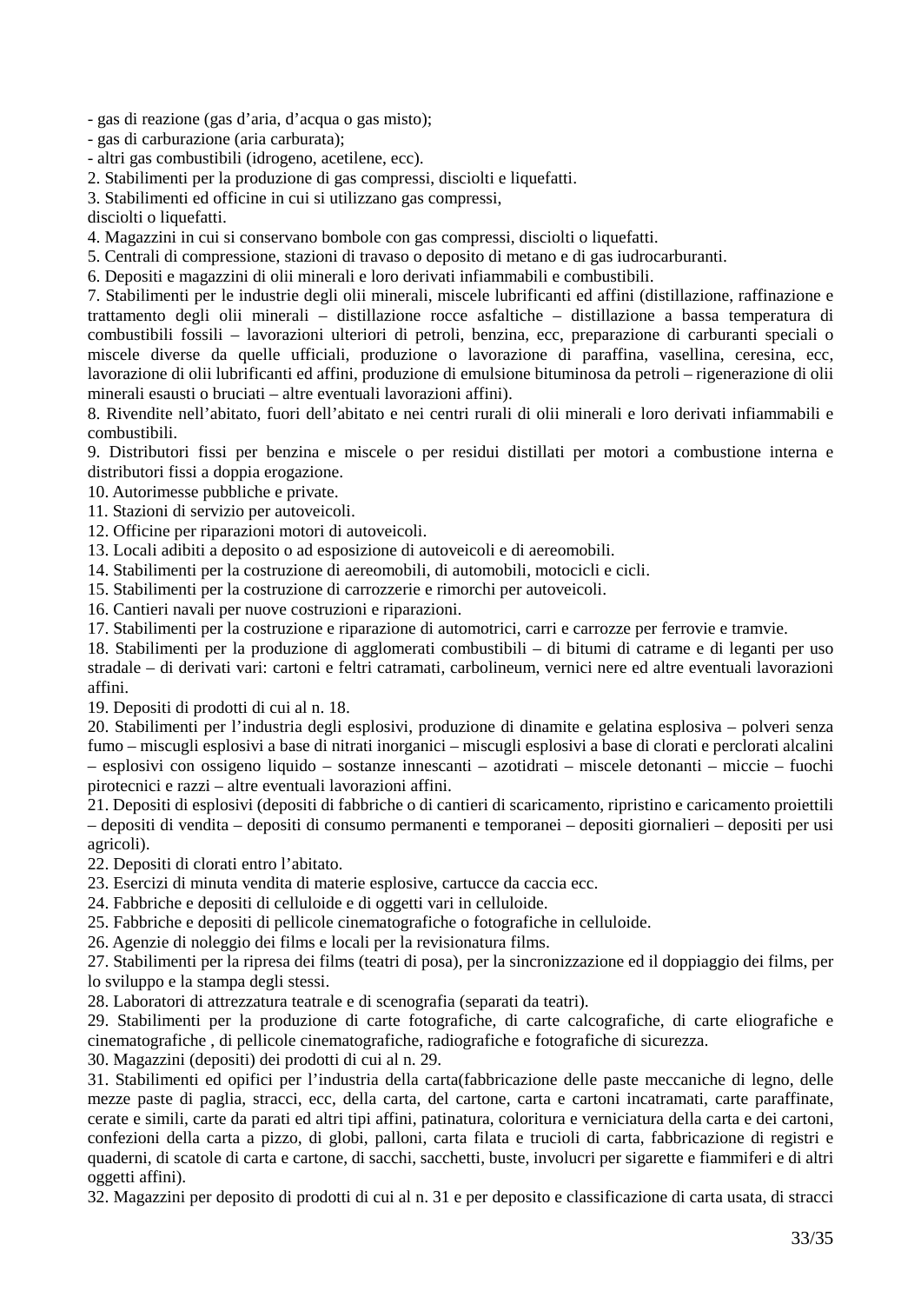- gas di reazione (gas d'aria, d'acqua o gas misto);

- gas di carburazione (aria carburata);

- altri gas combustibili (idrogeno, acetilene, ecc).

2. Stabilimenti per la produzione di gas compressi, disciolti e liquefatti.

3. Stabilimenti ed officine in cui si utilizzano gas compressi,

disciolti o liquefatti.

4. Magazzini in cui si conservano bombole con gas compressi, disciolti o liquefatti.

5. Centrali di compressione, stazioni di travaso o deposito di metano e di gas iudrocarburanti.

6. Depositi e magazzini di olii minerali e loro derivati infiammabili e combustibili.

7. Stabilimenti per le industrie degli olii minerali, miscele lubrificanti ed affini (distillazione, raffinazione e trattamento degli olii minerali – distillazione rocce asfaltiche – distillazione a bassa temperatura di combustibili fossili – lavorazioni ulteriori di petroli, benzina, ecc, preparazione di carburanti speciali o miscele diverse da quelle ufficiali, produzione o lavorazione di paraffina, vasellina, ceresina, ecc, lavorazione di olii lubrificanti ed affini, produzione di emulsione bituminosa da petroli – rigenerazione di olii minerali esausti o bruciati – altre eventuali lavorazioni affini).

8. Rivendite nell'abitato, fuori dell'abitato e nei centri rurali di olii minerali e loro derivati infiammabili e combustibili.

9. Distributori fissi per benzina e miscele o per residui distillati per motori a combustione interna e distributori fissi a doppia erogazione.

10. Autorimesse pubbliche e private.

11. Stazioni di servizio per autoveicoli.

12. Officine per riparazioni motori di autoveicoli.

13. Locali adibiti a deposito o ad esposizione di autoveicoli e di aereomobili.

14. Stabilimenti per la costruzione di aereomobili, di automobili, motocicli e cicli.

15. Stabilimenti per la costruzione di carrozzerie e rimorchi per autoveicoli.

16. Cantieri navali per nuove costruzioni e riparazioni.

17. Stabilimenti per la costruzione e riparazione di automotrici, carri e carrozze per ferrovie e tramvie.

18. Stabilimenti per la produzione di agglomerati combustibili – di bitumi di catrame e di leganti per uso stradale – di derivati vari: cartoni e feltri catramati, carbolineum, vernici nere ed altre eventuali lavorazioni affini.

19. Depositi di prodotti di cui al n. 18.

20. Stabilimenti per l'industria degli esplosivi, produzione di dinamite e gelatina esplosiva – polveri senza fumo – miscugli esplosivi a base di nitrati inorganici – miscugli esplosivi a base di clorati e perclorati alcalini – esplosivi con ossigeno liquido – sostanze innescanti – azotidrati – miscele detonanti – miccie – fuochi pirotecnici e razzi – altre eventuali lavorazioni affini.

21. Depositi di esplosivi (depositi di fabbriche o di cantieri di scaricamento, ripristino e caricamento proiettili – depositi di vendita – depositi di consumo permanenti e temporanei – depositi giornalieri – depositi per usi agricoli).

22. Depositi di clorati entro l'abitato.

23. Esercizi di minuta vendita di materie esplosive, cartucce da caccia ecc.

24. Fabbriche e depositi di celluloide e di oggetti vari in celluloide.

25. Fabbriche e depositi di pellicole cinematografiche o fotografiche in celluloide.

26. Agenzie di noleggio dei films e locali per la revisionatura films.

27. Stabilimenti per la ripresa dei films (teatri di posa), per la sincronizzazione ed il doppiaggio dei films, per lo sviluppo e la stampa degli stessi.

28. Laboratori di attrezzatura teatrale e di scenografia (separati da teatri).

29. Stabilimenti per la produzione di carte fotografiche, di carte calcografiche, di carte eliografiche e cinematografiche , di pellicole cinematografiche, radiografiche e fotografiche di sicurezza.

30. Magazzini (depositi) dei prodotti di cui al n. 29.

31. Stabilimenti ed opifici per l'industria della carta(fabbricazione delle paste meccaniche di legno, delle mezze paste di paglia, stracci, ecc, della carta, del cartone, carta e cartoni incatramati, carte paraffinate, cerate e simili, carte da parati ed altri tipi affini, patinatura, coloritura e verniciatura della carta e dei cartoni, confezioni della carta a pizzo, di globi, palloni, carta filata e trucioli di carta, fabbricazione di registri e quaderni, di scatole di carta e cartone, di sacchi, sacchetti, buste, involucri per sigarette e fiammiferi e di altri oggetti affini).

32. Magazzini per deposito di prodotti di cui al n. 31 e per deposito e classificazione di carta usata, di stracci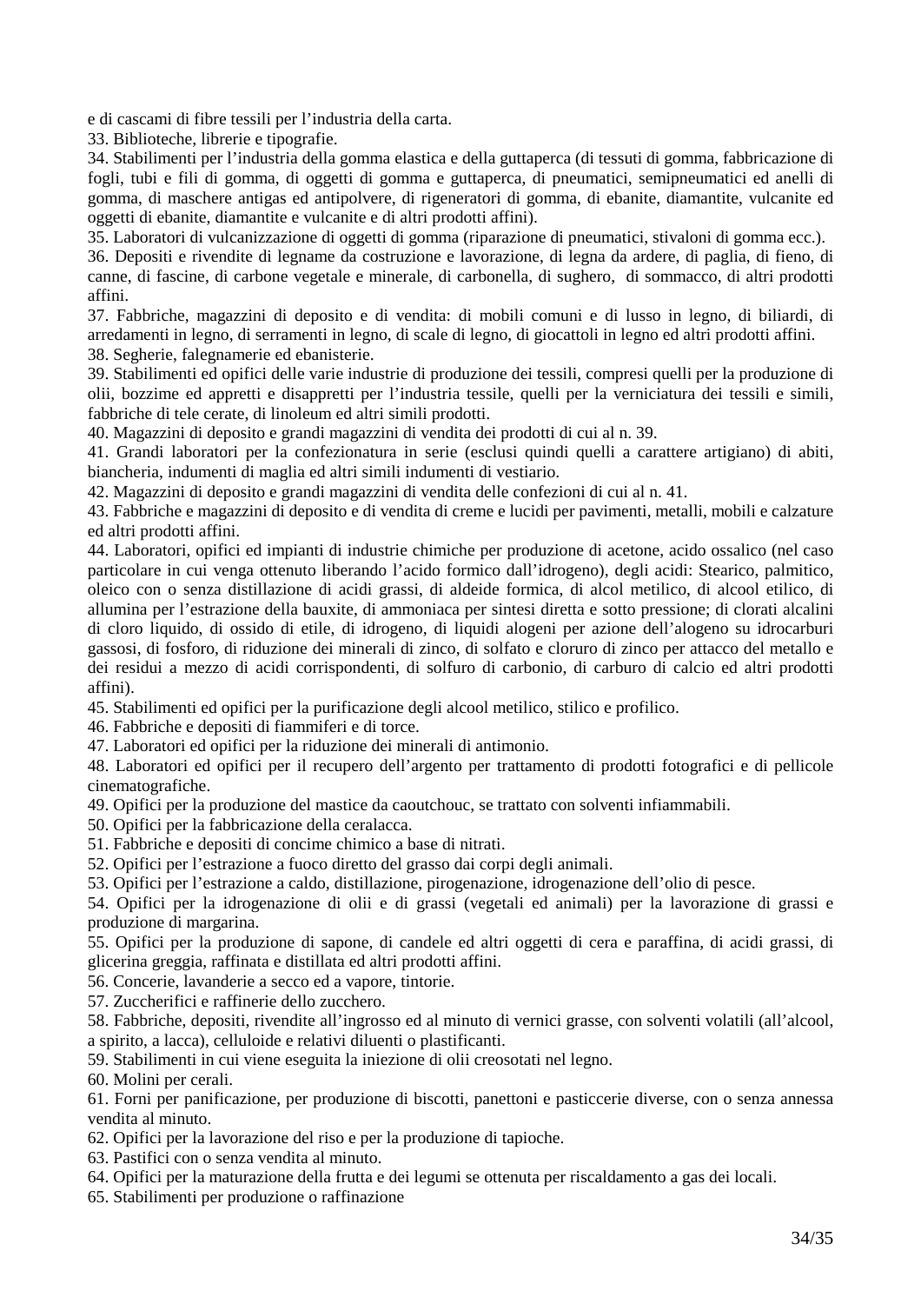e di cascami di fibre tessili per l'industria della carta.

33. Biblioteche, librerie e tipografie.

34. Stabilimenti per l'industria della gomma elastica e della guttaperca (di tessuti di gomma, fabbricazione di fogli, tubi e fili di gomma, di oggetti di gomma e guttaperca, di pneumatici, semipneumatici ed anelli di gomma, di maschere antigas ed antipolvere, di rigeneratori di gomma, di ebanite, diamantite, vulcanite ed oggetti di ebanite, diamantite e vulcanite e di altri prodotti affini).

35. Laboratori di vulcanizzazione di oggetti di gomma (riparazione di pneumatici, stivaloni di gomma ecc.).

36. Depositi e rivendite di legname da costruzione e lavorazione, di legna da ardere, di paglia, di fieno, di canne, di fascine, di carbone vegetale e minerale, di carbonella, di sughero, di sommacco, di altri prodotti affini.

37. Fabbriche, magazzini di deposito e di vendita: di mobili comuni e di lusso in legno, di biliardi, di arredamenti in legno, di serramenti in legno, di scale di legno, di giocattoli in legno ed altri prodotti affini. 38. Segherie, falegnamerie ed ebanisterie.

39. Stabilimenti ed opifici delle varie industrie di produzione dei tessili, compresi quelli per la produzione di olii, bozzime ed appretti e disappretti per l'industria tessile, quelli per la verniciatura dei tessili e simili, fabbriche di tele cerate, di linoleum ed altri simili prodotti.

40. Magazzini di deposito e grandi magazzini di vendita dei prodotti di cui al n. 39.

41. Grandi laboratori per la confezionatura in serie (esclusi quindi quelli a carattere artigiano) di abiti, biancheria, indumenti di maglia ed altri simili indumenti di vestiario.

42. Magazzini di deposito e grandi magazzini di vendita delle confezioni di cui al n. 41.

43. Fabbriche e magazzini di deposito e di vendita di creme e lucidi per pavimenti, metalli, mobili e calzature ed altri prodotti affini.

44. Laboratori, opifici ed impianti di industrie chimiche per produzione di acetone, acido ossalico (nel caso particolare in cui venga ottenuto liberando l'acido formico dall'idrogeno), degli acidi: Stearico, palmitico, oleico con o senza distillazione di acidi grassi, di aldeide formica, di alcol metilico, di alcool etilico, di allumina per l'estrazione della bauxite, di ammoniaca per sintesi diretta e sotto pressione; di clorati alcalini di cloro liquido, di ossido di etile, di idrogeno, di liquidi alogeni per azione dell'alogeno su idrocarburi gassosi, di fosforo, di riduzione dei minerali di zinco, di solfato e cloruro di zinco per attacco del metallo e dei residui a mezzo di acidi corrispondenti, di solfuro di carbonio, di carburo di calcio ed altri prodotti affini).

45. Stabilimenti ed opifici per la purificazione degli alcool metilico, stilico e profilico.

46. Fabbriche e depositi di fiammiferi e di torce.

47. Laboratori ed opifici per la riduzione dei minerali di antimonio.

48. Laboratori ed opifici per il recupero dell'argento per trattamento di prodotti fotografici e di pellicole cinematografiche.

49. Opifici per la produzione del mastice da caoutchouc, se trattato con solventi infiammabili.

50. Opifici per la fabbricazione della ceralacca.

51. Fabbriche e depositi di concime chimico a base di nitrati.

52. Opifici per l'estrazione a fuoco diretto del grasso dai corpi degli animali.

53. Opifici per l'estrazione a caldo, distillazione, pirogenazione, idrogenazione dell'olio di pesce.

54. Opifici per la idrogenazione di olii e di grassi (vegetali ed animali) per la lavorazione di grassi e produzione di margarina.

55. Opifici per la produzione di sapone, di candele ed altri oggetti di cera e paraffina, di acidi grassi, di glicerina greggia, raffinata e distillata ed altri prodotti affini.

56. Concerie, lavanderie a secco ed a vapore, tintorie.

57. Zuccherifici e raffinerie dello zucchero.

58. Fabbriche, depositi, rivendite all'ingrosso ed al minuto di vernici grasse, con solventi volatili (all'alcool, a spirito, a lacca), celluloide e relativi diluenti o plastificanti.

59. Stabilimenti in cui viene eseguita la iniezione di olii creosotati nel legno.

60. Molini per cerali.

61. Forni per panificazione, per produzione di biscotti, panettoni e pasticcerie diverse, con o senza annessa vendita al minuto.

62. Opifici per la lavorazione del riso e per la produzione di tapioche.

63. Pastifici con o senza vendita al minuto.

64. Opifici per la maturazione della frutta e dei legumi se ottenuta per riscaldamento a gas dei locali.

65. Stabilimenti per produzione o raffinazione